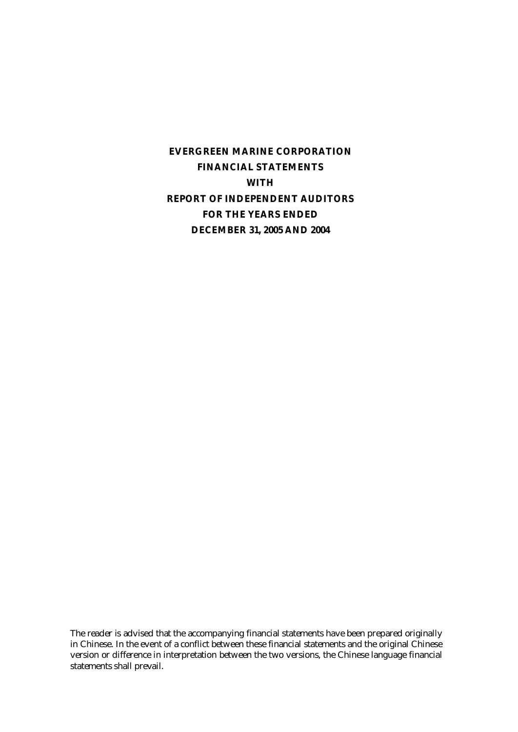**EVERGREEN MARINE CORPORATION FINANCIAL STATEMENTS WITH REPORT OF INDEPENDENT AUDITORS FOR THE YEARS ENDED DECEMBER 31, 2005 AND 2004** 

The reader is advised that the accompanying financial statements have been prepared originally in Chinese. In the event of a conflict between these financial statements and the original Chinese version or difference in interpretation between the two versions, the Chinese language financial statements shall prevail.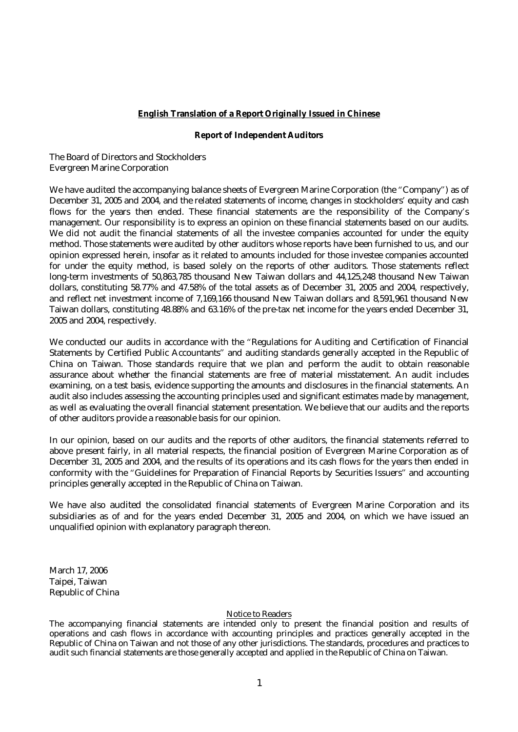#### **English Translation of a Report Originally Issued in Chinese**

#### **Report of Independent Auditors**

The Board of Directors and Stockholders Evergreen Marine Corporation

We have audited the accompanying balance sheets of Evergreen Marine Corporation (the "Company") as of December 31, 2005 and 2004, and the related statements of income, changes in stockholders' equity and cash flows for the years then ended. These financial statements are the responsibility of the Company's management. Our responsibility is to express an opinion on these financial statements based on our audits. We did not audit the financial statements of all the investee companies accounted for under the equity method. Those statements were audited by other auditors whose reports have been furnished to us, and our opinion expressed herein, insofar as it related to amounts included for those investee companies accounted for under the equity method, is based solely on the reports of other auditors. Those statements reflect long-term investments of 50,863,785 thousand New Taiwan dollars and 44,125,248 thousand New Taiwan dollars, constituting 58.77% and 47.58% of the total assets as of December 31, 2005 and 2004, respectively, and reflect net investment income of 7,169,166 thousand New Taiwan dollars and 8,591,961 thousand New Taiwan dollars, constituting 48.88% and 63.16% of the pre-tax net income for the years ended December 31, 2005 and 2004, respectively.

We conducted our audits in accordance with the "Regulations for Auditing and Certification of Financial Statements by Certified Public Accountants" and auditing standards generally accepted in the Republic of China on Taiwan. Those standards require that we plan and perform the audit to obtain reasonable assurance about whether the financial statements are free of material misstatement. An audit includes examining, on a test basis, evidence supporting the amounts and disclosures in the financial statements. An audit also includes assessing the accounting principles used and significant estimates made by management, as well as evaluating the overall financial statement presentation. We believe that our audits and the reports of other auditors provide a reasonable basis for our opinion.

In our opinion, based on our audits and the reports of other auditors, the financial statements referred to above present fairly, in all material respects, the financial position of Evergreen Marine Corporation as of December 31, 2005 and 2004, and the results of its operations and its cash flows for the years then ended in conformity with the "Guidelines for Preparation of Financial Reports by Securities Issuers" and accounting principles generally accepted in the Republic of China on Taiwan.

We have also audited the consolidated financial statements of Evergreen Marine Corporation and its subsidiaries as of and for the years ended December 31, 2005 and 2004, on which we have issued an unqualified opinion with explanatory paragraph thereon.

March 17, 2006 Taipei, Taiwan Republic of China

#### Notice to Readers

The accompanying financial statements are intended only to present the financial position and results of operations and cash flows in accordance with accounting principles and practices generally accepted in the Republic of China on Taiwan and not those of any other jurisdictions. The standards, procedures and practices to audit such financial statements are those generally accepted and applied in the Republic of China on Taiwan.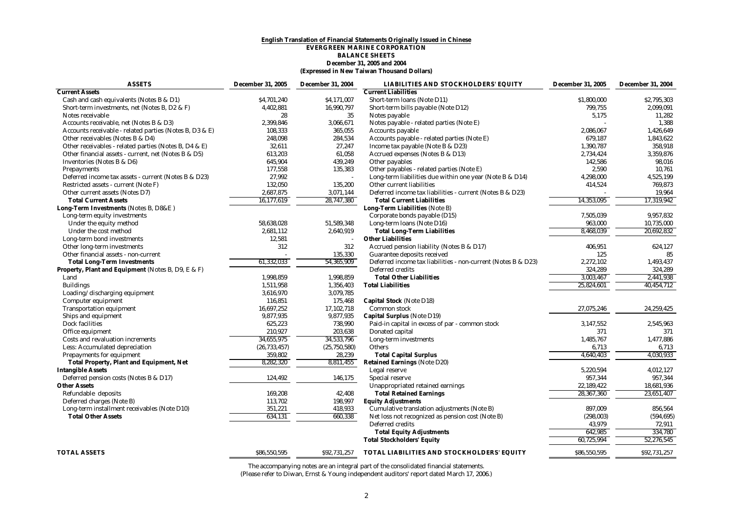#### **English Translation of Financial Statements Originally Issued in Chinese EVERGREEN MARINE CORPORATION BALANCE SHEETS December 31, 2005 and 2004 (Expressed in New Taiwan Thousand Dollars)**

| <b>ASSETS</b>                                           | <b>December 31, 2005</b> | <b>December 31, 2004</b> | LIABILITIES AND STOCKHOLDERS' EQUITY                          | <b>December 31, 2005</b> | <b>December 31, 2004</b> |
|---------------------------------------------------------|--------------------------|--------------------------|---------------------------------------------------------------|--------------------------|--------------------------|
| <b>Current Assets</b>                                   |                          |                          | <b>Current Liabilities</b>                                    |                          |                          |
| Cash and cash equivalents (Notes B & D1)                | \$4,701,240              | \$4,171,007              | Short-term loans (Note D11)                                   | \$1,800,000              | \$2,795,303              |
| Short-term investments, net (Notes B, D2 & F)           | 4,402,881                | 16,990,797               | Short-term bills payable (Note D12)                           | 799,755                  | 2,099,091                |
| Notes receivable                                        | 28                       | 35                       | Notes payable                                                 | 5,175                    | 11,282                   |
| Accounts receivable, net (Notes B & D3)                 | 2,399,846                | 3,066,671                | Notes payable - related parties (Note E)                      |                          | 1,388                    |
| Accounts receivable - related parties (Notes B, D3 & E) | 108,333                  | 365,055                  | <b>Accounts payable</b>                                       | 2.086.067                | 1.426.649                |
| Other receivables (Notes B & D4)                        | 248.098                  | 284,534                  | Accounts payable - related parties (Note E)                   | 679.187                  | 1,843,622                |
| Other receivables - related parties (Notes B, D4 & E)   | 32,611                   | 27,247                   | Income tax payable (Note B & D23)                             | 1,390,787                | 358,918                  |
| Other financial assets - current, net (Notes B & D5)    | 613,203                  | 61,058                   | Accrued expenses (Notes B & D13)                              | 2,734,424                | 3,359,876                |
| Inventories (Notes B & D6)                              | 645,904                  | 439,249                  | Other payables                                                | 142,586                  | 98,016                   |
| <b>Prepayments</b>                                      | 177,558                  | 135,383                  | Other payables - related parties (Note E)                     | 2,590                    | 10,761                   |
| Deferred income tax assets - current (Notes B & D23)    | 27,992                   |                          | Long-term liabilities due within one year (Note B & D14)      | 4,298,000                | 4,525,199                |
| Restricted assets - current (Note F)                    | 132,050                  | 135,200                  | Other current liabilities                                     | 414,524                  | 769,873                  |
| Other current assets (Notes D7)                         | 2,687,875                | 3,071,144                | Deferred income tax liabilities - current (Notes B & D23)     |                          | 19,964                   |
| <b>Total Current Assets</b>                             | 16,177,619               | 28,747,380               | <b>Total Current Liabilities</b>                              | 14,353,095               | 17,319,942               |
| Long-Term Investments (Notes B, D8&E)                   |                          |                          | Long-Term Liabilities (Note B)                                |                          |                          |
| Long-term equity investments                            |                          |                          | Corporate bonds payable (D15)                                 | 7,505,039                | 9,957,832                |
| Under the equity method                                 | 58,638,028               | 51,589,348               | Long-term loans (Note D16)                                    | 963,000                  | 10,735,000               |
| Under the cost method                                   | 2,681,112                | 2,640,919                | <b>Total Long-Term Liabilities</b>                            | 8.468.039                | 20.692.832               |
| Long-term bond investments                              | 12,581                   |                          | <b>Other Liabilities</b>                                      |                          |                          |
| Other long-term investments                             | 312                      | 312                      | Accrued pension liability (Notes B & D17)                     | 406.951                  | 624.127                  |
| Other financial assets - non-current                    |                          | 135,330                  | Guarantee deposits received                                   | 125                      | 85                       |
| <b>Total Long-Term Investments</b>                      | 61,332,033               | 54,365,909               | Deferred income tax liabilities - non-current (Notes B & D23) | 2,272,102                | 1,493,437                |
| Property, Plant and Equipment (Notes B, D9, E & F)      |                          |                          | <b>Deferred credits</b>                                       | 324,289                  | 324,289                  |
| Land                                                    | 1,998,859                | 1,998,859                | <b>Total Other Liabilities</b>                                | 3,003,467                | 2,441,938                |
| <b>Buildings</b>                                        | 1,511,958                | 1,356,403                | <b>Total Liabilities</b>                                      | 25,824,601               | 40,454,712               |
| Loading/discharging equipment                           | 3,616,970                | 3,079,785                |                                                               |                          |                          |
| Computer equipment                                      | 116,851                  | 175,468                  | <b>Capital Stock (Note D18)</b>                               |                          |                          |
| <b>Transportation equipment</b>                         | 16,697,252               | 17,102,718               | Common stock                                                  | 27,075,246               | 24,259,425               |
| Ships and equipment                                     | 9,877,935                | 9,877,935                | Capital Surplus (Note D19)                                    |                          |                          |
| Dock facilities                                         | 625,223                  | 738,990                  | Paid-in capital in excess of par - common stock               | 3,147,552                | 2,545,963                |
| Office equipment                                        | 210.927                  | 203.638                  | Donated capital                                               | 371                      | 371                      |
| Costs and revaluation increments                        | 34,655,975               | 34,533,796               | Long-term investments                                         | 1,485,767                | 1,477,886                |
| Less: Accumulated depreciation                          | (26, 733, 457)           | (25,750,580)             | <b>Others</b>                                                 | 6,713                    | 6,713                    |
| <b>Prepayments for equipment</b>                        | 359,802                  | 28,239                   | <b>Total Capital Surplus</b>                                  | 4,640,403                | 4,030,933                |
| <b>Total Property, Plant and Equipment, Net</b>         | 8,282,320                | 8,811,455                | <b>Retained Earnings (Note D20)</b>                           |                          |                          |
| <b>Intangible Assets</b>                                |                          |                          | Legal reserve                                                 | 5,220,594                | 4,012,127                |
| Deferred pension costs (Notes B & D17)                  | 124,492                  | 146,175                  | Special reserve                                               | 957,344                  | 957,344                  |
| <b>Other Assets</b>                                     |                          |                          | Unappropriated retained earnings                              | 22,189,422               | 18,681,936               |
| Refundable deposits                                     | 169,208                  | 42,408                   | <b>Total Retained Earnings</b>                                | 28,367,360               | 23,651,407               |
| Deferred charges (Note B)                               | 113,702                  | 198,997                  | <b>Equity Adjustments</b>                                     |                          |                          |
| Long-term installment receivables (Note D10)            | 351,221                  | 418,933                  | Cumulative translation adjustments (Note B)                   | 897,009                  | 856,564                  |
| <b>Total Other Assets</b>                               | 634,131                  | 660.338                  | Net loss not recognized as pension cost (Note B)              | (298, 003)               | (594, 695)               |
|                                                         |                          |                          | Deferred credits                                              | 43,979                   | 72,911                   |
|                                                         |                          |                          | <b>Total Equity Adjustments</b>                               | 642.985                  | 334.780                  |
|                                                         |                          |                          | <b>Total Stockholders' Equity</b>                             | 60,725,994               | 52,276,545               |
|                                                         |                          |                          |                                                               |                          |                          |
| <b>TOTAL ASSETS</b>                                     | \$86,550,595             | \$92,731,257             | TOTAL LIABILITIES AND STOCKHOLDERS' EQUITY                    | \$86,550,595             | \$92,731,257             |

The accompanying notes are an integral part of the consolidated financial statements. (Please refer to Diwan, Ernst & Young independent auditors' report dated March 17, 2006.)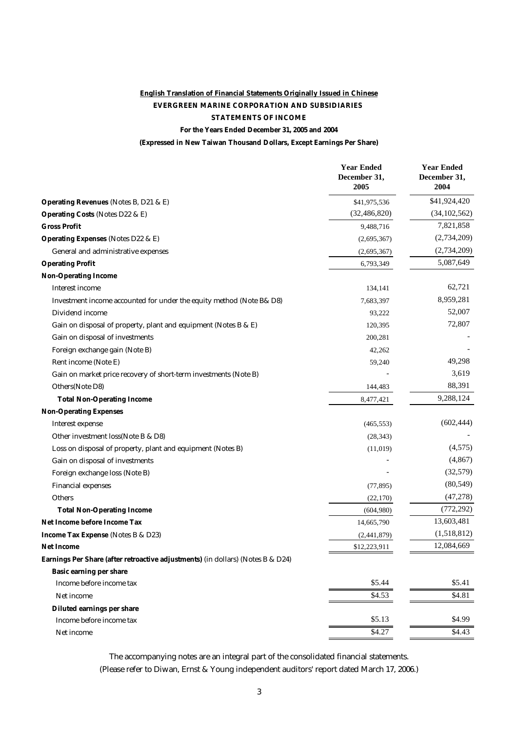## **English Translation of Financial Statements Originally Issued in Chinese EVERGREEN MARINE CORPORATION AND SUBSIDIARIES STATEMENTS OF INCOME**

**For the Years Ended December 31, 2005 and 2004**

**(Expressed in New Taiwan Thousand Dollars, Except Earnings Per Share)**

|                                                                                 | <b>Year Ended</b><br>December 31,<br>2005 | <b>Year Ended</b><br>December 31,<br>2004 |
|---------------------------------------------------------------------------------|-------------------------------------------|-------------------------------------------|
| <b>Operating Revenues (Notes B, D21 &amp; E)</b>                                | \$41,975,536                              | \$41,924,420                              |
| <b>Operating Costs (Notes D22 &amp; E)</b>                                      | (32, 486, 820)                            | (34, 102, 562)                            |
| <b>Gross Profit</b>                                                             | 9,488,716                                 | 7,821,858                                 |
| <b>Operating Expenses (Notes D22 &amp; E)</b>                                   | (2,695,367)                               | (2,734,209)                               |
| General and administrative expenses                                             | (2,695,367)                               | (2,734,209)                               |
| <b>Operating Profit</b>                                                         | 6,793,349                                 | 5,087,649                                 |
| <b>Non-Operating Income</b>                                                     |                                           |                                           |
| <b>Interest income</b>                                                          | 134,141                                   | 62,721                                    |
| Investment income accounted for under the equity method (Note B& D8)            | 7,683,397                                 | 8,959,281                                 |
| Dividend income                                                                 | 93,222                                    | 52,007                                    |
| Gain on disposal of property, plant and equipment (Notes B & E)                 | 120,395                                   | 72,807                                    |
| Gain on disposal of investments                                                 | 200,281                                   |                                           |
| Foreign exchange gain (Note B)                                                  | 42,262                                    |                                           |
| Rent income (Note E)                                                            | 59,240                                    | 49,298                                    |
| Gain on market price recovery of short-term investments (Note B)                |                                           | 3,619                                     |
| Others(Note D8)                                                                 | 144,483                                   | 88,391                                    |
| <b>Total Non-Operating Income</b>                                               | 8,477,421                                 | 9,288,124                                 |
| <b>Non-Operating Expenses</b>                                                   |                                           |                                           |
| <b>Interest expense</b>                                                         | (465, 553)                                | (602, 444)                                |
| Other investment loss(Note B & D8)                                              | (28, 343)                                 |                                           |
| Loss on disposal of property, plant and equipment (Notes B)                     | (11,019)                                  | (4,575)                                   |
| Gain on disposal of investments                                                 |                                           | (4, 867)                                  |
| Foreign exchange loss (Note B)                                                  |                                           | (32,579)                                  |
| <b>Financial expenses</b>                                                       | (77, 895)                                 | (80, 549)                                 |
| <b>Others</b>                                                                   | (22,170)                                  | (47, 278)                                 |
| <b>Total Non-Operating Income</b>                                               | (604,980)                                 | (772, 292)                                |
| Net Income before Income Tax                                                    | 14,665,790                                | 13,603,481                                |
| Income Tax Expense (Notes B & D23)                                              | (2,441,879)                               | (1,518,812)                               |
| <b>Net Income</b>                                                               | \$12,223,911                              | 12,084,669                                |
| Earnings Per Share (after retroactive adjustments) (in dollars) (Notes B & D24) |                                           |                                           |
| Basic earning per share                                                         |                                           |                                           |
| Income before income tax                                                        | \$5.44                                    | \$5.41                                    |
| Net income                                                                      | \$4.53                                    | \$4.81                                    |
| Diluted earnings per share                                                      |                                           |                                           |
| Income before income tax                                                        | \$5.13                                    | \$4.99                                    |
| Net income                                                                      | \$4.27                                    | \$4.43                                    |

The accompanying notes are an integral part of the consolidated financial statements. (Please refer to Diwan, Ernst & Young independent auditors' report dated March 17, 2006.)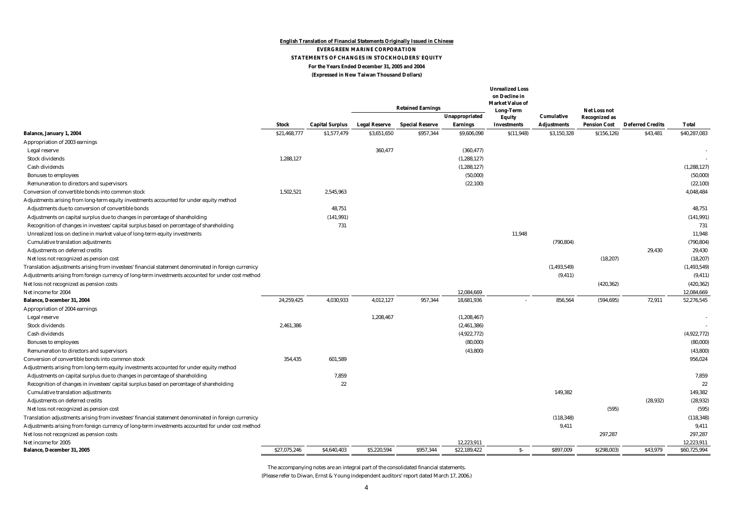#### **English Translation of Financial Statements Originally Issued in Chinese EVERGREEN MARINE CORPORATION STATEMENTS OF CHANGES IN STOCKHOLDERS' EQUITY For the Years Ended December 31, 2005 and 2004 (Expressed in New Taiwan Thousand Dollars)**

|                                                                                                      |              |                        |                      | <b>Retained Earnings</b> | Unappropriated  | <b>Unrealized Loss</b><br>on Decline in<br><b>Market Value of</b><br>Long-Term<br><b>Equity</b> | <b>Cumulative</b>  | <b>Net Loss not</b><br><b>Recognized as</b> |                         |               |
|------------------------------------------------------------------------------------------------------|--------------|------------------------|----------------------|--------------------------|-----------------|-------------------------------------------------------------------------------------------------|--------------------|---------------------------------------------|-------------------------|---------------|
|                                                                                                      | <b>Stock</b> | <b>Capital Surplus</b> | <b>Legal Reserve</b> | <b>Special Reserve</b>   | <b>Earnings</b> | <b>Investments</b>                                                                              | <b>Adjustments</b> | <b>Pension Cost</b>                         | <b>Deferred Credits</b> | <b>Total</b>  |
| <b>Balance, January 1, 2004</b>                                                                      | \$21,468,777 | \$1,577,479            | \$3,651,650          | \$957,344                | \$9,606,098     | S(11, 948)                                                                                      | \$3,150,328        | \$(156, 126)                                | \$43,481                | \$40,287,083  |
| Appropriation of 2003 earnings                                                                       |              |                        |                      |                          |                 |                                                                                                 |                    |                                             |                         |               |
| Legal reserve                                                                                        |              |                        | 360,477              |                          | (360, 477)      |                                                                                                 |                    |                                             |                         |               |
| <b>Stock dividends</b>                                                                               | 1,288,127    |                        |                      |                          | (1, 288, 127)   |                                                                                                 |                    |                                             |                         |               |
| Cash dividends                                                                                       |              |                        |                      |                          | (1, 288, 127)   |                                                                                                 |                    |                                             |                         | (1, 288, 127) |
| <b>Bonuses to employees</b>                                                                          |              |                        |                      |                          | (50,000)        |                                                                                                 |                    |                                             |                         | (50,000)      |
| Remuneration to directors and supervisors                                                            |              |                        |                      |                          | (22, 100)       |                                                                                                 |                    |                                             |                         | (22, 100)     |
| Conversion of convertible bonds into common stock                                                    | 1,502,521    | 2,545,963              |                      |                          |                 |                                                                                                 |                    |                                             |                         | 4,048,484     |
| Adjustments arising from long-term equity investments accounted for under equity method              |              |                        |                      |                          |                 |                                                                                                 |                    |                                             |                         |               |
| Adjustments due to conversion of convertible bonds                                                   |              | 48,751                 |                      |                          |                 |                                                                                                 |                    |                                             |                         | 48,751        |
| Adjustments on capital surplus due to changes in percentage of shareholding                          |              | (141, 991)             |                      |                          |                 |                                                                                                 |                    |                                             |                         | (141, 991)    |
| Recognition of changes in investees' capital surplus based on percentage of shareholding             |              | 731                    |                      |                          |                 |                                                                                                 |                    |                                             |                         | 731           |
| Unrealized loss on decline in market value of long-term equity investments                           |              |                        |                      |                          |                 | 11,948                                                                                          |                    |                                             |                         | 11.948        |
| <b>Cumulative translation adjustments</b>                                                            |              |                        |                      |                          |                 |                                                                                                 | (790, 804)         |                                             |                         | (790, 804)    |
| Adjustments on deferred credits                                                                      |              |                        |                      |                          |                 |                                                                                                 |                    |                                             | 29,430                  | 29,430        |
| Net loss not recognized as pension cost                                                              |              |                        |                      |                          |                 |                                                                                                 |                    | (18, 207)                                   |                         | (18, 207)     |
| Translation adjustments arising from investees' financial statement denominated in foreign currenicy |              |                        |                      |                          |                 |                                                                                                 | (1, 493, 549)      |                                             |                         | (1, 493, 549) |
| Adjustments arising from foreign currency of long-term investments accounted for under cost method   |              |                        |                      |                          |                 |                                                                                                 | (9, 411)           |                                             |                         | (9, 411)      |
| Net loss not recognized as pension costs                                                             |              |                        |                      |                          |                 |                                                                                                 |                    | (420, 362)                                  |                         | (420, 362)    |
| Net income for 2004                                                                                  |              |                        |                      |                          | 12,084,669      |                                                                                                 |                    |                                             |                         | 12,084,669    |
| Balance, December 31, 2004                                                                           | 24,259,425   | 4,030,933              | 4,012,127            | 957,344                  | 18,681,936      |                                                                                                 | 856,564            | (594, 695)                                  | 72,911                  | 52,276,545    |
| Appropriation of 2004 earnings                                                                       |              |                        |                      |                          |                 |                                                                                                 |                    |                                             |                         |               |
| Legal reserve                                                                                        |              |                        | 1,208,467            |                          | (1,208,467)     |                                                                                                 |                    |                                             |                         |               |
| <b>Stock dividends</b>                                                                               | 2,461,386    |                        |                      |                          | (2,461,386)     |                                                                                                 |                    |                                             |                         |               |
| Cash dividends                                                                                       |              |                        |                      |                          | (4,922,772)     |                                                                                                 |                    |                                             |                         | (4,922,772)   |
| <b>Bonuses to employees</b>                                                                          |              |                        |                      |                          | (80,000)        |                                                                                                 |                    |                                             |                         | (80,000)      |
| Remuneration to directors and supervisors                                                            |              |                        |                      |                          | (43,800)        |                                                                                                 |                    |                                             |                         | (43,800)      |
| Conversion of convertible bonds into common stock                                                    | 354,435      | 601,589                |                      |                          |                 |                                                                                                 |                    |                                             |                         | 956,024       |
| Adjustments arising from long-term equity investments accounted for under equity method              |              |                        |                      |                          |                 |                                                                                                 |                    |                                             |                         |               |
| Adjustments on capital surplus due to changes in percentage of shareholding                          |              | 7,859                  |                      |                          |                 |                                                                                                 |                    |                                             |                         | 7,859         |
| Recognition of changes in investees' capital surplus based on percentage of shareholding             |              | 22                     |                      |                          |                 |                                                                                                 |                    |                                             |                         | 22            |
| <b>Cumulative translation adjustments</b>                                                            |              |                        |                      |                          |                 |                                                                                                 | 149,382            |                                             |                         | 149.382       |
| Adjustments on deferred credits                                                                      |              |                        |                      |                          |                 |                                                                                                 |                    |                                             | (28, 932)               | (28, 932)     |
| Net loss not recognized as pension cost                                                              |              |                        |                      |                          |                 |                                                                                                 |                    | (595)                                       |                         | (595)         |
| Translation adjustments arising from investees' financial statement denominated in foreign currenicy |              |                        |                      |                          |                 |                                                                                                 | (118, 348)         |                                             |                         | (118, 348)    |
| Adjustments arising from foreign currency of long-term investments accounted for under cost method   |              |                        |                      |                          |                 |                                                                                                 | 9,411              |                                             |                         | 9,411         |
| Net loss not recognized as pension costs                                                             |              |                        |                      |                          |                 |                                                                                                 |                    | 297,287                                     |                         | 297,287       |
| Net income for 2005                                                                                  |              |                        |                      |                          | 12,223,911      |                                                                                                 |                    |                                             |                         | 12,223,911    |
| <b>Balance, December 31, 2005</b>                                                                    | \$27,075,246 | \$4,640,403            | \$5,220,594          | \$957,344                | \$22,189,422    | $S-$                                                                                            | \$897,009          | \$(298,003)                                 | \$43,979                | \$60,725,994  |

The accompanying notes are an integral part of the consolidated financial statements.

(Please refer to Diwan, Ernst & Young independent auditors' report dated March 17, 2006.)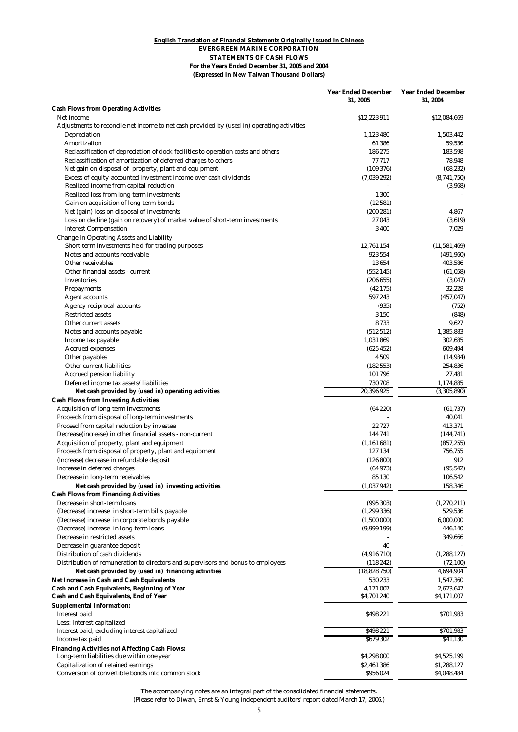#### **English Translation of Financial Statements Originally Issued in Chinese EVERGREEN MARINE CORPORATION STATEMENTS OF CASH FLOWS For the Years Ended December 31, 2005 and 2004 (Expressed in New Taiwan Thousand Dollars)**

|                                                                                                            | <b>Year Ended December</b><br>31, 2005 | <b>Year Ended December</b><br>31, 2004 |
|------------------------------------------------------------------------------------------------------------|----------------------------------------|----------------------------------------|
| <b>Cash Flows from Operating Activities</b><br>Net income                                                  | \$12,223,911                           | \$12,084,669                           |
| Adjustments to reconcile net income to net cash provided by (used in) operating activities<br>Depreciation | 1,123,480                              | 1,503,442                              |
| Amortization                                                                                               | 61,386                                 | 59,536                                 |
| Reclassification of depreciation of dock facilities to operation costs and others                          | 186,275                                | 183,598                                |
| Reclassification of amortization of deferred charges to others                                             | 77,717                                 | 78,948                                 |
| Net gain on disposal of property, plant and equipment                                                      | (109, 376)                             | (68, 232)                              |
| Excess of equity-accounted investment income over cash dividends                                           | (7,039,292)                            | (8,741,750)                            |
| Realized income from capital reduction                                                                     |                                        | (3,968)                                |
| Realized loss from long-term investments                                                                   | 1,300                                  |                                        |
| Gain on acquisition of long-term bonds                                                                     | (12, 581)                              |                                        |
| Net (gain) loss on disposal of investments                                                                 | (200, 281)                             | 4,867                                  |
| Loss on decline (gain on recovery) of market value of short-term investments                               | 27,043                                 | (3,619)                                |
| <b>Interest Compensation</b>                                                                               | 3,400                                  | 7,029                                  |
| <b>Change In Operating Assets and Liability</b>                                                            |                                        |                                        |
| Short-term investments held for trading purposes                                                           | 12,761,154                             | (11, 581, 469)                         |
| Notes and accounts receivable                                                                              | 923,554                                | (491, 960)                             |
| Other receivables                                                                                          | 13,654                                 | 403,586                                |
| Other financial assets - current                                                                           | (552, 145)                             | (61, 058)                              |
|                                                                                                            |                                        |                                        |
| <b>Inventories</b>                                                                                         | (206, 655)                             | (3,047)                                |
| <b>Prepayments</b>                                                                                         | (42, 175)                              | 32,228                                 |
| <b>Agent accounts</b>                                                                                      | 597,243                                | (457, 047)                             |
| Agency reciprocal accounts                                                                                 | (935)                                  | (752)                                  |
| <b>Restricted assets</b>                                                                                   | 3,150                                  | (848)                                  |
| Other current assets                                                                                       | 8,733                                  | 9,627                                  |
| Notes and accounts payable                                                                                 | (512, 512)                             | 1,385,883                              |
| Income tax payable                                                                                         | 1,031,869                              | 302,685                                |
| <b>Accrued expenses</b>                                                                                    | (625, 452)                             | 609,494                                |
| Other payables                                                                                             | 4,509                                  | (14, 934)                              |
| Other current liabilities                                                                                  | (182, 553)                             | 254,836                                |
| <b>Accrued pension liability</b>                                                                           | 101,796                                | 27,481                                 |
| Deferred income tax assets/liabilities                                                                     | 730,708                                | 1,174,885                              |
| Net cash provided by (used in) operating activities                                                        | 20,396,925                             | (3,305,890)                            |
| <b>Cash Flows from Investing Activities</b>                                                                |                                        |                                        |
| <b>Acquisition of long-term investments</b>                                                                | (64, 220)                              | (61, 737)                              |
| Proceeds from disposal of long-term investments                                                            |                                        | 40,041                                 |
| Proceed from capital reduction by investee                                                                 | 22,727                                 | 413,371                                |
| Decrease (increase) in other financial assets - non-current                                                | 144,741                                | (144, 741)                             |
| Acquisition of property, plant and equipment                                                               | (1, 161, 681)                          | (857, 255)                             |
| Proceeds from disposal of property, plant and equipment                                                    | 127,134                                | 756,755                                |
| (Increase) decrease in refundable deposit                                                                  | (126, 800)                             | 912                                    |
| Increase in deferred charges                                                                               | (64, 973)                              | (95, 542)                              |
| Decrease in long-term receivables                                                                          | 85,130                                 | 106,542                                |
| Net cash provided by (used in) investing activities                                                        | (1,037,942)                            | 158,346                                |
| <b>Cash Flows from Financing Activities</b>                                                                |                                        |                                        |
| Decrease in short-term loans                                                                               | (995, 303)                             | (1, 270, 211)                          |
| (Decrease) increase in short-term bills payable                                                            | (1, 299, 336)                          | 529,536                                |
| (Decrease) increase in corporate bonds payable                                                             | (1,500,000)                            | 6,000,000                              |
|                                                                                                            |                                        |                                        |
| (Decrease) increase in long-term loans                                                                     | (9,999,199)                            | 446,140                                |
| Decrease in restricted assets                                                                              |                                        | 349,666                                |
| Decrease in guarantee deposit                                                                              | 40                                     |                                        |
| Distribution of cash dividends                                                                             | (4,916,710)                            | (1, 288, 127)                          |
| Distribution of remuneration to directors and supervisors and bonus to employees                           | (118, 242)                             | (72, 100)                              |
| Net cash provided by (used in) financing activities                                                        | (18, 828, 750)                         | 4,694,904                              |
| Net Increase in Cash and Cash Equivalents                                                                  | 530,233                                | 1,547,360                              |
| Cash and Cash Equivalents, Beginning of Year                                                               | 4,171,007                              | 2,623,647                              |
| Cash and Cash Equivalents, End of Year                                                                     | \$4,701,240                            | \$4,171,007                            |
| <b>Supplemental Information:</b>                                                                           |                                        |                                        |
| Interest paid                                                                                              | \$498,221                              | \$701,983                              |
| Less: Interest capitalized                                                                                 |                                        |                                        |
| Interest paid, excluding interest capitalized                                                              | \$498,221                              | \$701,983                              |
| Income tax paid                                                                                            | \$679,302                              | \$41,130                               |
| Financing Activities not Affecting Cash Flows:                                                             |                                        |                                        |
| Long-term liabilities due within one year                                                                  | \$4,298,000                            | \$4,525,199                            |
| Capitalization of retained earnings                                                                        | \$2,461,386                            | \$1,288,127                            |
| Conversion of convertible bonds into common stock                                                          | \$956,024                              | \$4,048,484                            |

The accompanying notes are an integral part of the consolidated financial statements. (Please refer to Diwan, Ernst & Young independent auditors' report dated March 17, 2006.)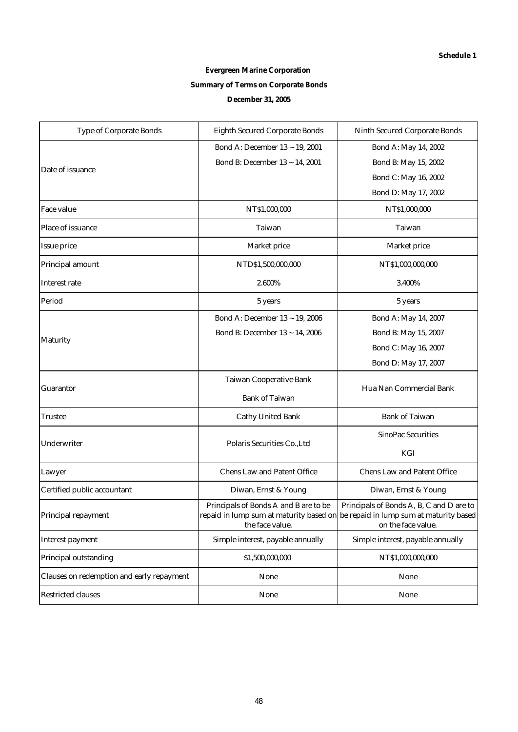# **Evergreen Marine Corporation Summary of Terms on Corporate Bonds December 31, 2005**

| <b>Type of Corporate Bonds</b>            | <b>Eighth Secured Corporate Bonds</b>                    | <b>Ninth Secured Corporate Bonds</b>                                                                                                              |  |  |  |
|-------------------------------------------|----------------------------------------------------------|---------------------------------------------------------------------------------------------------------------------------------------------------|--|--|--|
|                                           | Bond A: December 13 ~ 19, 2001                           | Bond A: May 14, 2002                                                                                                                              |  |  |  |
| Date of issuance                          | Bond B: December 13 ~ 14, 2001                           | Bond B: May 15, 2002                                                                                                                              |  |  |  |
|                                           |                                                          | Bond C: May 16, 2002                                                                                                                              |  |  |  |
|                                           |                                                          | Bond D: May 17, 2002                                                                                                                              |  |  |  |
| <b>Face value</b>                         | NT\$1,000,000                                            | NT\$1,000,000                                                                                                                                     |  |  |  |
| Place of issuance                         | <b>Taiwan</b>                                            | <b>Taiwan</b>                                                                                                                                     |  |  |  |
| <b>Issue price</b>                        | <b>Market price</b>                                      | Market price                                                                                                                                      |  |  |  |
| Principal amount                          | NTD\$1,500,000,000                                       | NT\$1,000,000,000                                                                                                                                 |  |  |  |
| <b>Interest rate</b>                      | 2.600%                                                   | 3.400%                                                                                                                                            |  |  |  |
| Period                                    | 5 years                                                  | 5 years                                                                                                                                           |  |  |  |
|                                           | Bond A: December 13 ~ 19, 2006                           | Bond A: May 14, 2007                                                                                                                              |  |  |  |
|                                           | Bond B: December 13 ~ 14, 2006                           | Bond B: May 15, 2007                                                                                                                              |  |  |  |
| <b>Maturity</b>                           |                                                          | Bond C: May 16, 2007                                                                                                                              |  |  |  |
|                                           |                                                          | Bond D: May 17, 2007                                                                                                                              |  |  |  |
|                                           | <b>Taiwan Cooperative Bank</b>                           |                                                                                                                                                   |  |  |  |
| <b>Guarantor</b>                          | <b>Bank of Taiwan</b>                                    | Hua Nan Commercial Bank                                                                                                                           |  |  |  |
| Trustee                                   | <b>Cathy United Bank</b>                                 | <b>Bank of Taiwan</b>                                                                                                                             |  |  |  |
|                                           |                                                          | <b>SinoPac Securities</b>                                                                                                                         |  |  |  |
| Underwriter                               | Polaris Securities Co., Ltd                              | KGI                                                                                                                                               |  |  |  |
| Lawyer                                    | <b>Chens Law and Patent Office</b>                       | <b>Chens Law and Patent Office</b>                                                                                                                |  |  |  |
| Certified public accountant               | Diwan, Ernst & Young                                     | Diwan, Ernst & Young                                                                                                                              |  |  |  |
| Principal repayment                       | Principals of Bonds A and B are to be<br>the face value. | Principals of Bonds A, B, C and D are to<br>repaid in lump sum at maturity based on be repaid in lump sum at maturity based<br>on the face value. |  |  |  |
| <b>Interest payment</b>                   | Simple interest, payable annually                        | Simple interest, payable annually                                                                                                                 |  |  |  |
| <b>Principal outstanding</b>              | \$1,500,000,000                                          | NT\$1,000,000,000                                                                                                                                 |  |  |  |
| Clauses on redemption and early repayment | <b>None</b>                                              | None                                                                                                                                              |  |  |  |
| <b>Restricted clauses</b>                 | <b>None</b>                                              | None                                                                                                                                              |  |  |  |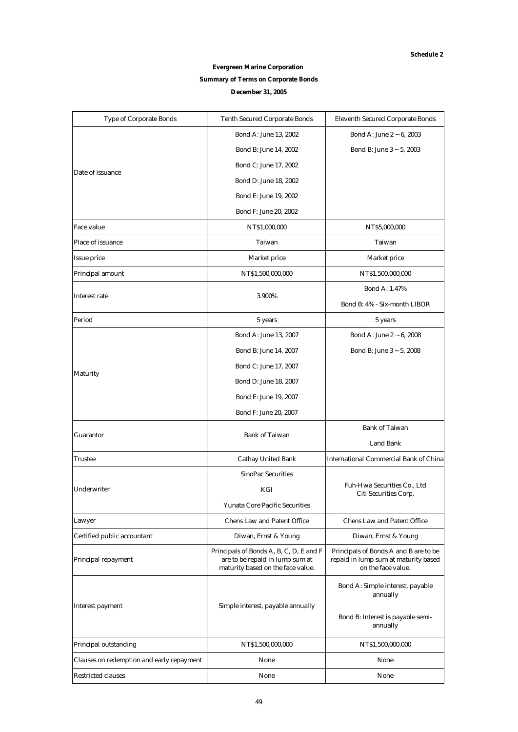## **Evergreen Marine Corporation**

### **Summary of Terms on Corporate Bonds**

#### **December 31, 2005**

| <b>Type of Corporate Bonds</b>            | <b>Tenth Secured Corporate Bonds</b>                                                                            | <b>Eleventh Secured Corporate Bonds</b>                                                             |  |  |  |
|-------------------------------------------|-----------------------------------------------------------------------------------------------------------------|-----------------------------------------------------------------------------------------------------|--|--|--|
|                                           | Bond A: June 13, 2002                                                                                           | Bond A: June 2 ~ 6, 2003                                                                            |  |  |  |
|                                           | Bond B: June 14, 2002                                                                                           | Bond B: June $3 \sim 5, 2003$                                                                       |  |  |  |
| Date of issuance                          | Bond C: June 17, 2002                                                                                           |                                                                                                     |  |  |  |
|                                           | Bond D: June 18, 2002                                                                                           |                                                                                                     |  |  |  |
|                                           | Bond E: June 19, 2002                                                                                           |                                                                                                     |  |  |  |
|                                           | Bond F: June 20, 2002                                                                                           |                                                                                                     |  |  |  |
| <b>Face value</b>                         | NT\$1,000,000                                                                                                   | NT\$5,000,000                                                                                       |  |  |  |
| Place of issuance                         | <b>Taiwan</b>                                                                                                   | Taiwan                                                                                              |  |  |  |
| <b>Issue price</b>                        | <b>Market price</b>                                                                                             | <b>Market price</b>                                                                                 |  |  |  |
| <b>Principal amount</b>                   | NT\$1,500,000,000                                                                                               | NT\$1,500,000,000                                                                                   |  |  |  |
|                                           |                                                                                                                 | <b>Bond A: 1.47%</b>                                                                                |  |  |  |
| <b>Interest rate</b>                      | 3.900%                                                                                                          | Bond B: 4% - Six-month LIBOR                                                                        |  |  |  |
| Period                                    | 5 years                                                                                                         | 5 years                                                                                             |  |  |  |
|                                           | Bond A: June 13, 2007                                                                                           | Bond A: June 2 ~ 6, 2008                                                                            |  |  |  |
|                                           | Bond B: June 14, 2007                                                                                           | Bond B: June $3 \sim 5$ , 2008                                                                      |  |  |  |
|                                           | Bond C: June 17, 2007                                                                                           |                                                                                                     |  |  |  |
| <b>Maturity</b>                           | Bond D: June 18, 2007                                                                                           |                                                                                                     |  |  |  |
|                                           | Bond E: June 19, 2007                                                                                           |                                                                                                     |  |  |  |
|                                           | Bond F: June 20, 2007                                                                                           |                                                                                                     |  |  |  |
|                                           |                                                                                                                 | <b>Bank of Taiwan</b>                                                                               |  |  |  |
| <b>Guarantor</b>                          | <b>Bank of Taiwan</b>                                                                                           | <b>Land Bank</b>                                                                                    |  |  |  |
| <b>Trustee</b>                            | <b>Cathay United Bank</b>                                                                                       | <b>International Commercial Bank of China</b>                                                       |  |  |  |
|                                           | <b>SinoPac Securities</b>                                                                                       |                                                                                                     |  |  |  |
| Underwriter                               | KGI                                                                                                             | Fuh-Hwa Securities Co., Ltd<br>Citi Securities Corp.                                                |  |  |  |
|                                           | <b>Yunata Core Pacific Securities</b>                                                                           |                                                                                                     |  |  |  |
| Lawyer                                    | <b>Chens Law and Patent Office</b>                                                                              | <b>Chens Law and Patent Office</b>                                                                  |  |  |  |
| Certified public accountant               | Diwan, Ernst & Young                                                                                            | Diwan, Ernst & Young                                                                                |  |  |  |
| <b>Principal repayment</b>                | Principals of Bonds A, B, C, D, E and F<br>are to be repaid in lump sum at<br>maturity based on the face value. | Principals of Bonds A and B are to be<br>repaid in lump sum at maturity based<br>on the face value. |  |  |  |
|                                           |                                                                                                                 | Bond A: Simple interest, payable<br>annually                                                        |  |  |  |
| <b>Interest payment</b>                   | Simple interest, payable annually                                                                               | Bond B: Interest is payable semi-<br>annually                                                       |  |  |  |
| Principal outstanding                     | NT\$1,500,000,000                                                                                               | NT\$1,500,000,000                                                                                   |  |  |  |
| Clauses on redemption and early repayment | None                                                                                                            | None                                                                                                |  |  |  |
| <b>Restricted clauses</b>                 | None                                                                                                            | None                                                                                                |  |  |  |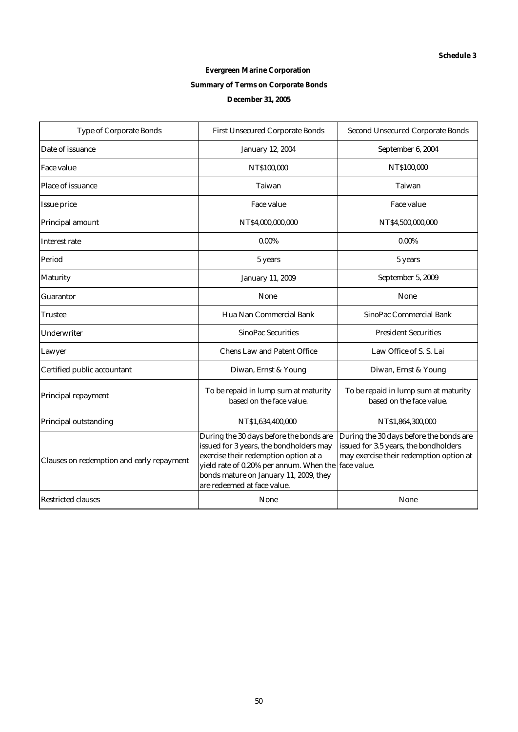# **Evergreen Marine Corporation Summary of Terms on Corporate Bonds December 31, 2005**

| <b>Type of Corporate Bonds</b>            | <b>First Unsecured Corporate Bonds</b>                                                                                                                                                                                                                      | <b>Second Unsecured Corporate Bonds</b>                                                                                     |
|-------------------------------------------|-------------------------------------------------------------------------------------------------------------------------------------------------------------------------------------------------------------------------------------------------------------|-----------------------------------------------------------------------------------------------------------------------------|
| Date of issuance                          | <b>January 12, 2004</b>                                                                                                                                                                                                                                     | September 6, 2004                                                                                                           |
| <b>Face value</b>                         | NT\$100,000                                                                                                                                                                                                                                                 | NT\$100,000                                                                                                                 |
| Place of issuance                         | <b>Taiwan</b>                                                                                                                                                                                                                                               | Taiwan                                                                                                                      |
| <b>Issue price</b>                        | <b>Face value</b>                                                                                                                                                                                                                                           | Face value                                                                                                                  |
| Principal amount                          | NT\$4,000,000,000                                                                                                                                                                                                                                           | NT\$4,500,000,000                                                                                                           |
| <b>Interest rate</b>                      | $0.00\%$                                                                                                                                                                                                                                                    | $0.00\%$                                                                                                                    |
| Period                                    | 5 years                                                                                                                                                                                                                                                     | 5 years                                                                                                                     |
| <b>Maturity</b>                           | <b>January 11, 2009</b>                                                                                                                                                                                                                                     | September 5, 2009                                                                                                           |
| <b>Guarantor</b>                          | <b>None</b>                                                                                                                                                                                                                                                 | <b>None</b>                                                                                                                 |
| Trustee                                   | Hua Nan Commercial Bank                                                                                                                                                                                                                                     | <b>SinoPac Commercial Bank</b>                                                                                              |
| <b>Underwriter</b>                        | <b>SinoPac Securities</b>                                                                                                                                                                                                                                   | <b>President Securities</b>                                                                                                 |
| Lawyer                                    | <b>Chens Law and Patent Office</b>                                                                                                                                                                                                                          | Law Office of S. S. Lai                                                                                                     |
| Certified public accountant               | Diwan, Ernst & Young                                                                                                                                                                                                                                        | Diwan, Ernst & Young                                                                                                        |
| Principal repayment                       | To be repaid in lump sum at maturity<br>based on the face value.                                                                                                                                                                                            | To be repaid in lump sum at maturity<br>based on the face value.                                                            |
| Principal outstanding                     | NT\$1,634,400,000                                                                                                                                                                                                                                           | NT\$1,864,300,000                                                                                                           |
| Clauses on redemption and early repayment | During the 30 days before the bonds are<br>issued for 3 years, the bondholders may<br>exercise their redemption option at a<br>yield rate of 0.20% per annum. When the face value.<br>bonds mature on January 11, 2009, they<br>are redeemed at face value. | During the 30 days before the bonds are<br>issued for 3.5 years, the bondholders<br>may exercise their redemption option at |
| <b>Restricted clauses</b>                 | <b>None</b>                                                                                                                                                                                                                                                 | None                                                                                                                        |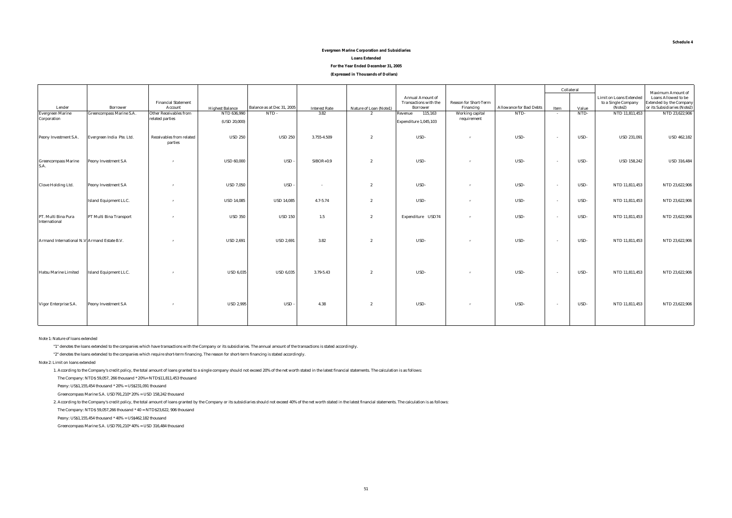#### **(Expressed in Thousands of Dollars) Evergreen Marine Corporation and Subsidiaries Loans Extended For the Year Ended December 31, 2005**

|                                             |                                 |                                            |                                       |                            |                              |                                          |                                          |                                           |                                |                | Collateral    |                                | <b>Maximum Amount of</b>                                      |
|---------------------------------------------|---------------------------------|--------------------------------------------|---------------------------------------|----------------------------|------------------------------|------------------------------------------|------------------------------------------|-------------------------------------------|--------------------------------|----------------|---------------|--------------------------------|---------------------------------------------------------------|
|                                             |                                 |                                            |                                       |                            |                              |                                          | <b>Annual Amount of</b>                  |                                           |                                |                |               | <b>Limit on Loans Extended</b> | <b>Loans Allowed to be</b>                                    |
| Lender                                      | <b>Borrower</b>                 | <b>Financial Statement</b><br>Account      |                                       | Balance as at Dec 31, 2005 |                              |                                          | Transactions with the<br><b>Borrower</b> | <b>Reason for Short-Term</b><br>Financing | <b>Allowance for Bad Debts</b> |                |               | to a Single Company<br>(Note2) | <b>Extended by the Company</b><br>or its Subsidiaries (Note2) |
| <b>Evergreen Marine</b>                     | <b>Greencompass Marine S.A.</b> | <b>Other Receivables from</b>              | <b>Highest Balance</b><br>NTD 636,990 | $NTD -$                    | <b>Interest Rate</b><br>3.82 | Nature of Loan (Note1)<br>$\overline{2}$ | 115,163<br>Revenue                       | Working capital                           | NTD-                           | Item<br>$\sim$ | Value<br>NTD- | NTD 11,811,453                 | NTD 23,622,906                                                |
| Corporation                                 |                                 | related parties                            |                                       |                            |                              |                                          |                                          | requirement                               |                                |                |               |                                |                                                               |
|                                             |                                 |                                            | (USD 20,000)                          |                            |                              |                                          | Expenditure 1,045,103                    |                                           |                                |                |               |                                |                                                               |
| Peony Investment S.A.                       | Evergreen India Pte. Ltd.       | <b>Receivables from related</b><br>parties | <b>USD 250</b>                        | <b>USD 250</b>             | 3.755-4.509                  | $\overline{2}$                           | USD-                                     | $\mathbf{u}$                              | USD-                           | $\sim$         | USD-          | <b>USD 231,091</b>             | <b>USD 462,182</b>                                            |
| <b>Greencompass Marine</b><br>S.A.          | Peony Investment S.A            | $\boldsymbol{\pi}$                         | <b>USD 60,000</b>                     | USD-                       | $SIBOR+0.9$                  | $\overline{2}$                           | USD-                                     |                                           | USD-                           | $\sim$         | USD-          | <b>USD 158,242</b>             | <b>USD 316,484</b>                                            |
| <b>Clove Holding Ltd.</b>                   | <b>Peony Investment S.A</b>     | $\boldsymbol{\pi}$                         | <b>USD 7,050</b>                      | USD-                       |                              | $\overline{2}$                           | USD-                                     | $\mathbf{u}$                              | USD-                           | $\sim$         | USD-          | NTD 11,811,453                 | NTD 23,622,906                                                |
|                                             | <b>Island Equipment LLC.</b>    | $^{\prime\prime}$                          | <b>USD 14,085</b>                     | <b>USD 14,085</b>          | $4.7 - 5.74$                 | $\overline{2}$                           | USD-                                     | $\mathbf{u}$                              | USD-                           | $\sim$         | USD-          | NTD 11,811,453                 | NTD 23,622,906                                                |
| PT. Multi Bina Pura<br>International        | PT Multi Bina Transport         | $\boldsymbol{\pi}$                         | <b>USD 350</b>                        | <b>USD 150</b>             | 1.5                          | $\mathbf{2}$                             | Expenditure USD74                        | $\mathbf{u}$                              | USD-                           | $\sim$         | USD-          | NTD 11,811,453                 | NTD 23,622,906                                                |
| Armand International N.V Armand Estate B.V. |                                 | $\boldsymbol{\pi}$                         | <b>USD 2,691</b>                      | <b>USD 2,691</b>           | 3.82                         | $\overline{2}$                           | USD-                                     | $\mathbf{u}$                              | USD-                           | $\sim$         | USD-          | NTD 11,811,453                 | NTD 23,622,906                                                |
| <b>Hatsu Marine Limited</b>                 | <b>Island Equipment LLC.</b>    | $^{\prime\prime}$                          | <b>USD 6,035</b>                      | <b>USD 6,035</b>           | 3.79-5.43                    | $\boldsymbol{2}$                         | USD-                                     | $\mathbf{u}$                              | USD-                           | $\sim$         | USD-          | NTD 11,811,453                 | NTD 23,622,906                                                |
| Vigor Enterprise S.A.                       | Peony Investment S.A            | $^{\prime\prime}$                          | <b>USD 2,995</b>                      | USD-                       | 4.38                         | $\overline{2}$                           | USD-                                     | $\boldsymbol{\eta}$                       | USD-                           | $\sim$         | USD-          | NTD 11,811,453                 | NTD 23,622,906                                                |

Note 1: Nature of loans extended

"1" denotes the loans extended to the companies which have transactions with the Company or its subsidiaries. The annual amount of the transactions is stated accordingly.

"2" denotes the loans extended to the companies which require short-term financing. The reason for short-term financing is stated accordingly.

Note 2: Limit on loans extended

1. According to the Company's credit policy, the total amount of loans granted to a single company should not exceed 20% of the net worth stated in the latest financial statements. The calculation is as follows:

The Company: NTD\$ 59,057, 266 thousand \* 20%= NTD\$11,811,453 thousand

Peony: US\$1,155,454 thousand \* 20% = US\$231,091 thousand

Greencompass Marine S.A. USD791,210\* 20% = USD 158,242 thousand

2. According to the Company's credit policy, the total amount of loans granted by the Company or its subsidiaries should not exceed 40% of the net worth stated in the latest financial statements. The calculation is as foll

The Company: NTD\$ 59,057,266 thousand \* 40 = NTD\$23,622, 906 thousand

Peony: US\$1,155,454 thousand \* 40% = US\$462,182 thousand

Greencompass Marine S.A. USD791,210\* 40% = USD 316,484 thousand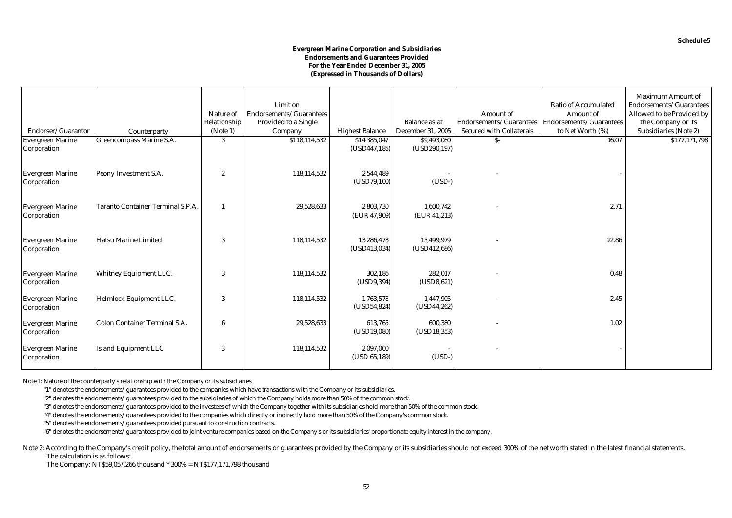#### **Evergreen Marine Corporation and Subsidiaries Endorsements and Guarantees Provided For the Year Ended December 31, 2005 (Expressed in Thousands of Dollars)**

| Endorser/Guarantor                     |                                          | Nature of<br>Relationship | Limit on<br>Endorsements/Guarantees<br><b>Provided to a Single</b> |                                        | <b>Balance as at</b><br><b>December 31, 2005</b> | <b>Amount</b> of<br>Endorsements/Guarantees<br><b>Secured with Collaterals</b> | <b>Ratio of Accumulated</b><br><b>Amount of</b><br>Endorsements/Guarantees | <b>Maximum Amount of</b><br>Endorsements/Guarantees<br>Allowed to be Provided by<br>the Company or its |
|----------------------------------------|------------------------------------------|---------------------------|--------------------------------------------------------------------|----------------------------------------|--------------------------------------------------|--------------------------------------------------------------------------------|----------------------------------------------------------------------------|--------------------------------------------------------------------------------------------------------|
|                                        | Counterparty                             | (Note 1)                  | Company                                                            | <b>Highest Balance</b><br>\$14,385,047 |                                                  |                                                                                | to Net Worth (%)<br>16.07                                                  | <b>Subsidiaries (Note 2)</b>                                                                           |
| <b>Evergreen Marine</b><br>Corporation | Greencompass Marine S.A.                 | 3                         | \$118,114,532                                                      | (USD447, 185)                          | \$9,493,080<br>(USD290,197)                      | $S-$                                                                           |                                                                            | \$177,171,798                                                                                          |
| <b>Evergreen Marine</b><br>Corporation | Peony Investment S.A.                    | $\boldsymbol{2}$          | 118,114,532                                                        | 2,544,489<br>(USD79, 100)              | $(USD-)$                                         |                                                                                |                                                                            |                                                                                                        |
| <b>Evergreen Marine</b><br>Corporation | <b>Taranto Container Terminal S.P.A.</b> | -1                        | 29,528,633                                                         | 2.803.730<br>(EUR 47,909)              | 1.600.742<br>(EUR 41,213)                        |                                                                                | 2.71                                                                       |                                                                                                        |
| <b>Evergreen Marine</b><br>Corporation | <b>Hatsu Marine Limited</b>              | 3                         | 118,114,532                                                        | 13,286,478<br>(USD413,034)             | 13,499,979<br>(USD412, 686)                      |                                                                                | 22.86                                                                      |                                                                                                        |
| <b>Evergreen Marine</b><br>Corporation | <b>Whitney Equipment LLC.</b>            | 3                         | 118,114,532                                                        | 302,186<br>(USD9, 394)                 | 282,017<br>(USD8, 621)                           |                                                                                | 0.48                                                                       |                                                                                                        |
| <b>Evergreen Marine</b><br>Corporation | <b>Helmlock Equipment LLC.</b>           | 3                         | 118,114,532                                                        | 1,763,578<br>(USD54, 824)              | 1,447,905<br>(USD44, 262)                        |                                                                                | 2.45                                                                       |                                                                                                        |
| <b>Evergreen Marine</b><br>Corporation | <b>Colon Container Terminal S.A.</b>     | $6\phantom{1}6$           | 29,528,633                                                         | 613,765<br>(USD19,080)                 | 600,380<br>(USD18, 353)                          |                                                                                | 1.02                                                                       |                                                                                                        |
| <b>Evergreen Marine</b><br>Corporation | <b>Island Equipment LLC</b>              | 3                         | 118,114,532                                                        | 2,097,000<br>(USD 65,189)              | $(USD-)$                                         |                                                                                |                                                                            |                                                                                                        |

Note 1: Nature of the counterparty's relationship with the Company or its subsidiaries

"1" denotes the endorsements/guarantees provided to the companies which have transactions with the Company or its subsidiaries.

"2" denotes the endorsements/guarantees provided to the subsidiaries of which the Company holds more than 50% of the common stock.

"3" denotes the endorsements/guarantees provided to the investees of which the Company together with its subsidiaries hold more than 50% of the common stock.

"4" denotes the endorsements/guarantees provided to the companies which directly or indirectly hold more than 50% of the Company's common stock.

"5" denotes the endorsements/guarantees provided pursuant to construction contracts.

"6" denotes the endorsements/guarantees provided to joint venture companies based on the Company's or its subsidiaries' proportionate equity interest in the company.

Note 2: According to the Company's credit policy, the total amount of endorsements or guarantees provided by the Company or its subsidiaries should not exceed 300% of the net worth stated in the latest financial statements The calculation is as follows:

The Company: NT\$59,057,266 thousand \* 300% = NT\$177,171,798 thousand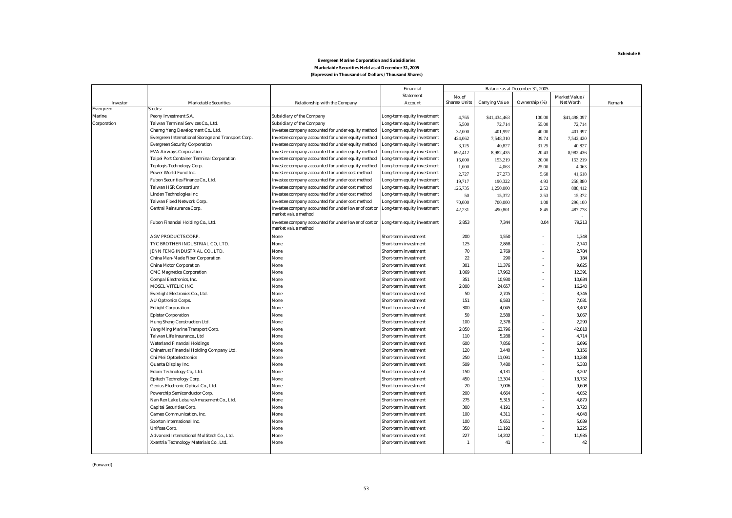#### **Marketable Securities Held as at December 31, 2005 (Expressed in Thousands of Dollars / Thousand Shares) Evergreen Marine Corporation and Subsidiaries**

|             |                                                     |                                                                              | Financial                   | Balance as at December 31, 2005 |                       |               |                  |        |
|-------------|-----------------------------------------------------|------------------------------------------------------------------------------|-----------------------------|---------------------------------|-----------------------|---------------|------------------|--------|
|             |                                                     |                                                                              | <b>Statement</b>            | No. of                          |                       |               | Market Value /   |        |
| Investor    | <b>Marketable Securities</b>                        | <b>Relationship with the Company</b>                                         | Account                     | Shares/Units                    | <b>Carrying Value</b> | Ownership (%) | <b>Net Worth</b> | Remark |
| Evergreen   | Stocks:                                             |                                                                              |                             |                                 |                       |               |                  |        |
| Marine      | Peony Investment S.A.                               | <b>Subsidiary of the Company</b>                                             | Long-term equity investment | 4,765                           | \$41,434,463          | 100.00        | \$41,498,097     |        |
| Corporation | Taiwan Terminal Services Co., Ltd.                  | <b>Subsidiary of the Company</b>                                             | Long-term equity investment | 5,500                           | 72,714                | 55.00         | 72,714           |        |
|             | Charng Yang Development Co., Ltd.                   | Investee company accounted for under equity method                           | Long-term equity investment | 32,000                          | 401,997               | 40.00         | 401,997          |        |
|             | Evergreen International Storage and Transport Corp. | Investee company accounted for under equity method                           | Long-term equity investment | 424,062                         | 7,548,310             | 39.74         | 7,542,420        |        |
|             | <b>Evergreen Security Corporation</b>               | Investee company accounted for under equity method                           | Long-term equity investment | 3,125                           | 40,827                | 31.25         | 40.827           |        |
|             | <b>EVA Airways Corporation</b>                      | Investee company accounted for under equity method                           | Long-term equity investment | 692,412                         | 8,982,435             | 20.43         | 8,982,436        |        |
|             | <b>Taipei Port Container Terminal Corporation</b>   | Investee company accounted for under equity method                           | Long-term equity investment | 16,000                          | 153,219               | 20.00         | 153,219          |        |
|             | <b>Toplogis Technology Corp.</b>                    | Investee company accounted for under equity method                           | Long-term equity investment | 1,000                           | 4,063                 | 25.00         | 4,063            |        |
|             | Power World Fund Inc.                               | Investee company accounted for under cost method                             | Long-term equity investment | 2,727                           | 27,273                | 5.68          | 41,618           |        |
|             | Fubon Securities Finance Co., Ltd.                  | Investee company accounted for under cost method                             | Long-term equity investment | 19,717                          | 190,322               | 4.93          | 258,880          |        |
|             | <b>Taiwan HSR Consortium</b>                        | Investee company accounted for under cost method                             | Long-term equity investment | 126,735                         | 1,250,000             | 2.53          | 888,412          |        |
|             | Linden Technologies Inc.                            | Investee company accounted for under cost method                             | Long-term equity investment | 50                              | 15,372                | 2.53          | 15,372           |        |
|             | Taiwan Fixed Network Corp.                          | Investee company accounted for under cost method                             | Long-term equity investment | 70,000                          | 700,000               | 1.08          | 296,100          |        |
|             | Central Reinsurance Corp.                           | Investee company accounted for under lower of cost or<br>market value method | Long-term equity investment | 42,231                          | 490,801               | 8.45          | 487,778          |        |
|             | Fubon Financial Holding Co., Ltd.                   | Investee company accounted for under lower of cost or<br>market value method | Long-term equity investment | 2,853                           | 7,344                 | 0.04          | 79,213           |        |
|             | <b>AGV PRODUCTS CORP.</b>                           | None                                                                         | Short-term investment       | 200                             | 1,550                 |               | 1,348            |        |
|             | TYC BROTHER INDUSTRIAL CO, LTD.                     | None                                                                         | Short-term investment       | 125                             | 2,868                 |               | 2,740            |        |
|             | JENN FENG INDUSTRIAL CO., LTD.                      | None                                                                         | Short-term investment       | 70                              | 2,769                 |               | 2,784            |        |
|             | China Man-Made Fiber Corporation                    | None                                                                         | Short-term investment       | 22                              | 290                   |               | 184              |        |
|             | <b>China Motor Corporation</b>                      | None                                                                         | Short-term investment       | 301                             | 11,376                |               | 9,625            |        |
|             | <b>CMC Magnetics Corporation</b>                    | None                                                                         | Short-term investment       | 1.069                           | 17.962                |               | 12,391           |        |
|             | Compal Electronics, Inc.                            | None                                                                         | Short-term investment       | 351                             | 10,930                |               | 10,634           |        |
|             | MOSEL VITELIC INC.                                  | None                                                                         | Short-term investment       | 2,000                           | 24,657                |               | 16,240           |        |
|             | Everlight Electronics Co., Ltd.                     | None                                                                         | Short-term investment       | 50                              | 2.705                 |               | 3,346            |        |
|             | <b>AU Optronics Corps.</b>                          | None                                                                         | Short-term investment       | 151                             | 6,583                 |               | 7,031            |        |
|             | <b>Enlight Corporation</b>                          | None                                                                         | Short-term investment       | 300                             | 4,045                 |               | 3,402            |        |
|             | <b>Epistar Corporation</b>                          | None                                                                         | Short-term investment       | 50                              | 2,588                 |               | 3,067            |        |
|             | Hung Sheng Construction Ltd.                        | None                                                                         | Short-term investment       | 100                             | 2.378                 |               | 2,299            |        |
|             | Yang Ming Marine Transport Corp.                    | None                                                                         | Short-term investment       | 2,050                           | 63,796                |               | 42,818           |        |
|             | Taiwan Life Insurance., Ltd                         | None                                                                         | Short-term investment       | 110                             | 5.288                 |               | 4,714            |        |
|             | <b>Waterland Financial Holdings</b>                 | None                                                                         | Short-term investment       | 600                             | 7,856                 |               | 6,696            |        |
|             | Chinatrust Financial Holding Company Ltd.           | None                                                                         | Short-term investment       | 120                             | 3,440                 |               | 3,156            |        |
|             | Chi Mei Optoelectronics                             | None                                                                         | Short-term investment       | 250                             | 11.091                |               | 10,288           |        |
|             | Quanta Display Inc.                                 | None                                                                         | Short-term investment       | 509                             | 7,480                 |               | 5,383            |        |
|             | Edom Technology Co,. Ltd.                           | None                                                                         | Short-term investment       | 150                             | 4,131                 |               | 3,207            |        |
|             | <b>Epitech Technology Corp.</b>                     | None                                                                         | Short-term investment       | 450                             | 13,304                |               | 13,752           |        |
|             | Genius Electronic Optical Co., Ltd.                 | None                                                                         | Short-term investment       | 20                              | 7,006                 |               | 9,608            |        |
|             | Powerchip Semiconductor Corp.                       | None                                                                         | Short-term investment       | 200                             | 4,664                 |               | 4,052            |        |
|             | Nan Ren Lake Leisure Amusement Co., Ltd.            | None                                                                         | Short-term investment       | 275                             | 5,315                 |               | 4,879            |        |
|             | <b>Capital Securities Corp.</b>                     | None                                                                         | Short-term investment       | 300                             | 4,191                 |               | 3,720            |        |
|             | Cameo Communication, Inc.                           | None                                                                         | Short-term investment       | 100                             | 4,311                 |               | 4,048            |        |
|             | Sporton International Inc.                          | None                                                                         | Short-term investment       | 100                             | 5,651                 |               | 5,039            |        |
|             | Unifosa Corp.                                       | None                                                                         | Short-term investment       | 350                             | 11,192                |               | 8,225            |        |
|             | Advanced International Multitech Co., Ltd.          | None                                                                         | Short-term investment       | 227                             | 14.202                |               | 11,935           |        |
|             | Xxentria Technology Materials Co., Ltd.             | None                                                                         | Short-term investment       | $\mathbf{1}$                    | 41                    |               | 42               |        |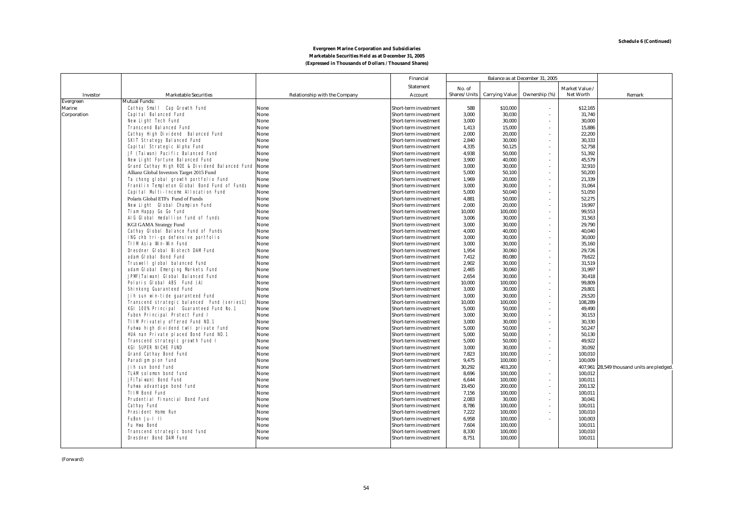#### **Marketable Securities Held as at December 31, 2005 (Expressed in Thousands of Dollars / Thousand Shares) Evergreen Marine Corporation and Subsidiaries**

|               |                                                                   |                                      | Financial                                      | Balance as at December 31, 2005 |                       |               |                  |                                    |
|---------------|-------------------------------------------------------------------|--------------------------------------|------------------------------------------------|---------------------------------|-----------------------|---------------|------------------|------------------------------------|
|               |                                                                   |                                      | <b>Statement</b>                               | No. of                          |                       |               | Market Value     |                                    |
| Investor      | <b>Marketable Securities</b>                                      | <b>Relationship with the Company</b> | Account                                        | Shares/Units                    | <b>Carrying Value</b> | Ownership (%) | Net Worth        | Remark                             |
| Evergreen     | <b>Mutual Funds:</b>                                              |                                      |                                                |                                 |                       |               |                  |                                    |
| <b>Marine</b> | Cathay Small Cap Growth Fund                                      | None                                 | Short-term investment                          | 588                             | \$10,000              |               | \$12,165         |                                    |
| Corporation   | Capital Balanced Fund                                             | None                                 | Short-term investment                          | 3,000                           | 30,030                |               | 31,740           |                                    |
|               | New Light Tech Fund                                               | None                                 | Short-term investment                          | 3.000                           | 30.000                |               | 30,000           |                                    |
|               | <b>Transcend Balanced Fund</b>                                    | None                                 | Short-term investment                          | 1,413                           | 15,000                |               | 15,886           |                                    |
|               | Cathay High Dividend Balanced Fund                                | None                                 | Short-term investment                          | 2,000                           | 20,000                |               | 22,200           |                                    |
|               | <b>SKIT Strategy Balanced Fund</b>                                | None                                 | Short-term investment                          | 2,840                           | 30,000                |               | 30,333           |                                    |
|               | Capital Strategic Alpha Fund                                      | None                                 | Short-term investment                          | 4,335                           | 50,125                |               | 52,758           |                                    |
|               | JF (Taiwan) Pacific Balanced Fund                                 | None                                 | Short-term investment                          | 4,938                           | 50,000                |               | 51,392           |                                    |
|               | New Light Fortune Balanced Fund                                   | None                                 | Short-term investment                          | 3,900                           | 40,000                |               | 45,579           |                                    |
|               | Grand Cathay High ROE & Dividend Balanced Fund None               |                                      | Short-term investment                          | 3,000                           | 30,000                |               | 32,910           |                                    |
|               | Allianz Global Investors Target 2015 Fund                         | None                                 | Short-term investment                          | 5,000                           | 50,100                |               | 50,200           |                                    |
|               | Ta chong global growth portfolio Fund                             | None                                 | Short-term investment                          | 1,969                           | 20,000                |               | 21,339           |                                    |
|               | Franklin Templeton Global Bond Fund of Funds                      | None                                 | Short-term investment                          | 3,000                           | 30,000                |               | 31,064           |                                    |
|               | Capital Multi-Income Allocation Fund                              | None                                 | Short-term investment                          | 5,000                           | 50,040                |               | 51,050           |                                    |
|               | Polaris Global ETFs Fund of Funds                                 | None                                 | Short-term investment                          | 4,881                           | 50,000                |               | 52,275           |                                    |
|               | New Light Global Champion Fund                                    | None                                 | Short-term investment                          | 2,000                           | 20,000                |               | 19,997           |                                    |
|               | Tlam Happy Go Go fund                                             | None                                 | Short-term investment                          | 10,000                          | 100,000               |               | 99,553           |                                    |
|               | AIG Global medallion fund of funds                                | None                                 | Short-term investment                          | 3,006                           | 30,000                |               | 31,563           |                                    |
|               | <b>KGI GAMA Strategy Fund</b>                                     | None                                 | Short-term investment                          | 3,000                           | 30,000                |               | 29,790           |                                    |
|               | Cathay Global Balance Fund of Funds                               | None                                 | Short-term investment                          | 4,000                           | 40,000                |               | 40,040           |                                    |
|               | ING chb tri-go defensive portfolio                                | None                                 | Short-term investment                          | 3.000                           | 30.000                |               | 30.000           |                                    |
|               | <b>TIIM Asia Win-Win Fund</b><br>Dresdner Global Biotech DAM Fund | None                                 | Short-term investment                          | 3.000                           | 30.000                |               | 35.160           |                                    |
|               | adam Global Bond Fund                                             | None<br>None                         | Short-term investment<br>Short-term investment | 1,954<br>7,412                  | 30,060<br>80,080      |               | 29,726<br>79,622 |                                    |
|               | Truswell global balanced Fund                                     | None                                 |                                                | 2.902                           | 30.000                |               | 31,519           |                                    |
|               | adam Global Emerging Markets Fund                                 | None                                 | Short-term investment<br>Short-term investment | 2.465                           | 30.060                |               | 31.997           |                                    |
|               | JPMF (Taiwan) Global Balanced Fund                                | None                                 | Short-term investment                          | 2.654                           | 30.000                |               | 30,418           |                                    |
|               | Polaris Global ABS Fund (A)                                       | None                                 | Short-term investment                          | 10.000                          | 100.000               |               | 99,809           |                                    |
|               | Shinkong Guaranteed Fund                                          | None                                 | <b>Short-term investment</b>                   | 3.000                           | 30.000                |               | 29,801           |                                    |
|               | Jih sun win-tide quaranteed Fund                                  | None                                 | Short-term investment                          | 3.000                           | 30.000                |               | 29.520           |                                    |
|               | Transcend strategic balanced Fund (series1)                       | None                                 | <b>Short-term investment</b>                   | 10.000                          | 100.000               |               | 108.289          |                                    |
|               | KGI 100% Principal Guaranteed Fund No.1                           | None                                 | Short-term investment                          | 5.000                           | 50.000                |               | 49,490           |                                    |
|               | Fubon Principal Protect Fund I                                    | None                                 | Short-term investment                          | 3,000                           | 30.000                |               | 30,153           |                                    |
|               | TIIM Privately offered Fund NO.1                                  | None                                 | Short-term investment                          | 3.000                           | 30.000                |               | 30.330           |                                    |
|               | Fuhwa high dividend twll private fund                             | None                                 | Short-term investment                          | 5.000                           | 50.000                |               | 50.247           |                                    |
|               | HUA nan Private placed Bond Fund NO.1                             | None                                 | <b>Short-term investment</b>                   | 5.000                           | 50.000                |               | 50.130           |                                    |
|               | Transcend strategic growth fund I                                 | None                                 | Short-term investment                          | 5.000                           | 50.000                |               | 49.922           |                                    |
|               | <b>KGI SUPER NICHE FUND</b>                                       | None                                 | Short-term investment                          | 3,000                           | 30.000                |               | 30,092           |                                    |
|               | <b>Grand Cathay Bond Fund</b>                                     | None                                 | <b>Short-term investment</b>                   | 7.823                           | 100,000               |               | 100,010          |                                    |
|               | Paradigm pion fund                                                | None                                 | Short-term investment                          | 9.475                           | 100.000               |               | 100.009          |                                    |
|               | Jih sun bond fund                                                 | None                                 | Short-term investment                          | 30.292                          | 403.200               |               | 407,961          | 28,549 thousand units are pledged. |
|               | <b>TLAM solomon bond fund</b>                                     | None                                 | Short-term investment                          | 8.696                           | 100.000               |               | 100,012          |                                    |
|               | JF(Taiwan) Bond Fund                                              | None                                 | <b>Short-term investment</b>                   | 6,644                           | 100.000               |               | 100,011          |                                    |
|               | Fuhwa advantage bond fund                                         | None                                 | Short-term investment                          | 19.450                          | 200,000               |               | 200,132          |                                    |
|               | <b>TIIM Bond Fund</b>                                             | None                                 | Short-term investment                          | 7,156                           | 100.000               |               | 100,011          |                                    |
|               | <b>Prudential Financial Bond Fund</b>                             | None                                 | Short-term investment                          | 2.083                           | 30.000                |               | 30,041           |                                    |
|               | <b>Cathay Fund</b>                                                | None                                 | Short-term investment                          | 8.786                           | 100.000               |               | 100,011          |                                    |
|               | <b>President Home Run</b>                                         | None                                 | <b>Short-term investment</b>                   | 7,222                           | 100,000               |               | 100,010          |                                    |
|               | FuBon Ju-1 11                                                     | None                                 | Short-term investment                          | 6.958                           | 100,000               |               | 100,003          |                                    |
|               | <b>Fu Hwa Bond</b>                                                | None                                 | <b>Short-term investment</b>                   | 7.604                           | 100,000               |               | 100,011          |                                    |
|               | Transcend strategic bond fund                                     | None                                 | <b>Short-term investment</b>                   | 8.330                           | 100,000               |               | 100,010          |                                    |
|               | <b>Dresdner Bond DAM Fund</b>                                     | None                                 | Short-term investment                          | 8.751                           | 100,000               |               | 100,011          |                                    |
|               |                                                                   |                                      |                                                |                                 |                       |               |                  |                                    |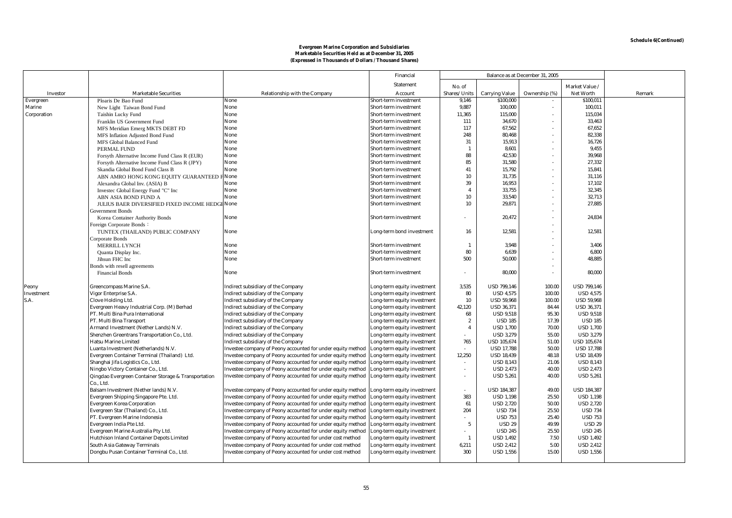#### **Marketable Securities Held as at December 31, 2005 Evergreen Marine Corporation and Subsidiaries (Expressed in Thousands of Dollars / Thousand Shares)**

|                 |                                                      |                                                             | Financial                    |                          |                       | Balance as at December 31, 2005 |                    |        |
|-----------------|------------------------------------------------------|-------------------------------------------------------------|------------------------------|--------------------------|-----------------------|---------------------------------|--------------------|--------|
|                 |                                                      |                                                             | <b>Statement</b>             | No. of                   |                       |                                 | Market Value       |        |
| <b>Investor</b> | <b>Marketable Securities</b>                         | Relationship with the Company                               | Account                      | Shares/Units             | <b>Carrying Value</b> | Ownership (%)                   | <b>Net Worth</b>   | Remark |
| Evergreen       | Ploaris De Bao Fund                                  | None                                                        | Short-term investment        | 9,146                    | \$100,000             |                                 | \$100,011          |        |
| Marine          | New Light Taiwan Bond Fund                           | None                                                        | Short-term investment        | 9,887                    | 100,000               | ٠                               | 100,011            |        |
| Corporation     | Taishin Lucky Fund                                   | None                                                        | <b>Short-term investment</b> | 11,365                   | 115,000               |                                 | 115,034            |        |
|                 | Franklin US Government Fund                          | None                                                        | <b>Short-term investment</b> | 111                      | 34,670                |                                 | 33,463             |        |
|                 | MFS Meridian Emerg MKTS DEBT FD                      | None                                                        | Short-term investment        | 117                      | 67,562                |                                 | 67,652             |        |
|                 | MFS Inflation Adjusted Bond Fund                     | None                                                        | <b>Short-term investment</b> | 248                      | 80,468                |                                 | 82,338             |        |
|                 | MFS Global Balanced Fund                             | None                                                        | <b>Short-term investment</b> | 31                       | 15,913                |                                 | 16,726             |        |
|                 | PERMAL FUND                                          | None                                                        | Short-term investment        | $\mathbf{1}$             | 8,601                 |                                 | 9,455              |        |
|                 | Forsyth Alternative Income Fund Class R (EUR)        | None                                                        | Short-term investment        | 88                       | 42.530                |                                 | 39.968             |        |
|                 | Forsyth Alternative Income Fund Class R (JPY)        | None                                                        | Short-term investment        | 85                       | 31.580                |                                 | 27.332             |        |
|                 | Skandia Global Bond Fund Class B                     | None                                                        | Short-term investment        | 41                       | 15,792                |                                 | 15,841             |        |
|                 | ABN AMRO HONG KONG EQUITY GUARANTEED                 | None                                                        | Short-term investment        | 10                       | 31,735                |                                 | 31,116             |        |
|                 | Alexandra Global Inv. (ASIA) B                       | None                                                        | Short-term investment        | 39                       | 16,953                |                                 | 17,102             |        |
|                 | Investec Global Energy Fund "C" Inc                  | None                                                        | Short-term investment        | $\overline{\mathbf{4}}$  | 33,755                |                                 | 32,345             |        |
|                 | ABN ASIA BOND FUND A                                 | None                                                        | <b>Short-term investment</b> | 10                       | 33,540                |                                 | 32,713             |        |
|                 | JULIUS BAER DIVERSIFIED FIXED INCOME HEDGE None      |                                                             | Short-term investment        | 10                       | 29,871                |                                 | 27,885             |        |
|                 | Government Bonds                                     |                                                             |                              |                          |                       |                                 |                    |        |
|                 | Korea Container Authority Bonds                      | None                                                        | <b>Short-term investment</b> | $\overline{\phantom{a}}$ | 20,472                | ٠                               | 24,834             |        |
|                 | oreign Corporate Bonds:                              |                                                             |                              |                          |                       |                                 |                    |        |
|                 | TUNTEX (THAILAND) PUBLIC COMPANY                     | None                                                        | Long-term bond investment    | 16                       | 12,581                |                                 | 12,581             |        |
|                 | Corporate Bonds                                      |                                                             |                              |                          |                       |                                 |                    |        |
|                 | <b>MERRILL LYNCH</b>                                 | None                                                        | <b>Short-term investment</b> | $\mathbf{1}$             | 3.948                 |                                 | 3,406              |        |
|                 | Quanta Display Inc.                                  | None                                                        | <b>Short-term investment</b> | 80                       | 6.639                 |                                 | 6,800              |        |
|                 | Jihsun FHC Inc                                       | None                                                        | <b>Short-term investment</b> | 500                      | 50.000                |                                 | 48.885             |        |
|                 | Bonds with resell agreements                         |                                                             |                              |                          |                       |                                 |                    |        |
|                 | <b>Financial Bonds</b>                               | None                                                        | Short-term investment        | ٠                        | 80,000                |                                 | 80,000             |        |
|                 |                                                      |                                                             |                              |                          |                       |                                 |                    |        |
| Peony           | Greencompass Marine S.A.                             | <b>Indirect subsidiary of the Company</b>                   | Long-term equity investment  | 3,535                    | <b>USD 799,146</b>    | 100.00                          | <b>USD 799,146</b> |        |
| Investment      | Vigor Enterprise S.A.                                | <b>Indirect subsidiary of the Company</b>                   | Long-term equity investment  | 80                       | <b>USD 4,575</b>      | 100.00                          | <b>USD 4,575</b>   |        |
| S.A.            | Clove Holding Ltd.                                   | <b>Indirect subsidiary of the Company</b>                   | Long-term equity investment  | 10                       | <b>USD 59,968</b>     | 100.00                          | <b>USD 59,968</b>  |        |
|                 | Evergreen Heavy Industrial Corp. (M) Berhad          | <b>Indirect subsidiary of the Company</b>                   | Long-term equity investment  | 42,120                   | <b>USD 36,371</b>     | 84.44                           | <b>USD 36,371</b>  |        |
|                 | PT. Multi Bina Pura International                    | <b>Indirect subsidiary of the Company</b>                   | Long-term equity investment  | 68                       | <b>USD 9,518</b>      | 95.30                           | <b>USD 9,518</b>   |        |
|                 | PT. Multi Bina Transport                             | <b>Indirect subsidiary of the Company</b>                   | Long-term equity investment  | $\boldsymbol{2}$         | <b>USD 185</b>        | 17.39                           | <b>USD 185</b>     |        |
|                 | Armand Investment (Nether Lands) N.V.                | <b>Indirect subsidiary of the Company</b>                   | Long-term equity investment  | $\overline{4}$           | <b>USD 1,700</b>      | 70.00                           | <b>USD 1,700</b>   |        |
|                 | Shenzhen Greentrans Transportation Co., Ltd.         | <b>Indirect subsidiary of the Company</b>                   | Long-term equity investment  |                          | <b>USD 3,279</b>      | 55.00                           | <b>USD 3,279</b>   |        |
|                 | Hatsu Marine Limited                                 | <b>Indirect subsidiary of the Company</b>                   | Long-term equity investment  | 765                      | <b>USD 105,674</b>    | 51.00                           | <b>USD 105,674</b> |        |
|                 | Luanta Investment (Netherlands) N.V.                 | Investee company of Peony accounted for under equity method | Long-term equity investment  |                          | <b>USD 17,788</b>     | 50.00                           | <b>USD 17,788</b>  |        |
|                 | Evergreen Container Terminal (Thailand) Ltd.         | Investee company of Peony accounted for under equity method | Long-term equity investment  | 12,250                   | <b>USD 18,439</b>     | 48.18                           | <b>USD 18,439</b>  |        |
|                 | Shanghai Jifa Logistics Co., Ltd.                    | Investee company of Peony accounted for under equity method | Long-term equity investment  |                          | <b>USD 8,143</b>      | 21.06                           | <b>USD 8,143</b>   |        |
|                 | Ningbo Victory Container Co., Ltd.                   | Investee company of Peony accounted for under equity method | Long-term equity investment  | ٠                        | <b>USD 2,473</b>      | 40.00                           | <b>USD 2,473</b>   |        |
|                 | Qingdao Evergreen Container Storage & Transportation | Investee company of Peony accounted for under equity method | Long-term equity investment  |                          | <b>USD 5,261</b>      | 40.00                           | <b>USD 5,261</b>   |        |
|                 | Co., Ltd.                                            |                                                             |                              |                          |                       |                                 |                    |        |
|                 | Balsam Investment (Nether lands) N.V.                | Investee company of Peony accounted for under equity method | Long-term equity investment  |                          | <b>USD 184,387</b>    | 49.00                           | <b>USD 184,387</b> |        |
|                 | Evergreen Shipping Singapore Pte. Ltd.               | Investee company of Peony accounted for under equity method | Long-term equity investment  | 383                      | <b>USD 1,198</b>      | 25.50                           | <b>USD 1,198</b>   |        |
|                 | <b>Evergreen Korea Corporation</b>                   | Investee company of Peony accounted for under equity method | Long-term equity investment  | 61                       | <b>USD 2,720</b>      | 50.00                           | <b>USD 2,720</b>   |        |
|                 | Evergreen Star (Thailand) Co., Ltd.                  | Investee company of Peony accounted for under equity method | Long-term equity investment  | 204                      | <b>USD 734</b>        | 25.50                           | <b>USD 734</b>     |        |
|                 | PT. Evergreen Marine Indonesia                       | Investee company of Peony accounted for under equity method | Long-term equity investment  |                          | <b>USD 753</b>        | 25.40                           | <b>USD 753</b>     |        |
|                 | Evergreen India Pte Ltd.                             | Investee company of Peony accounted for under equity method | Long-term equity investment  | $\overline{\mathbf{5}}$  | <b>USD 29</b>         | 49.99                           | <b>USD 29</b>      |        |
|                 | Evergreen Marine Australia Pty Ltd.                  | Investee company of Peony accounted for under equity method | Long-term equity investment  |                          | <b>USD 245</b>        | 25.50                           | <b>USD 245</b>     |        |
|                 | Hutchison Inland Container Depots Limited            | Investee company of Peony accounted for under cost method   | Long-term equity investment  | $\mathbf{1}$             | <b>USD 1,492</b>      | 7.50                            | <b>USD 1,492</b>   |        |
|                 | South Asia Gateway Terminals                         | Investee company of Peony accounted for under cost method   | Long-term equity investment  | 6,211                    | <b>USD 2.412</b>      | 5.00                            | <b>USD 2,412</b>   |        |
|                 | Dongbu Pusan Container Terminal Co., Ltd.            | Investee company of Peony accounted for under cost method   | Long-term equity investment  | 300                      | <b>USD 1.556</b>      | 15.00                           | <b>USD 1,556</b>   |        |
|                 |                                                      |                                                             |                              |                          |                       |                                 |                    |        |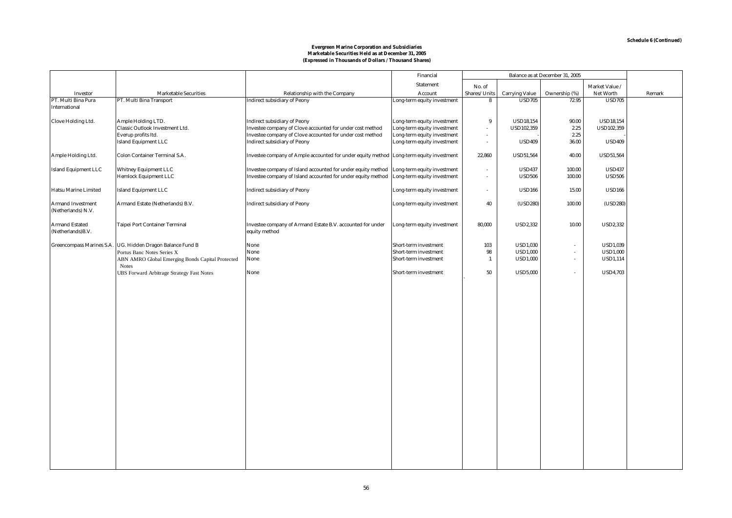#### **Marketable Securities Held as at December 31, 2005 (Expressed in Thousands of Dollars / Thousand Shares) Evergreen Marine Corporation and Subsidiaries**

|                                                |                                                            |                                                                                          | Financial                   | Balance as at December 31, 2005 |                       |                             |                   |        |
|------------------------------------------------|------------------------------------------------------------|------------------------------------------------------------------------------------------|-----------------------------|---------------------------------|-----------------------|-----------------------------|-------------------|--------|
|                                                |                                                            |                                                                                          | <b>Statement</b>            | No. of                          |                       |                             | Market Value /    |        |
| Investor                                       | <b>Marketable Securities</b>                               | Relationship with the Company                                                            | Account                     | Shares/Units                    | <b>Carrying Value</b> | Ownership (%)               | <b>Net Worth</b>  | Remark |
| PT. Multi Bina Pura                            | PT. Multi Bina Transport                                   | <b>Indirect subsidiary of Peony</b>                                                      | Long-term equity investment | 8                               | <b>USD705</b>         | 72.95                       | <b>USD705</b>     |        |
| <b>International</b>                           |                                                            |                                                                                          |                             |                                 |                       |                             |                   |        |
| Clove Holding Ltd.                             | Ample Holding LTD.                                         | <b>Indirect subsidiary of Peony</b>                                                      | Long-term equity investment | 9                               | <b>USD18,154</b>      | 90.00                       | <b>USD18,154</b>  |        |
|                                                | Classic Outlook Investment Ltd.                            | Investee company of Clove accounted for under cost method                                | Long-term equity investment | $\sim$                          | <b>USD102,359</b>     | 2.25                        | <b>USD102,359</b> |        |
|                                                | Everup profits ltd.                                        | Investee company of Clove accounted for under cost method                                | Long-term equity investment | $\sim$                          |                       | 2.25                        |                   |        |
|                                                | <b>Island Equipment LLC</b>                                | <b>Indirect subsidiary of Peony</b>                                                      | Long-term equity investment | $\sim$                          | <b>USD409</b>         | 36.00                       | <b>USD409</b>     |        |
| Ample Holding Ltd.                             | <b>Colon Container Terminal S.A.</b>                       | Investee company of Ample accounted for under equity method Long-term equity investment  |                             | 22,860                          | <b>USD51,564</b>      | 40.00                       | <b>USD51,564</b>  |        |
| <b>Island Equipment LLC</b>                    | <b>Whitney Equipment LLC</b>                               | Investee company of Island accounted for under equity method Long-term equity investment |                             | $\sim$                          | <b>USD437</b>         | 100.00                      | <b>USD437</b>     |        |
|                                                | <b>Hemlock Equipment LLC</b>                               | Investee company of Island accounted for under equity method                             | Long-term equity investment |                                 | <b>USD506</b>         | 100.00                      | <b>USD506</b>     |        |
|                                                |                                                            |                                                                                          |                             |                                 |                       |                             |                   |        |
| <b>Hatsu Marine Limited</b>                    | <b>Island Equipment LLC</b>                                | <b>Indirect subsidiary of Peony</b>                                                      | Long-term equity investment |                                 | <b>USD166</b>         | 15.00                       | <b>USD166</b>     |        |
| <b>Armand Investment</b><br>(Netherlands) N.V. | Armand Estate (Netherlands) B.V.                           | <b>Indirect subsidiary of Peony</b>                                                      | Long-term equity investment | 40                              | (USD280)              | 100.00                      | (USD280)          |        |
| <b>Armand Estated</b><br>(Netherlands)B.V.     | <b>Taipei Port Container Terminal</b>                      | Investee company of Armand Estate B.V. accounted for under<br>equity method              | Long-term equity investment | 80,000                          | <b>USD2,332</b>       | 10.00                       | <b>USD2,332</b>   |        |
|                                                | Greencompass Marines S.A. UG. Hidden Dragon Balance Fund B | None                                                                                     | Short-term investment       | 103                             | <b>USD1,030</b>       | ٠                           | <b>USD1,039</b>   |        |
|                                                | Portus Banc Notes Series X                                 | None                                                                                     | Short-term investment       | 98                              | <b>USD1,000</b>       | $\sim$                      | <b>USD1,000</b>   |        |
|                                                | ABN AMRO Global Emerging Bonds Capital Protected           | None                                                                                     | Short-term investment       | $\mathbf{1}$                    | <b>USD1,000</b>       | $\mathcal{L}_{\mathcal{A}}$ | <b>USD1,114</b>   |        |
|                                                | <b>Notes</b>                                               |                                                                                          |                             |                                 |                       |                             |                   |        |
|                                                | <b>UBS Forward Arbitrage Strategy Fast Notes</b>           | None                                                                                     | Short-term investment       | 50                              | <b>USD5,000</b>       | ä,                          | <b>USD4,703</b>   |        |
|                                                |                                                            |                                                                                          |                             |                                 |                       |                             |                   |        |
|                                                |                                                            |                                                                                          |                             |                                 |                       |                             |                   |        |
|                                                |                                                            |                                                                                          |                             |                                 |                       |                             |                   |        |
|                                                |                                                            |                                                                                          |                             |                                 |                       |                             |                   |        |
|                                                |                                                            |                                                                                          |                             |                                 |                       |                             |                   |        |
|                                                |                                                            |                                                                                          |                             |                                 |                       |                             |                   |        |
|                                                |                                                            |                                                                                          |                             |                                 |                       |                             |                   |        |
|                                                |                                                            |                                                                                          |                             |                                 |                       |                             |                   |        |
|                                                |                                                            |                                                                                          |                             |                                 |                       |                             |                   |        |
|                                                |                                                            |                                                                                          |                             |                                 |                       |                             |                   |        |
|                                                |                                                            |                                                                                          |                             |                                 |                       |                             |                   |        |
|                                                |                                                            |                                                                                          |                             |                                 |                       |                             |                   |        |
|                                                |                                                            |                                                                                          |                             |                                 |                       |                             |                   |        |
|                                                |                                                            |                                                                                          |                             |                                 |                       |                             |                   |        |
|                                                |                                                            |                                                                                          |                             |                                 |                       |                             |                   |        |
|                                                |                                                            |                                                                                          |                             |                                 |                       |                             |                   |        |
|                                                |                                                            |                                                                                          |                             |                                 |                       |                             |                   |        |
|                                                |                                                            |                                                                                          |                             |                                 |                       |                             |                   |        |
|                                                |                                                            |                                                                                          |                             |                                 |                       |                             |                   |        |
|                                                |                                                            |                                                                                          |                             |                                 |                       |                             |                   |        |
|                                                |                                                            |                                                                                          |                             |                                 |                       |                             |                   |        |
|                                                |                                                            |                                                                                          |                             |                                 |                       |                             |                   |        |
|                                                |                                                            |                                                                                          |                             |                                 |                       |                             |                   |        |
|                                                |                                                            |                                                                                          |                             |                                 |                       |                             |                   |        |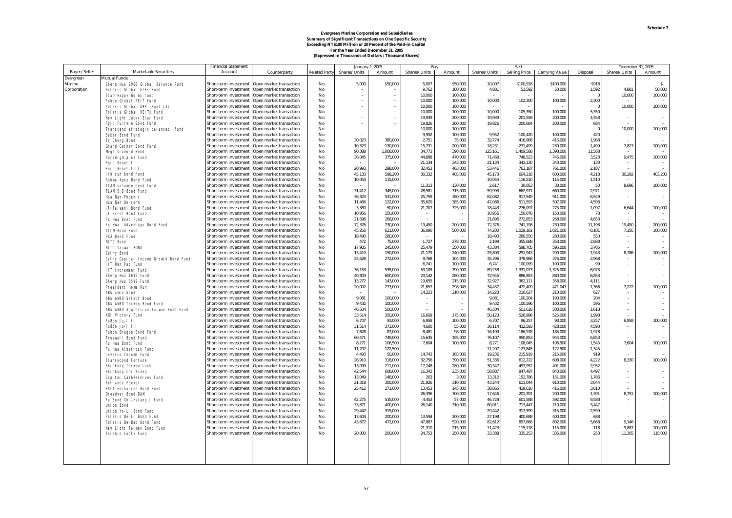# **For the Year Ended December 31, 2005 (Expressed in Thousands of Dollars / Thousand Shares)** Evergreen Marine Corporation and Subsidiaries<br>Summary of Significant Transactions on One Specific Security<br>Exceeding NT\$100 Million or 20 Percent of the Paid-in Capital

|              |                                                             | <b>Financial Statement</b>                     |                                                    |                      | <b>January 1, 2005</b> |                          |               | <b>Buy</b>         |                  | Sell                 |                       |                 |                  | December 31, 2005 |
|--------------|-------------------------------------------------------------|------------------------------------------------|----------------------------------------------------|----------------------|------------------------|--------------------------|---------------|--------------------|------------------|----------------------|-----------------------|-----------------|------------------|-------------------|
| Buver/Seller | <b>Marketable Securities</b>                                | Account                                        | Counterparty                                       | <b>Related Party</b> | Shares/Units           | Amount                   | Shares/Units  | Amount             | Shares/Units     | <b>Selling Price</b> | <b>Carrying Value</b> | <b>Disposal</b> | Shares/Units     | Amount            |
| Evergreen    | Mutual Funds:                                               |                                                |                                                    |                      |                        |                          |               |                    |                  |                      |                       |                 |                  |                   |
| Marine       | Sheng Hua 9966 Global Balance Fund                          | Short-term investment                          | Open market transaction                            | No                   | 5.000                  | \$50,000                 | 5.007         | \$50,000           | 10.007           | \$100.918            | \$100,000             | <b>S918</b>     |                  | $S-$              |
| Corporation  | <b>Polaris Global ETFs Fund</b>                             | Short-term investment                          | Open market transaction                            | No                   |                        |                          | 9.762         | 100,000            | 4,881            | 51,592               | 50,000                | 1.592           | 4.881            | 50,000            |
|              | TI am Happy Go Go fund                                      | Short-term investment                          | Open market transaction                            | N <sub>0</sub>       | $\mathbf{r}$           | $\sim$                   | 10.000        | 100.000            |                  |                      |                       | - 0             | 10,000           | 100,000           |
|              | <b>Fubon Global REIT Fund</b>                               | Short-term investment                          | Open market transaction                            | No                   |                        | $\overline{\phantom{a}}$ | 10,000        | 100,000            | 10,000           | 102,300              | 100,000               | 2,300           |                  |                   |
|              | Polaris Global ABS Fund (A)                                 | Short-term investment                          | Open market transaction                            | No                   | $\bar{a}$              | $\sim$                   | 10,000        | 100.000            |                  |                      |                       |                 | 10,000           | 100,000           |
|              | <b>Polaris Global REITs Fund</b>                            | Short-term investment                          | Open market transaction                            | No                   | ÷.                     | ×.                       | 10.000        | 100.000            | 10.000           | 105.350              | 100.000               | 5.350           |                  |                   |
|              | New Light Lucky Star Fund                                   | Short-term investment                          | Open market transaction                            | No                   | $\bar{a}$              | $\sim$                   | 19.939        | 200.000            | 19.939           | 201,558              | 200.000               | 1,558           | $\sim$           |                   |
|              | <b>Fait Fullwin Bond Fund</b>                               | Short-term investment                          | Open market transaction                            | No                   | $\bar{a}$              | ×,                       | 19.826        | 200,000            | 19.826           | 200,684              | 200.000               | 684             |                  |                   |
|              | Transcend strategic balanced fund                           | Short-term investment                          | Open market transaction                            | No                   | ÷                      |                          | 10,000        | 100,000            |                  |                      |                       | $\bf{0}$        | 10,000           | 100,000           |
|              | <b>Saker Bond Fund</b>                                      | Short-term investment                          | Open market transaction                            | No                   |                        |                          | 9.952         | 100.000            | 9.952            | 100.420              | 100.000               | 420             |                  |                   |
|              | <b>Ta Chong Bond</b>                                        | Short-term investment                          | Open market transaction                            | No                   | 30.023                 | 380,000                  | 2.751         | 35,000             | 32,774           | 416.968              | 415,000               | 1.968           |                  |                   |
|              | <b>Grand Cathay Bond Fund</b>                               | Short-term investment                          | Open market transaction                            | N <sub>0</sub>       | 10.323                 | 130,000                  | 15,731        | 200,000            | 18.231           | 231.499              | 230,000               | 1.499           | 7,823            | 100,000           |
|              | Mega Diamond Bond                                           | Short-term investment                          | Open market transaction                            | No                   | 90,388                 | 1,008,000                | 34,773        | 390,000            | 125,161          | 1,409,588            | 1,398,000             | 11,588          |                  |                   |
|              | Paradiam pion fund                                          | Short-term investment                          | Open market transaction                            | No                   | 36,045                 | 375,000                  | 44,898        | 470.000            | 71,468           | 748.523              | 745.000               | 3,523           | 9,475            | 100,000           |
|              | <b>Fait Benefit</b>                                         | Short-term investment                          | Open market transaction                            | No                   |                        |                          | 21.134        | 343,000            | 21.134           | 343.130              | 343,000               | 130             |                  |                   |
|              | <b>Fgit Benefit II</b>                                      | Short-term investment                          | Open market transaction                            | No                   | 20.993                 | 298,000                  | 32.453        | 463.000            | 53,446           | 763.187              | 761.000               | 2,187           |                  |                   |
|              | Jih sun bond fund                                           | Short-term investment                          | Open market transaction                            | No                   | 45,133                 | 598.200                  | 30,332        | 405,000            | 45,173           | 604,218              | 600,000               | 4,218           | 30,292           | 403,200           |
|              | <b>Fuhwa Apex Bond Fund</b>                                 | Short-term investment                          | Open market transaction                            | No                   | 10,054                 | 115,000                  |               |                    | 10,054           | 116,510              | 115,000               | 1,510           |                  |                   |
|              | <b>TLAM solomon bond fund</b>                               | Short-term investment                          | Open market transaction                            | N <sub>0</sub>       |                        |                          | 11.313        | 130.000            | 2.617            | 30.053               | 30.000                | 53              | 8,696            | 100,000           |
|              | <b>TLAM B.B Bond Fund</b>                                   | Short-term investment                          | Open market transaction                            | No                   | 31,412                 | 345,000                  | 28,581        | 315,000            | 59,993           | 662,971              | 660,000               | 2,971           |                  |                   |
|              | Hua Nan Phoenix                                             | Short-term investment                          | Open market transaction                            | N <sub>0</sub>       | 36.323                 | 531,000                  | 25.759        | 380,000            | 62.082           | 917,549              | 911.000               | 6,549           | $\sim$           | $\sim$            |
|              | Hua Nan Unicorn                                             | Short-term investment                          | Open market transaction                            | No                   | 11,466                 | 122,000                  | 35,620        | 385,000            | 47.086           | 511,593              | 507.000               | 4,593           |                  |                   |
|              | JF(Taiwan) Bond Fund                                        | Short-term investment                          | Open market transaction                            | No                   | 3,380                  | 50,000                   | 21,707        | 325,000            | 18,443           | 276,097              | 275,000               | 1,097           | 6,644            | 100,000           |
|              | <b>JF First Bond Fund</b>                                   | Short-term investment                          | Open market transaction                            | N <sub>0</sub>       | 10.956                 | 150,000                  | $\sim$        |                    | 10.956           | 150,078              | 150.000               | 78              |                  |                   |
|              | Fu Hwa Bond Fund                                            | Short-term investment                          | Open market transaction                            | No                   | 21.696                 | 268,000                  |               |                    | 21.696           | 272,853              | 268,000               | 4.853           |                  |                   |
|              | Fu Hwa Adventage Bond Fund                                  | Short-term investment                          | Open market transaction                            | No                   | 72.376                 | 730,000                  | 19.450        | 200.000            | 72,376           | 741.198              | 730,000               | 11.198          | 19.450           | 200.000           |
|              | <b>TIIM Bond Fund</b>                                       | Short-term investment                          | Open market transaction                            | No                   | 45,266                 | 621,000                  | 36,090        | 500,000            | 74,200           | 1,029,181            | 1,021,000             | 8,181           | 7,156            | 100,000           |
|              | <b>PCA Bond Fund</b>                                        | Short-term investment                          | Open market transaction                            | No                   | 18,490                 | 280,000                  |               |                    | 18.490           | 280.550              | 280.000               | 550             | $\sim$           |                   |
|              | <b>NITC Bond</b>                                            | Short-term investment                          | Open market transaction                            | No                   | 472                    | 75,000                   | 1,727         | 278,000            | 2,199            | 355,688              | 353,000               | 2.688           | $\sim$           |                   |
|              | <b>NITC Taiwan ROND</b>                                     | Short-term investment                          | Open market transaction                            | No                   | 17.905                 | 245.000                  | 25.479        | 350,000            | 43.384           | 598,705              | 595,000               | 3.705           |                  |                   |
|              | <b>Cathy Bond</b>                                           | Short-term investment                          | Open market transaction                            | N <sub>0</sub>       | 13.410                 | 150,000                  | 21.179        | 240,000            | 25.803           | 291.943              | 290,000               | 1.943           | 8,786            | 100,000           |
|              | Cathy Capital Income Growth Bond Fund                       | Short-term investment                          | Open market transaction                            | No                   | 25,628                 | 272,000                  | 9,768         | 104,000            | 35,396           | 378,968              | 376,000               | 2,968           |                  |                   |
|              | <b>IIT Wan Pao Fund</b>                                     | Short-term investment                          | Open market transaction                            | No                   |                        |                          | 6,741         | 100.000            | 6.741            | 100.099              | 100.000               | 99              |                  |                   |
|              | <b>IIT Increment Fund</b>                                   | Short-term investment                          | Open market transaction                            | No                   | 36,153                 | 535,000                  | 53,105        | 790,000            | 89,258           | 1,331,073            | 1,325,000             | 6,073           | $\sim$           |                   |
|              | Sheng Hua 1699 Fund                                         | Short-term investment                          | Open market transaction                            | No                   | 49.803                 | 600.000                  | 23.142        | 280,000            | 72.945           | 886.853              | 880.000               | 6,853           | $\sim$           |                   |
|              | Sheng Hua 5599 Fund                                         | Short-term investment                          | Open market transaction                            | No                   | 13,272                 | 143,000                  | 19,655        | 215,000            | 32,927           | 362,111              | 358,000               | 4,111           |                  |                   |
|              | <b>President Home Run</b>                                   | Short-term investment                          | Open market transaction                            | No                   | 20,002                 | 273,000                  | 21,657        | 298,043            | 34,437           | 472,409              | 471,043               | 1,366           | 7,222            | 100,000           |
|              | ABN amro bond                                               | Short-term investment                          | Open market transaction                            | N <sub>0</sub>       |                        |                          | 14,223        | 210,000            | 14.223           | 210.627              | 210,000               | 627             |                  |                   |
|              | ABN AMRO Select Bond                                        | Short-term investment                          | Open market transaction                            | N <sub>0</sub>       | 9.081                  | 100.000                  | $\sim$        |                    | 9.081            | 100.204              | 100,000               | 204             | $\sim$           |                   |
|              | ABN AMRO Taiwan Bond Fund                                   | Short-term investment                          | Open market transaction                            | N <sub>0</sub>       | 9.432                  | 100.000                  | $\sim$        |                    | 9.432            | 100.596              | 100,000               | 596             | $\sim$           |                   |
|              | ABN AMRO Aggressive Taiwan Bond Fund                        | <b>Short-term investment</b>                   | Open market transaction                            | No                   | 46,504                 | 500,000                  |               |                    | 46,504           | 501,618              | 500,000               | 1,618           | $\sim$           |                   |
|              | <b>KGI Victory Fund</b>                                     | Short-term investment                          | Open market transaction                            | N <sub>0</sub>       | 33,514                 | 350,000                  | 16.609        | 175,000            | 50.123           | 526,998              | 525,000               | 1.998           |                  |                   |
|              | FuBon Ju-1 11                                               | Short-term investment                          | Open market transaction                            | No                   | 6,707                  | 93,000                   | 6,958         | 100,000            | 6,707            | 96,257               | 93,000                | 3,257           | 6,958            | 100,000           |
|              | FuBon Ju-1 111                                              | Short-term investment                          | Open market transaction                            | No                   | 31.514                 | 373,000                  | 4.600         | 55,000             | 36.114           | 432.593              | 428.000               | 4.593           |                  |                   |
|              | <b>Fubon Dragon Bond Fund</b>                               | Short-term investment                          | Open market transaction                            | N <sub>0</sub>       | 7.628                  | 87.000                   | 8.481         | 98.000             | 16.109           | 186.978              | 185,000               | 1.978           | a.               |                   |
|              | <b>Truswell Bond Fund</b>                                   | Short-term investment                          | Open market transaction                            | No                   | 60,471                 | 749,000                  | 15,635        | 195,000            | 76,107           | 950,853              | 944,000               | 6,853           |                  |                   |
|              | Fu Hwa Bond Fund                                            | Short-term investment                          | Open market transaction                            | N <sub>0</sub>       | 8.271                  | 106.500                  | 7,604         | 100.000            | 8.271            | 108.045              | 106,500               | 1.545           | 7,604            | 100,000           |
|              | <b>Fu Hwa Albatross Fund</b>                                | Short-term investment                          | Open market transaction                            | No                   | 11,207                 | 122,500                  |               |                    | 11,207           | 123,845              | 122,500               | 1,345           | $\sim$           |                   |
|              | <b>Invesco Income Fund</b>                                  | Short-term investment                          | Open market transaction                            | No                   | 4.493                  | 50.000                   | 14.743        | 165,000<br>390,000 | 19.236           | 215,919              | 215,000               | 919             | a.               |                   |
|              | <b>Transecond Fortune</b>                                   | Short-term investment                          | Open market transaction                            | No                   | 26,910                 | 318,000                  | 32,756        |                    | 51,336           | 612,222              | 608,000               | 4,222           | 8,330            | 100,000           |
|              | ShinKong Taiwan Luck                                        | Short-term investment<br>Short-term investment | Open market transaction                            | No<br>No             | 13,099<br>42.544       | 211,000<br>608.000       | 17,248        | 280,000<br>235,000 | 30,347<br>58.887 | 493,952<br>847.497   | 491,000<br>843.000    | 2,952<br>4.497  | $\sim$           |                   |
|              | ShinKong Chi-Xiang                                          |                                                | Open market transaction                            |                      |                        |                          | 16,343        |                    |                  |                      |                       |                 |                  |                   |
|              | <b>Capital CashReserves Fund</b>                            | Short-term investment                          | Open market transaction                            | No                   | 13.049<br>21.318       | 148,000<br>300.000       | 263<br>21.926 | 3.000<br>310,000   | 13.312<br>43.244 | 152.786<br>613.044   | 151.000<br>610,000    | 1.786<br>3.044  | $\sim$<br>$\sim$ |                   |
|              | <b>Reliance Foever</b>                                      | Short-term investment<br>Short-term investment | Open market transaction                            | No                   |                        |                          | 13,453        | 145,000            | 38.865           | 419,610              | 416,000               |                 |                  |                   |
|              | <b>RSIT Enchanced Bond Fund</b><br><b>Dresdner Bond DAM</b> | Short-term investment                          | Open market transaction<br>Open market transaction | No<br>N <sub>0</sub> | 25,412                 | 271,000                  | 26.396        | 300.000            | 17.646           | 201.391              | 200.000               | 3,610<br>1,391  | 8,751            | 100,000           |
|              | Fu Bond Chi-Hsiang I Fund                                   | Short-term investment                          | Open market transaction                            | No                   | 42,275                 | 535,000                  | 4,453         | 57,000             | 46,728           | 601.588              | 592.000               | 9.588           |                  |                   |
|              | <b>Union Bond</b>                                           | Short-term investment                          | Open market transaction                            | No                   | 33,871                 | 400.000                  | 26,140        | 310,000            | 60.011           | 713.447              | 710,000               | 3.447           | $\sim$           |                   |
|              | Union Yo-Li Bond Fund                                       | Short-term investment                          | Open market transaction                            | No                   | 29.442                 | 315,000                  |               |                    | 29.442           | 317,599              | 315,000               | 2,599           | $\sim$           | $\sim$<br>$\sim$  |
|              | <b>Polaris De-Li Bond Fund</b>                              | Short-term investment                          | Open market transaction                            | No                   | 13,604                 | 200,000                  | 13,594        | 200.000            | 27,198           | 400,688              | 400,000               | 688             |                  |                   |
|              | Polaris De-Bao Bond Fund                                    | Short-term investment                          | Open market transaction                            | N <sub>0</sub>       | 43.872                 | 472.000                  | 47.887        | 520,000            | 82.612           | 897.668              | 892.000               | 5.668           | 9.146            | 100.000           |
|              | New Light Taiwan Bond Fund                                  | Short-term investment                          | Open market transaction                            | No                   |                        |                          | 21,310        | 215,000            | 11,423           | 115,118              | 115,000               | 118             | 9,887            | 100,000           |
|              | <b>Taishin Lucky Fund</b>                                   | Short-term investment                          | Open market transaction                            | No                   | 20.000                 | 200.000                  | 24.753        | 250,000            | 33.388           | 335.253              | 335,000               | 253             | 11.365           | 115,000           |
|              |                                                             |                                                |                                                    |                      |                        |                          |               |                    |                  |                      |                       |                 |                  |                   |
|              |                                                             |                                                |                                                    |                      |                        |                          |               |                    |                  |                      |                       |                 |                  |                   |
|              |                                                             |                                                |                                                    |                      |                        |                          |               |                    |                  |                      |                       |                 |                  |                   |
|              |                                                             |                                                |                                                    |                      |                        |                          |               |                    |                  |                      |                       |                 |                  |                   |
|              |                                                             |                                                |                                                    |                      |                        |                          |               |                    |                  |                      |                       |                 |                  |                   |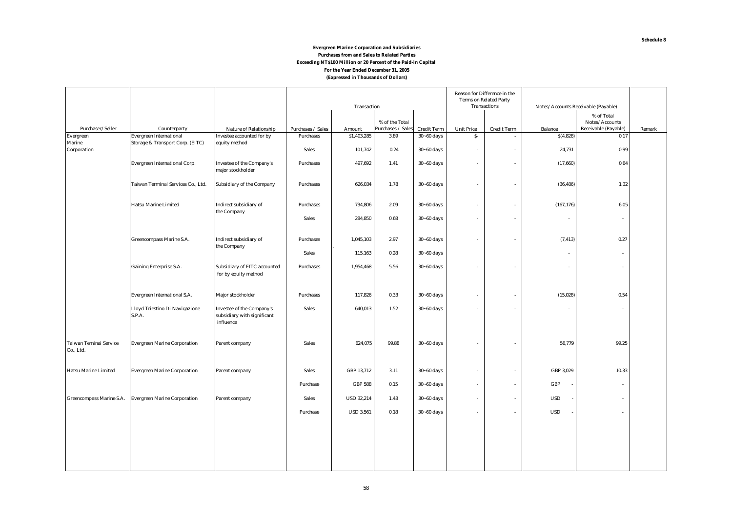#### **(Expressed in Thousands of Dollars) Evergreen Marine Corporation and Subsidiaries Purchases from and Sales to Related Parties Exceeding NT\$100 Million or 20 Percent of the Paid-in Capital For the Year Ended December 31, 2005**

|                                            |                                                                    |                                                                              |                   | Transaction       |                   | Reason for Difference in the<br><b>Terms on Related Party</b><br><b>Transactions</b> |                   |                          | Notes/Accounts Receivable (Payable) |                              |        |
|--------------------------------------------|--------------------------------------------------------------------|------------------------------------------------------------------------------|-------------------|-------------------|-------------------|--------------------------------------------------------------------------------------|-------------------|--------------------------|-------------------------------------|------------------------------|--------|
|                                            |                                                                    |                                                                              |                   |                   | % of the Total    |                                                                                      |                   |                          |                                     | % of Total<br>Notes/Accounts |        |
| Purchaser/Seller                           | Counterparty                                                       | Nature of Relationship                                                       | Purchases / Sales | Amount            | Purchases / Sales | <b>Credit Term</b>                                                                   | <b>Unit Price</b> | <b>Credit Term</b>       | <b>Balance</b>                      | Receivable (Payable)         | Remark |
| Evergreen<br>Marine                        | <b>Evergreen International</b><br>Storage & Transport Corp. (EITC) | Investee accounted for by                                                    | <b>Purchases</b>  | \$1,403,285       | 3.89              | $30 - 60$ days                                                                       | $S-$              | $\overline{\phantom{a}}$ | S(4,828)                            | 0.17                         |        |
| Corporation                                |                                                                    | equity method                                                                | <b>Sales</b>      | 101,742           | 0.24              | $30 - 60$ days                                                                       | $\sim$            | ÷                        | 24,731                              | 0.99                         |        |
|                                            | <b>Evergreen International Corp.</b>                               | <b>Investee of the Company's</b><br>major stockholder                        | <b>Purchases</b>  | 497,692           | 1.41              | $30 - 60$ days                                                                       | $\sim$            | $\sim$                   | (17, 660)                           | 0.64                         |        |
|                                            | Taiwan Terminal Services Co., Ltd.                                 | <b>Subsidiary of the Company</b>                                             | <b>Purchases</b>  | 626,034           | 1.78              | $30 - 60$ days                                                                       | $\sim$            | $\overline{a}$           | (36, 486)                           | 1.32                         |        |
|                                            | <b>Hatsu Marine Limited</b>                                        | Indirect subsidiary of<br>the Company                                        | <b>Purchases</b>  | 734,806           | 2.09              | $30 - 60$ days                                                                       | $\sim$            | $\overline{\phantom{a}}$ | (167, 176)                          | 6.05                         |        |
|                                            |                                                                    |                                                                              | <b>Sales</b>      | 284,850           | 0.68              | $30 - 60$ days                                                                       | $\sim$            | ÷                        |                                     | $\sim$                       |        |
|                                            | Greencompass Marine S.A.                                           | Indirect subsidiary of<br>the Company                                        | <b>Purchases</b>  | 1,045,103         | 2.97              | $30 - 60$ days                                                                       | $\sim$            | $\overline{\phantom{a}}$ | (7, 413)                            | 0.27                         |        |
|                                            |                                                                    |                                                                              | <b>Sales</b>      | 115,163           | 0.28              | $30 - 60$ days                                                                       |                   |                          | ٠                                   | $\sim$                       |        |
|                                            | <b>Gaining Enterprise S.A.</b>                                     | <b>Subsidiary of EITC accounted</b><br>for by equity method                  | <b>Purchases</b>  | 1,954,468         | 5.56              | $30 - 60$ days                                                                       | ÷                 | ÷                        |                                     |                              |        |
|                                            | <b>Evergreen International S.A.</b>                                | Major stockholder                                                            | <b>Purchases</b>  | 117,826           | 0.33              | $30 - 60$ days                                                                       | $\sim$            | $\overline{\phantom{a}}$ | (15,028)                            | 0.54                         |        |
|                                            | Lloyd Triestino Di Navigazione<br>S.P.A.                           | <b>Investee of the Company's</b><br>subsidiary with significant<br>influence | Sales             | 640,013           | 1.52              | $30 - 60$ days                                                                       | $\sim$            | $\sim$                   | $\overline{\phantom{a}}$            | $\sim$                       |        |
| <b>Taiwan Teminal Service</b><br>Co., Ltd. | <b>Evergreen Marine Corporation</b>                                | Parent company                                                               | <b>Sales</b>      | 624,075           | 99.88             | $30 - 60$ days                                                                       | ÷                 |                          | 56,779                              | 99.25                        |        |
| <b>Hatsu Marine Limited</b>                | <b>Evergreen Marine Corporation</b>                                | Parent company                                                               | <b>Sales</b>      | GBP 13,712        | 3.11              | $30 - 60$ days                                                                       | $\sim$            | $\overline{\phantom{a}}$ | GBP 3,029                           | 10.33                        |        |
|                                            |                                                                    |                                                                              | Purchase          | <b>GBP 588</b>    | 0.15              | $30 - 60$ days                                                                       | $\sim$            | ÷                        | GBP                                 | $\sim$                       |        |
| Greencompass Marine S.A.                   | <b>Evergreen Marine Corporation</b>                                | Parent company                                                               | <b>Sales</b>      | <b>USD 32,214</b> | 1.43              | $30 - 60$ days                                                                       | $\sim$            | $\overline{\phantom{a}}$ | <b>USD</b>                          | ٠                            |        |
|                                            |                                                                    |                                                                              | Purchase          | <b>USD 3,561</b>  | 0.18              | $30 - 60$ days                                                                       | $\sim$            | $\overline{a}$           | <b>USD</b>                          | ÷                            |        |
|                                            |                                                                    |                                                                              |                   |                   |                   |                                                                                      |                   |                          |                                     |                              |        |
|                                            |                                                                    |                                                                              |                   |                   |                   |                                                                                      |                   |                          |                                     |                              |        |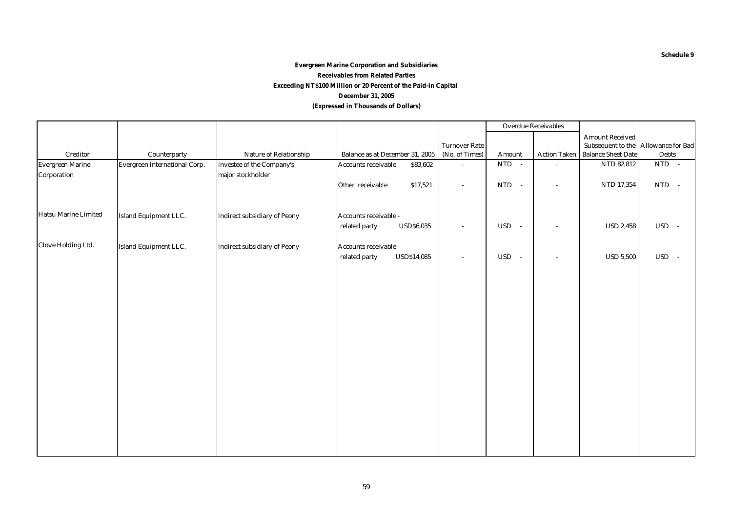#### **(Expressed in Thousands of Dollars) Evergreen Marine Corporation and Subsidiaries Receivables from Related Parties December 31, 2005 Exceeding NT\$100 Million or 20 Percent of the Paid-in Capital**

|                             |                               |                                     |                                        |                      |                      | <b>Overdue Receivables</b> |                                     |              |
|-----------------------------|-------------------------------|-------------------------------------|----------------------------------------|----------------------|----------------------|----------------------------|-------------------------------------|--------------|
|                             |                               |                                     |                                        |                      |                      |                            | <b>Amount Received</b>              |              |
|                             |                               |                                     |                                        | <b>Turnover Rate</b> |                      |                            | Subsequent to the Allowance for Bad |              |
| <b>Creditor</b>             | Counterparty                  | Nature of Relationship              | Balance as at December 31, 2005        | (No. of Times)       | Amount               | <b>Action Taken</b>        | <b>Balance Sheet Date</b>           | <b>Debts</b> |
| <b>Evergreen Marine</b>     | Evergreen International Corp. | Investee of the Company's           | <b>Accounts receivable</b><br>\$83,602 | $\sim$               | $NTD -$              | ÷.                         | NTD 82,812                          | $NTD -$      |
| Corporation                 |                               | major stockholder                   |                                        |                      |                      |                            |                                     |              |
|                             |                               |                                     | Other receivable<br>\$17,521           | $\sim$               | <b>NTD</b><br>$\sim$ | $\bar{a}$                  | NTD 17,354                          | NTD -        |
|                             |                               |                                     |                                        |                      |                      |                            |                                     |              |
| <b>Hatsu Marine Limited</b> | Island Equipment LLC.         | <b>Indirect subsidiary of Peony</b> | Accounts receivable -                  |                      |                      |                            |                                     |              |
|                             |                               |                                     | related party<br><b>USD\$6,035</b>     | $\sim$               | USD -                | $\overline{\phantom{a}}$   | <b>USD 2,458</b>                    | USD -        |
|                             |                               |                                     |                                        |                      |                      |                            |                                     |              |
| <b>Clove Holding Ltd.</b>   | Island Equipment LLC.         | <b>Indirect subsidiary of Peony</b> | Accounts receivable -                  |                      |                      |                            |                                     |              |
|                             |                               |                                     | related party<br><b>USD\$14,085</b>    | $\sim$               | USD -                | $\sim$                     | <b>USD 5,500</b>                    | USD -        |
|                             |                               |                                     |                                        |                      |                      |                            |                                     |              |
|                             |                               |                                     |                                        |                      |                      |                            |                                     |              |
|                             |                               |                                     |                                        |                      |                      |                            |                                     |              |
|                             |                               |                                     |                                        |                      |                      |                            |                                     |              |
|                             |                               |                                     |                                        |                      |                      |                            |                                     |              |
|                             |                               |                                     |                                        |                      |                      |                            |                                     |              |
|                             |                               |                                     |                                        |                      |                      |                            |                                     |              |
|                             |                               |                                     |                                        |                      |                      |                            |                                     |              |
|                             |                               |                                     |                                        |                      |                      |                            |                                     |              |
|                             |                               |                                     |                                        |                      |                      |                            |                                     |              |
|                             |                               |                                     |                                        |                      |                      |                            |                                     |              |
|                             |                               |                                     |                                        |                      |                      |                            |                                     |              |
|                             |                               |                                     |                                        |                      |                      |                            |                                     |              |
|                             |                               |                                     |                                        |                      |                      |                            |                                     |              |
|                             |                               |                                     |                                        |                      |                      |                            |                                     |              |
|                             |                               |                                     |                                        |                      |                      |                            |                                     |              |
|                             |                               |                                     |                                        |                      |                      |                            |                                     |              |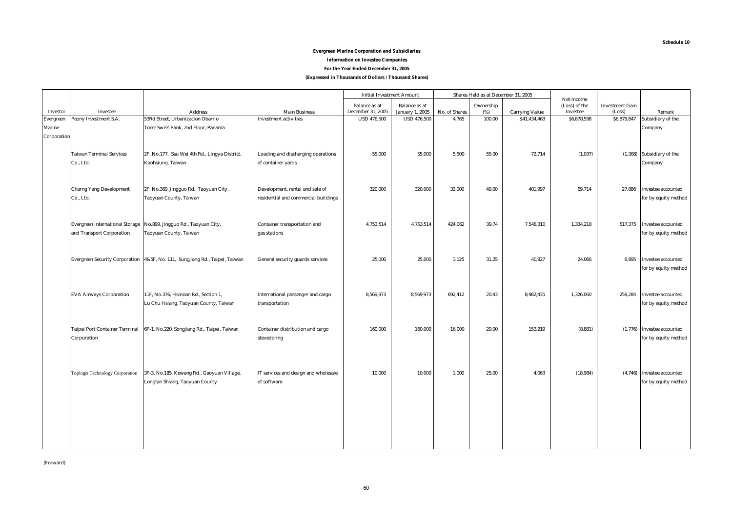#### **Schedule 10**

#### **Evergreen Marine Corporation and Subsidiaries**

**Information on Investee Companies**

**For the Year Ended December 31, 2005**

**(Expressed in Thousands of Dollars / Thousand Shares)**

|                  |                                        |                                                                             |                                      | <b>Initial Investment Amount</b>          |                                                |               | Shares Held as at December 31, 2005 |                       |                                         |                                  |                            |
|------------------|----------------------------------------|-----------------------------------------------------------------------------|--------------------------------------|-------------------------------------------|------------------------------------------------|---------------|-------------------------------------|-----------------------|-----------------------------------------|----------------------------------|----------------------------|
| Investor         | Investee                               | <b>Address</b>                                                              | <b>Main Business</b>                 | <b>Balance</b> as at<br>December 31, 2005 | <b>Balance</b> as at<br><b>January 1, 2005</b> | No. of Shares | Ownership<br>(%)                    | <b>Carrying Value</b> | Net Income<br>(Loss) of the<br>Investee | <b>Investment Gain</b><br>(Loss) | Remark                     |
| <b>Evergreen</b> | Peony Investment S.A.                  | 53Rd Street, Urbanizacion Obarrio                                           | <b>Investment activities</b>         | <b>USD 476,500</b>                        | <b>USD 476,500</b>                             | 4,765         | 100.00                              | \$41,434,463          | \$6,878,598                             | \$6,879,847                      | Subsidiary of the          |
| Marine           |                                        | Torre Swiss Bank, 2nd Floor, Panama                                         |                                      |                                           |                                                |               |                                     |                       |                                         |                                  | Company                    |
| Corporation      |                                        |                                                                             |                                      |                                           |                                                |               |                                     |                       |                                         |                                  |                            |
|                  |                                        |                                                                             |                                      |                                           |                                                |               |                                     |                       |                                         |                                  |                            |
|                  | <b>Taiwan Terminal Services</b>        | 2F, No.177, Ssu Wei 4th Rd., Lingya District,                               | Loading and discharging operations   | 55,000                                    | 55,000                                         | 5,500         | 55.00                               | 72,714                | (1,037)                                 |                                  | (1,368) Subsidiary of the  |
|                  | Co., Ltd.                              | Kaohsiung, Taiwan                                                           | of container yards                   |                                           |                                                |               |                                     |                       |                                         |                                  | Company                    |
|                  |                                        |                                                                             |                                      |                                           |                                                |               |                                     |                       |                                         |                                  |                            |
|                  |                                        |                                                                             |                                      |                                           |                                                |               |                                     |                       |                                         |                                  |                            |
|                  | <b>Charng Yang Development</b>         | 2F, No.369, Jingguo Rd., Taoyuan City,                                      | Development, rental and sale of      | 320,000                                   | 320,000                                        | 32,000        | 40.00                               | 401,997               | 69,714                                  | 27,886                           | Investee accounted         |
|                  | Co., Ltd.                              | Taoyuan County, Taiwan                                                      | residential and commercial buildings |                                           |                                                |               |                                     |                       |                                         |                                  | for by equity method       |
|                  |                                        |                                                                             |                                      |                                           |                                                |               |                                     |                       |                                         |                                  |                            |
|                  |                                        |                                                                             |                                      |                                           |                                                |               |                                     |                       |                                         |                                  |                            |
|                  | <b>Evergreen International Storage</b> | No.899, Jingguo Rd., Taoyuan City,                                          | Container transportation and         | 4,753,514                                 | 4,753,514                                      | 424,062       | 39.74                               | 7,548,310             | 1,334,218                               | 517,375                          | <b>Investee accounted</b>  |
|                  | and Transport Corporation              | Taoyuan County, Taiwan                                                      | gas stations                         |                                           |                                                |               |                                     |                       |                                         |                                  | for by equity method       |
|                  |                                        |                                                                             |                                      |                                           |                                                |               |                                     |                       |                                         |                                  |                            |
|                  |                                        |                                                                             |                                      |                                           |                                                |               |                                     |                       |                                         |                                  |                            |
|                  |                                        | Evergreen Security Corporation 4&5F, No. 111, Sungjiang Rd., Taipei, Taiwan | General security guards services     | 25.000                                    | 25,000                                         | 3,125         | 31.25                               | 40,827                | 24,066                                  | 6,895                            | Investee accounted         |
|                  |                                        |                                                                             |                                      |                                           |                                                |               |                                     |                       |                                         |                                  | for by equity method       |
|                  |                                        |                                                                             |                                      |                                           |                                                |               |                                     |                       |                                         |                                  |                            |
|                  | <b>EVA Airways Corporation</b>         | 11F, No.376, Hsinnan Rd., Section 1,                                        | International passenger and cargo    | 8,569,973                                 | 8,569,973                                      | 692,412       | 20.43                               | 8,982,435             | 1,326,060                               | 259,284                          | Investee accounted         |
|                  |                                        | Lu Chu Hsiang, Taoyuan County, Taiwan                                       | transportation                       |                                           |                                                |               |                                     |                       |                                         |                                  | for by equity method       |
|                  |                                        |                                                                             |                                      |                                           |                                                |               |                                     |                       |                                         |                                  |                            |
|                  |                                        |                                                                             |                                      |                                           |                                                |               |                                     |                       |                                         |                                  |                            |
|                  | <b>Taipei Port Container Terminal</b>  | 6F-1, No.220, Songjiang Rd., Taipei, Taiwan                                 | Container distribution and cargo     | 160,000                                   | 160,000                                        | 16,000        | 20.00                               | 153,219               | (8, 881)                                |                                  | (1,776) Investee accounted |
|                  | Corporation                            |                                                                             | stevedoring                          |                                           |                                                |               |                                     |                       |                                         |                                  | for by equity method       |
|                  |                                        |                                                                             |                                      |                                           |                                                |               |                                     |                       |                                         |                                  |                            |
|                  |                                        |                                                                             |                                      |                                           |                                                |               |                                     |                       |                                         |                                  |                            |
|                  |                                        |                                                                             |                                      |                                           |                                                |               |                                     |                       |                                         |                                  |                            |
|                  | Toplogis Technology Corporation        | 3F-3, No.185, Kewang Rd., Gaoyuan Village,                                  | IT services and design and wholesale | 10,000                                    | 10,000                                         | 1,000         | 25.00                               | 4,063                 | (18, 984)                               |                                  | (4,746) Investee accounted |
|                  |                                        | Longtan Shiang, Taoyuan County                                              | of software                          |                                           |                                                |               |                                     |                       |                                         |                                  | for by equity method       |
|                  |                                        |                                                                             |                                      |                                           |                                                |               |                                     |                       |                                         |                                  |                            |
|                  |                                        |                                                                             |                                      |                                           |                                                |               |                                     |                       |                                         |                                  |                            |
|                  |                                        |                                                                             |                                      |                                           |                                                |               |                                     |                       |                                         |                                  |                            |
|                  |                                        |                                                                             |                                      |                                           |                                                |               |                                     |                       |                                         |                                  |                            |
|                  |                                        |                                                                             |                                      |                                           |                                                |               |                                     |                       |                                         |                                  |                            |
|                  |                                        |                                                                             |                                      |                                           |                                                |               |                                     |                       |                                         |                                  |                            |
|                  |                                        |                                                                             |                                      |                                           |                                                |               |                                     |                       |                                         |                                  |                            |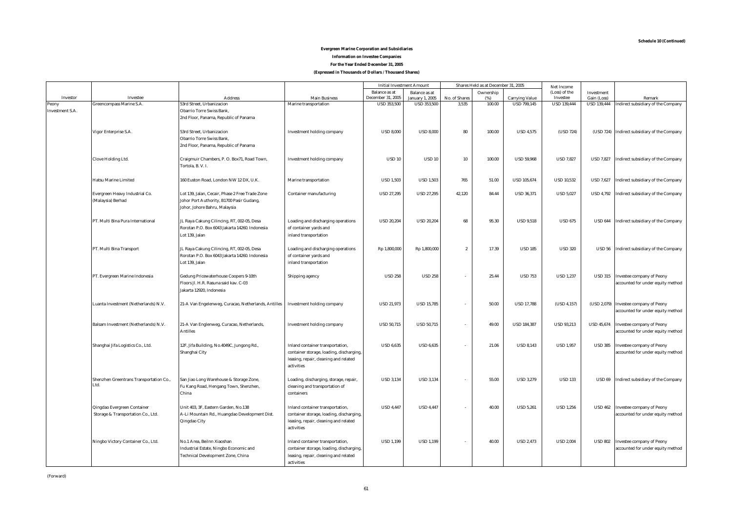#### **For the Year Ended December 31, 2005 (Expressed in Thousands of Dollars / Thousand Shares) Evergreen Marine Corporation and Subsidiaries Information on Investee Companies**

|                        |                                                                   |                                                                                                                               |                                                                                                                                     | <b>Initial Investment Amount</b>        |                                              |                        | Shares Held as at December 31, 2005 |                                             | <b>Net Income</b>              |                                   |                                                                            |
|------------------------|-------------------------------------------------------------------|-------------------------------------------------------------------------------------------------------------------------------|-------------------------------------------------------------------------------------------------------------------------------------|-----------------------------------------|----------------------------------------------|------------------------|-------------------------------------|---------------------------------------------|--------------------------------|-----------------------------------|----------------------------------------------------------------------------|
|                        |                                                                   |                                                                                                                               |                                                                                                                                     | <b>Balance</b> as at                    | <b>Balance</b> as at                         |                        | Ownership                           |                                             | (Loss) of the                  | Investment                        |                                                                            |
| Investor<br>Peony      | Investee<br>Greencompass Marine S.A.                              | <b>Address</b><br>53rd Street, Urbanizacion                                                                                   | <b>Main Business</b><br><b>Marine transportation</b>                                                                                | December 31, 2005<br><b>USD 353,500</b> | <b>January 1, 2005</b><br><b>USD 353,500</b> | No. of Shares<br>3,535 | (%)<br>100.00                       | <b>Carrying Value</b><br><b>USD 799,145</b> | Investee<br><b>USD 139,444</b> | Gain (Loss)<br><b>USD 139,444</b> | Remark<br>Indirect subsidiary of the Company                               |
| <b>Investment S.A.</b> |                                                                   | Obarrio Torre Swiss Bank,<br>2nd Floor, Panama, Republic of Panama                                                            |                                                                                                                                     |                                         |                                              |                        |                                     |                                             |                                |                                   |                                                                            |
|                        | Vigor Enterprise S.A.                                             | 53rd Street, Urbanizacion<br><b>Obarrio Torre Swiss Bank,</b><br>2nd Floor, Panama, Republic of Panama                        | Investment holding company                                                                                                          | <b>USD 8,000</b>                        | <b>USD 8.000</b>                             | 80                     | 100.00                              | <b>USD 4,575</b>                            | (USD 724)                      |                                   | (USD 724) Indirect subsidiary of the Company                               |
|                        | <b>Clove Holding Ltd.</b>                                         | Craigmuir Chambers, P. O. Box71, Road Town,<br>Tortola, B.V.I.                                                                | <b>Investment holding company</b>                                                                                                   | <b>USD 10</b>                           | <b>USD 10</b>                                | 10                     | 100.00                              | <b>USD 59,968</b>                           | <b>USD 7,827</b>               |                                   | USD 7,827 Indirect subsidiary of the Company                               |
|                        | <b>Hatsu Marine Limited</b>                                       | 160 Euston Road, London NW 12 DX, U.K.                                                                                        | <b>Marine transportation</b>                                                                                                        | <b>USD 1.503</b>                        | <b>USD 1.503</b>                             | 765                    | 51.00                               | <b>USD 105.674</b>                          | <b>USD 10,532</b>              | <b>USD 7,627</b>                  | Indirect subsidiary of the Company                                         |
|                        | Evergreen Heavy Industrial Co.<br>(Malaysia) Berhad               | Lot 139, Jalan, Cecair, Phase 2 Free Trade Zone<br>Johor Port Authority, B1700 Pasir Gudang,<br>Johor, Johore Bahru, Malaysia | <b>Container manufacturing</b>                                                                                                      | <b>USD 27.295</b>                       | <b>USD 27.295</b>                            | 42.120                 | 84.44                               | <b>USD 36.371</b>                           | <b>USD 5.027</b>               |                                   | USD 4,792 Indirect subsidiary of the Company                               |
|                        | PT. Multi Bina Pura International                                 | JL Raya Cakung Cilincing, RT, 002-05, Desa<br>Rorotan P.O. Box 6043 Jakarta 14260. Indonesia<br>Lot 139, Jalan                | Loading and discharging operations<br>of container yards and<br>inland transportation                                               | <b>USD 20,204</b>                       | <b>USD 20,204</b>                            | 68                     | 95.30                               | <b>USD 9,518</b>                            | <b>USD 675</b>                 |                                   | USD 644 Indirect subsidiary of the Company                                 |
|                        | PT. Multi Bina Transport                                          | JL Raya Cakung Cilincing, RT, 002-05, Desa<br>Rorotan P.O. Box 6043 Jakarta 14260. Indonesia<br>Lot 139, Jalan                | Loading and discharging operations<br>of container yards and<br>inland transportation                                               | Rp 1,800,000                            | Rp 1,800,000                                 | $\overline{2}$         | 17.39                               | <b>USD 185</b>                              | <b>USD 320</b>                 |                                   | USD 56 Indirect subsidiary of the Company                                  |
|                        | PT. Evergreen Marine Indonesia                                    | Gedung Pricewaterhouse Coopers 9-10th<br>Floors Jl. H.R. Rasuna said kav. C-03<br>Jakarta 12920. Indonesia                    | Shipping agency                                                                                                                     | <b>USD 258</b>                          | <b>USD 258</b>                               | $\sim$                 | 25.44                               | <b>USD 753</b>                              | <b>USD 1,237</b>               |                                   | USD 315 Investee company of Peony<br>accounted for under equity method     |
|                        | Luanta Investment (Netherlands) N.V.                              | 21-A Van Engelenweg, Curacao, Netherlands, Antilles                                                                           | Investment holding company                                                                                                          | <b>USD 21,973</b>                       | <b>USD 15,785</b>                            | $\sim$                 | 50.00                               | <b>USD 17,788</b>                           | (USD 4.157)                    |                                   | (USD 2,079) Investee company of Peony<br>accounted for under equity method |
|                        | Balsam Investment (Netherlands) N.V.                              | 21-A Van Englenweg, Curacao, Netherlands,<br><b>Antilles</b>                                                                  | <b>Investment holding company</b>                                                                                                   | <b>USD 50,715</b>                       | <b>USD 50,715</b>                            | $\sim$                 | 49.00                               | <b>USD 184.387</b>                          | <b>USD 93,213</b>              |                                   | USD 45,674 Investee company of Peony<br>accounted for under equity method  |
|                        | Shanghai Jifa Logistics Co., Ltd.                                 | 12F, Jifa Building, No.4049C, Jungong Rd.,<br>Shanghai City                                                                   | Inland container transportation,<br>container storage, loading, discharging,<br>leasing, repair, cleaning and related<br>activities | <b>USD 6,635</b>                        | <b>USD 6,635</b>                             |                        | 21.06                               | <b>USD 8.143</b>                            | <b>USD 1,957</b>               | <b>USD 385</b>                    | <b>Investee company of Peony</b><br>accounted for under equity method      |
|                        | Shenzhen Greentrans Transportation Co.,<br>Ltd.                   | San Jiao Long Warehouse & Storage Zone,<br>Fu Kang Road, Hengang Town, Shenzhen,<br>China                                     | Loading, discharging, storage, repair,<br>cleaning and transportation of<br>containers                                              | <b>USD 3,134</b>                        | <b>USD 3,134</b>                             |                        | 55.00                               | <b>USD 3,279</b>                            | <b>USD 133</b>                 |                                   | USD 69 Indirect subsidiary of the Company                                  |
|                        | Qingdao Evergreen Container<br>Storage & Transportation Co., Ltd. | Unit 403, 3F, Eastern Garden, No.138<br>A-Li Mountain Rd., Huangdao Development Dist.<br>Qingdao City                         | Inland container transportation,<br>container storage, loading, discharging,<br>leasing, repair, cleaning and related<br>activities | <b>USD 4,447</b>                        | <b>USD 4,447</b>                             |                        | 40.00                               | <b>USD 5,261</b>                            | <b>USD 1,256</b>               | <b>USD 462</b>                    | <b>Investee company of Peony</b><br>accounted for under equity method      |
|                        | Ningbo Victory Container Co., Ltd.                                | No.1 Area, Beilnn Xiaoshan<br>Industrial Estate, Ningbo Economic and<br>Technical Development Zone, China                     | Inland container transportation,<br>container storage, loading, discharging,<br>leasing, repair, cleaning and related<br>activities | <b>USD 1,199</b>                        | <b>USD 1,199</b>                             |                        | 40.00                               | <b>USD 2,473</b>                            | <b>USD 2,004</b>               |                                   | USD 802 Investee company of Peony<br>accounted for under equity method     |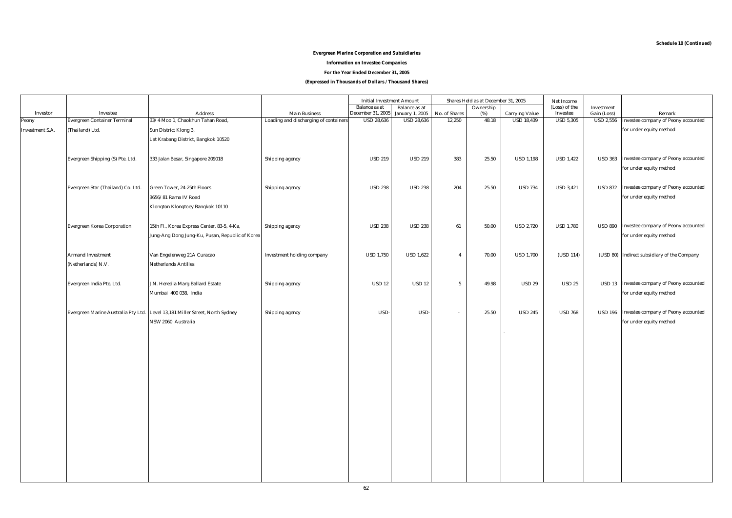#### **Evergreen Marine Corporation and Subsidiaries**

#### **Information on Investee Companies**

**For the Year Ended December 31, 2005**

**(Expressed in Thousands of Dollars / Thousand Shares)**

|                        |                                     |                                                                              |                                       | <b>Initial Investment Amount</b> |                        |                          | Shares Held as at December 31, 2005 |                       | Net Income       |                        |                                             |
|------------------------|-------------------------------------|------------------------------------------------------------------------------|---------------------------------------|----------------------------------|------------------------|--------------------------|-------------------------------------|-----------------------|------------------|------------------------|---------------------------------------------|
|                        |                                     |                                                                              |                                       | <b>Balance</b> as at             | <b>Balance as at</b>   |                          | Ownership                           |                       | (Loss) of the    | Investment             |                                             |
| Investor               | <b>Investee</b>                     | <b>Address</b>                                                               | <b>Main Business</b>                  | December 31, 2005                | <b>January 1, 2005</b> | No. of Shares            | (%)                                 | <b>Carrying Value</b> | Investee         | Gain (Loss)            | Remark                                      |
| Peony                  | <b>Evergreen Container Terminal</b> | 33/4 Moo 1, Chaokhun Tahan Road,                                             | Loading and discharging of containers | <b>USD 28,636</b>                | <b>USD 28,636</b>      | 12,250                   | 48.18                               | <b>USD 18,439</b>     | <b>USD 5,305</b> | $\overline{$ USD 2,556 | Investee company of Peony accounted         |
| <b>Investment S.A.</b> | (Thailand) Ltd.                     | Sun District Klong 3,                                                        |                                       |                                  |                        |                          |                                     |                       |                  |                        | for under equity method                     |
|                        |                                     | Lat Krabang District, Bangkok 10520                                          |                                       |                                  |                        |                          |                                     |                       |                  |                        |                                             |
|                        |                                     |                                                                              |                                       |                                  |                        |                          |                                     |                       |                  |                        |                                             |
|                        |                                     |                                                                              |                                       |                                  |                        |                          |                                     |                       |                  |                        |                                             |
|                        | Evergreen Shipping (S) Pte. Ltd.    | 333 Jalan Besar, Singapore 209018                                            | Shipping agency                       | <b>USD 219</b>                   | <b>USD 219</b>         | 383                      | 25.50                               | <b>USD 1,198</b>      | <b>USD 1,422</b> | <b>USD 363</b>         | Investee company of Peony accounted         |
|                        |                                     |                                                                              |                                       |                                  |                        |                          |                                     |                       |                  |                        | for under equity method                     |
|                        |                                     |                                                                              |                                       |                                  |                        |                          |                                     |                       |                  |                        |                                             |
|                        | Evergreen Star (Thailand) Co. Ltd.  | Green Tower, 24-25th Floors                                                  | Shipping agency                       | <b>USD 238</b>                   | <b>USD 238</b>         | 204                      | 25.50                               | <b>USD 734</b>        | <b>USD 3,421</b> |                        | USD 872 Investee company of Peony accounted |
|                        |                                     | 3656/81 Rama IV Road                                                         |                                       |                                  |                        |                          |                                     |                       |                  |                        | for under equity method                     |
|                        |                                     | Klongton Klongtoey Bangkok 10110                                             |                                       |                                  |                        |                          |                                     |                       |                  |                        |                                             |
|                        |                                     |                                                                              |                                       |                                  |                        |                          |                                     |                       |                  |                        |                                             |
|                        |                                     |                                                                              |                                       |                                  |                        |                          |                                     |                       |                  |                        |                                             |
|                        | <b>Evergreen Korea Corporation</b>  | 15th Fl., Korea Express Center, 83-5, 4-Ka,                                  | Shipping agency                       | <b>USD 238</b>                   | <b>USD 238</b>         | 61                       | 50.00                               | <b>USD 2,720</b>      | <b>USD 1,780</b> |                        | USD 890 Investee company of Peony accounted |
|                        |                                     | Jung-Ang Dong Jung-Ku, Pusan, Republic of Korea                              |                                       |                                  |                        |                          |                                     |                       |                  |                        | for under equity method                     |
|                        |                                     |                                                                              |                                       |                                  |                        |                          |                                     |                       |                  |                        |                                             |
|                        | <b>Armand Investment</b>            | Van Engelenweg 21A Curacao                                                   | Investment holding company            | <b>USD 1,750</b>                 | <b>USD 1,622</b>       | $\overline{4}$           | 70.00                               | <b>USD 1,700</b>      | (USD 114)        |                        | (USD 80) Indirect subsidiary of the Company |
|                        | (Netherlands) N.V.                  | <b>Netherlands Antilles</b>                                                  |                                       |                                  |                        |                          |                                     |                       |                  |                        |                                             |
|                        |                                     |                                                                              |                                       |                                  |                        |                          |                                     |                       |                  |                        |                                             |
|                        | Evergreen India Pte. Ltd.           | J.N. Heredia Marg Ballard Estate                                             |                                       | <b>USD 12</b>                    | <b>USD 12</b>          | $5\phantom{.0}$          | 49.98                               | <b>USD 29</b>         | <b>USD 25</b>    |                        | USD 13 Investee company of Peony accounted  |
|                        |                                     |                                                                              | Shipping agency                       |                                  |                        |                          |                                     |                       |                  |                        |                                             |
|                        |                                     | Mumbai 400 038, India                                                        |                                       |                                  |                        |                          |                                     |                       |                  |                        | for under equity method                     |
|                        |                                     |                                                                              |                                       |                                  |                        |                          |                                     |                       |                  |                        |                                             |
|                        |                                     | Evergreen Marine Australia Pty Ltd. Level 13,181 Miller Street, North Sydney | Shipping agency                       | USD-                             | USD-                   | $\overline{\phantom{a}}$ | 25.50                               | <b>USD 245</b>        | <b>USD 768</b>   |                        | USD 196 Investee company of Peony accounted |
|                        |                                     | NSW 2060 Australia                                                           |                                       |                                  |                        |                          |                                     |                       |                  |                        | for under equity method                     |
|                        |                                     |                                                                              |                                       |                                  |                        |                          |                                     |                       |                  |                        |                                             |
|                        |                                     |                                                                              |                                       |                                  |                        |                          |                                     |                       |                  |                        |                                             |
|                        |                                     |                                                                              |                                       |                                  |                        |                          |                                     |                       |                  |                        |                                             |
|                        |                                     |                                                                              |                                       |                                  |                        |                          |                                     |                       |                  |                        |                                             |
|                        |                                     |                                                                              |                                       |                                  |                        |                          |                                     |                       |                  |                        |                                             |
|                        |                                     |                                                                              |                                       |                                  |                        |                          |                                     |                       |                  |                        |                                             |
|                        |                                     |                                                                              |                                       |                                  |                        |                          |                                     |                       |                  |                        |                                             |
|                        |                                     |                                                                              |                                       |                                  |                        |                          |                                     |                       |                  |                        |                                             |
|                        |                                     |                                                                              |                                       |                                  |                        |                          |                                     |                       |                  |                        |                                             |
|                        |                                     |                                                                              |                                       |                                  |                        |                          |                                     |                       |                  |                        |                                             |
|                        |                                     |                                                                              |                                       |                                  |                        |                          |                                     |                       |                  |                        |                                             |
|                        |                                     |                                                                              |                                       |                                  |                        |                          |                                     |                       |                  |                        |                                             |
|                        |                                     |                                                                              |                                       |                                  |                        |                          |                                     |                       |                  |                        |                                             |
|                        |                                     |                                                                              |                                       |                                  |                        |                          |                                     |                       |                  |                        |                                             |
|                        |                                     |                                                                              |                                       |                                  |                        |                          |                                     |                       |                  |                        |                                             |
|                        |                                     |                                                                              |                                       |                                  |                        |                          |                                     |                       |                  |                        |                                             |
|                        |                                     |                                                                              |                                       |                                  |                        |                          |                                     |                       |                  |                        |                                             |
|                        |                                     |                                                                              |                                       |                                  |                        |                          |                                     |                       |                  |                        |                                             |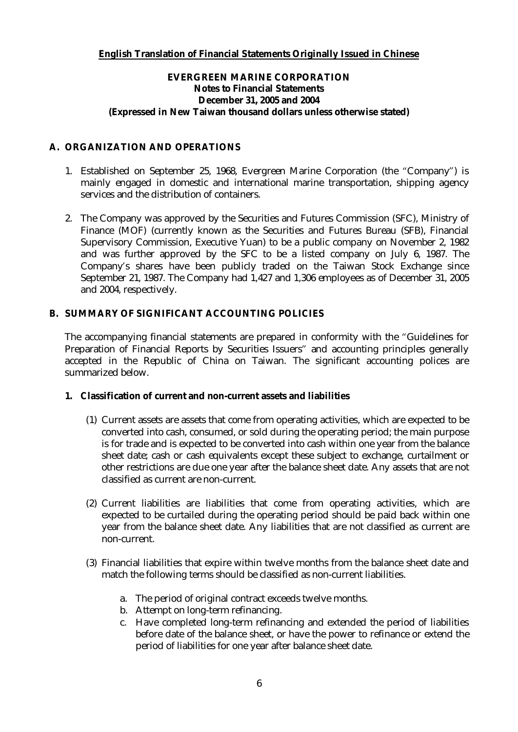## **English Translation of Financial Statements Originally Issued in Chinese**

## **EVERGREEN MARINE CORPORATION Notes to Financial Statements December 31, 2005 and 2004 (Expressed in New Taiwan thousand dollars unless otherwise stated)**

## **A. ORGANIZATION AND OPERATIONS**

- 1. Established on September 25, 1968, Evergreen Marine Corporation (the "Company") is mainly engaged in domestic and international marine transportation, shipping agency services and the distribution of containers.
- 2. The Company was approved by the Securities and Futures Commission (SFC), Ministry of Finance (MOF) (currently known as the Securities and Futures Bureau (SFB), Financial Supervisory Commission, Executive Yuan) to be a public company on November 2, 1982 and was further approved by the SFC to be a listed company on July 6, 1987. The Company's shares have been publicly traded on the Taiwan Stock Exchange since September 21, 1987. The Company had 1,427 and 1,306 employees as of December 31, 2005 and 2004, respectively.

## **B. SUMMARY OF SIGNIFICANT ACCOUNTING POLICIES**

The accompanying financial statements are prepared in conformity with the "Guidelines for Preparation of Financial Reports by Securities Issuers" and accounting principles generally accepted in the Republic of China on Taiwan. The significant accounting polices are summarized below.

- **1. Classification of current and non-current assets and liabilities** 
	- (1) Current assets are assets that come from operating activities, which are expected to be converted into cash, consumed, or sold during the operating period; the main purpose is for trade and is expected to be converted into cash within one year from the balance sheet date; cash or cash equivalents except these subject to exchange, curtailment or other restrictions are due one year after the balance sheet date. Any assets that are not classified as current are non-current.
	- (2) Current liabilities are liabilities that come from operating activities, which are expected to be curtailed during the operating period should be paid back within one year from the balance sheet date. Any liabilities that are not classified as current are non-current.
	- (3) Financial liabilities that expire within twelve months from the balance sheet date and match the following terms should be classified as non-current liabilities.
		- a. The period of original contract exceeds twelve months.
		- b. Attempt on long-term refinancing.
		- c. Have completed long-term refinancing and extended the period of liabilities before date of the balance sheet, or have the power to refinance or extend the period of liabilities for one year after balance sheet date.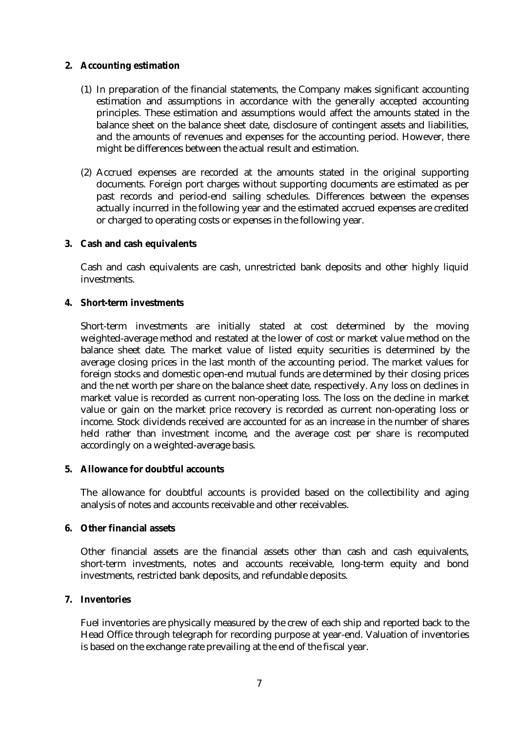### **2. Accounting estimation**

- (1) In preparation of the financial statements, the Company makes significant accounting estimation and assumptions in accordance with the generally accepted accounting principles. These estimation and assumptions would affect the amounts stated in the balance sheet on the balance sheet date, disclosure of contingent assets and liabilities, and the amounts of revenues and expenses for the accounting period. However, there might be differences between the actual result and estimation.
- (2) Accrued expenses are recorded at the amounts stated in the original supporting documents. Foreign port charges without supporting documents are estimated as per past records and period-end sailing schedules. Differences between the expenses actually incurred in the following year and the estimated accrued expenses are credited or charged to operating costs or expenses in the following year.
- **3. Cash and cash equivalents**

Cash and cash equivalents are cash, unrestricted bank deposits and other highly liquid investments.

**4. Short-term investments** 

Short-term investments are initially stated at cost determined by the moving weighted-average method and restated at the lower of cost or market value method on the balance sheet date. The market value of listed equity securities is determined by the average closing prices in the last month of the accounting period. The market values for foreign stocks and domestic open-end mutual funds are determined by their closing prices and the net worth per share on the balance sheet date, respectively. Any loss on declines in market value is recorded as current non-operating loss. The loss on the decline in market value or gain on the market price recovery is recorded as current non-operating loss or income. Stock dividends received are accounted for as an increase in the number of shares held rather than investment income, and the average cost per share is recomputed accordingly on a weighted-average basis.

**5. Allowance for doubtful accounts** 

The allowance for doubtful accounts is provided based on the collectibility and aging analysis of notes and accounts receivable and other receivables.

### **6. Other financial assets**

Other financial assets are the financial assets other than cash and cash equivalents, short-term investments, notes and accounts receivable, long-term equity and bond investments, restricted bank deposits, and refundable deposits.

**7. Inventories** 

Fuel inventories are physically measured by the crew of each ship and reported back to the Head Office through telegraph for recording purpose at year-end. Valuation of inventories is based on the exchange rate prevailing at the end of the fiscal year.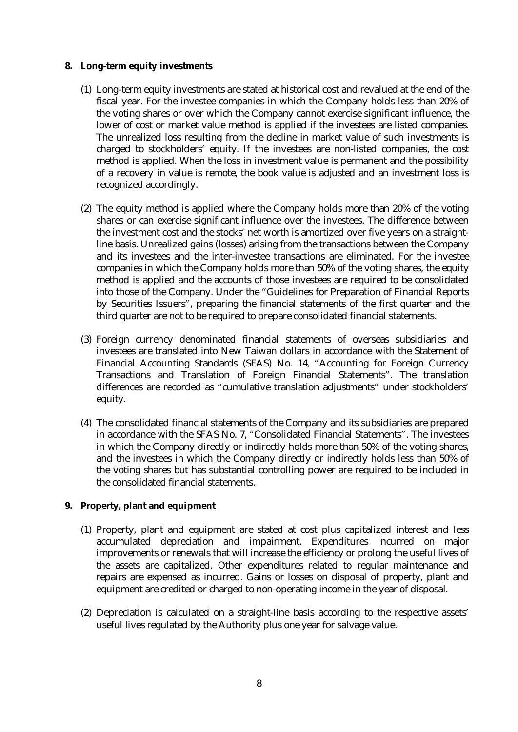- **8. Long-term equity investments** 
	- (1) Long-term equity investments are stated at historical cost and revalued at the end of the fiscal year. For the investee companies in which the Company holds less than 20% of the voting shares or over which the Company cannot exercise significant influence, the lower of cost or market value method is applied if the investees are listed companies. The unrealized loss resulting from the decline in market value of such investments is charged to stockholders' equity. If the investees are non-listed companies, the cost method is applied. When the loss in investment value is permanent and the possibility of a recovery in value is remote, the book value is adjusted and an investment loss is recognized accordingly.
	- (2) The equity method is applied where the Company holds more than 20% of the voting shares or can exercise significant influence over the investees. The difference between the investment cost and the stocks' net worth is amortized over five years on a straightline basis. Unrealized gains (losses) arising from the transactions between the Company and its investees and the inter-investee transactions are eliminated. For the investee companies in which the Company holds more than 50% of the voting shares, the equity method is applied and the accounts of those investees are required to be consolidated into those of the Company. Under the "Guidelines for Preparation of Financial Reports by Securities Issuers", preparing the financial statements of the first quarter and the third quarter are not to be required to prepare consolidated financial statements.
	- (3) Foreign currency denominated financial statements of overseas subsidiaries and investees are translated into New Taiwan dollars in accordance with the Statement of Financial Accounting Standards (SFAS) No. 14, "Accounting for Foreign Currency Transactions and Translation of Foreign Financial Statements". The translation differences are recorded as "cumulative translation adjustments" under stockholders' equity.
	- (4) The consolidated financial statements of the Company and its subsidiaries are prepared in accordance with the SFAS No. 7, "Consolidated Financial Statements". The investees in which the Company directly or indirectly holds more than 50% of the voting shares, and the investees in which the Company directly or indirectly holds less than 50% of the voting shares but has substantial controlling power are required to be included in the consolidated financial statements.
- **9. Property, plant and equipment** 
	- (1) Property, plant and equipment are stated at cost plus capitalized interest and less accumulated depreciation and impairment. Expenditures incurred on major improvements or renewals that will increase the efficiency or prolong the useful lives of the assets are capitalized. Other expenditures related to regular maintenance and repairs are expensed as incurred. Gains or losses on disposal of property, plant and equipment are credited or charged to non-operating income in the year of disposal.
	- (2) Depreciation is calculated on a straight-line basis according to the respective assets' useful lives regulated by the Authority plus one year for salvage value.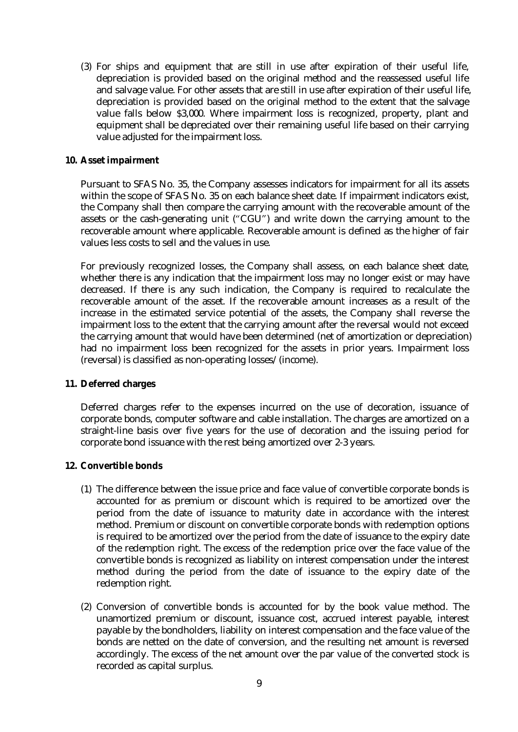(3) For ships and equipment that are still in use after expiration of their useful life, depreciation is provided based on the original method and the reassessed useful life and salvage value. For other assets that are still in use after expiration of their useful life, depreciation is provided based on the original method to the extent that the salvage value falls below \$3,000. Where impairment loss is recognized, property, plant and equipment shall be depreciated over their remaining useful life based on their carrying value adjusted for the impairment loss.

### **10. Asset impairment**

Pursuant to SFAS No. 35, the Company assesses indicators for impairment for all its assets within the scope of SFAS No. 35 on each balance sheet date. If impairment indicators exist, the Company shall then compare the carrying amount with the recoverable amount of the assets or the cash-generating unit ("CGU") and write down the carrying amount to the recoverable amount where applicable. Recoverable amount is defined as the higher of fair values less costs to sell and the values in use.

For previously recognized losses, the Company shall assess, on each balance sheet date, whether there is any indication that the impairment loss may no longer exist or may have decreased. If there is any such indication, the Company is required to recalculate the recoverable amount of the asset. If the recoverable amount increases as a result of the increase in the estimated service potential of the assets, the Company shall reverse the impairment loss to the extent that the carrying amount after the reversal would not exceed the carrying amount that would have been determined (net of amortization or depreciation) had no impairment loss been recognized for the assets in prior years. Impairment loss (reversal) is classified as non-operating losses/(income).

### **11. Deferred charges**

Deferred charges refer to the expenses incurred on the use of decoration, issuance of corporate bonds, computer software and cable installation. The charges are amortized on a straight-line basis over five years for the use of decoration and the issuing period for corporate bond issuance with the rest being amortized over 2-3 years.

### **12. Convertible bonds**

- (1) The difference between the issue price and face value of convertible corporate bonds is accounted for as premium or discount which is required to be amortized over the period from the date of issuance to maturity date in accordance with the interest method. Premium or discount on convertible corporate bonds with redemption options is required to be amortized over the period from the date of issuance to the expiry date of the redemption right. The excess of the redemption price over the face value of the convertible bonds is recognized as liability on interest compensation under the interest method during the period from the date of issuance to the expiry date of the redemption right.
- (2) Conversion of convertible bonds is accounted for by the book value method. The unamortized premium or discount, issuance cost, accrued interest payable, interest payable by the bondholders, liability on interest compensation and the face value of the bonds are netted on the date of conversion, and the resulting net amount is reversed accordingly. The excess of the net amount over the par value of the converted stock is recorded as capital surplus.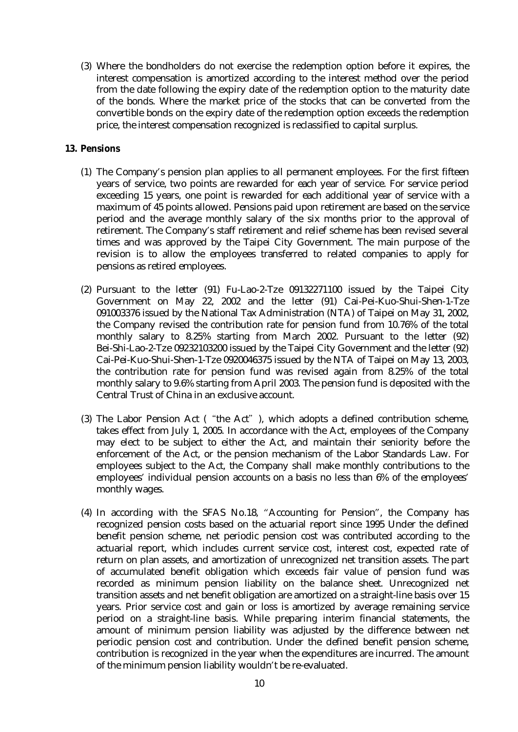(3) Where the bondholders do not exercise the redemption option before it expires, the interest compensation is amortized according to the interest method over the period from the date following the expiry date of the redemption option to the maturity date of the bonds. Where the market price of the stocks that can be converted from the convertible bonds on the expiry date of the redemption option exceeds the redemption price, the interest compensation recognized is reclassified to capital surplus.

### **13. Pensions**

- (1) The Company's pension plan applies to all permanent employees. For the first fifteen years of service, two points are rewarded for each year of service. For service period exceeding 15 years, one point is rewarded for each additional year of service with a maximum of 45 points allowed. Pensions paid upon retirement are based on the service period and the average monthly salary of the six months prior to the approval of retirement. The Company's staff retirement and relief scheme has been revised several times and was approved by the Taipei City Government. The main purpose of the revision is to allow the employees transferred to related companies to apply for pensions as retired employees.
- (2) Pursuant to the letter (91) Fu-Lao-2-Tze 09132271100 issued by the Taipei City Government on May 22, 2002 and the letter (91) Cai-Pei-Kuo-Shui-Shen-1-Tze 091003376 issued by the National Tax Administration (NTA) of Taipei on May 31, 2002, the Company revised the contribution rate for pension fund from 10.76% of the total monthly salary to 8.25% starting from March 2002. Pursuant to the letter (92) Bei-Shi-Lao-2-Tze 09232103200 issued by the Taipei City Government and the letter (92) Cai-Pei-Kuo-Shui-Shen-1-Tze 0920046375 issued by the NTA of Taipei on May 13, 2003, the contribution rate for pension fund was revised again from 8.25% of the total monthly salary to 9.6% starting from April 2003. The pension fund is deposited with the Central Trust of China in an exclusive account.
- (3) The Labor Pension Act ("the Act"), which adopts a defined contribution scheme, takes effect from July 1, 2005. In accordance with the Act, employees of the Company may elect to be subject to either the Act, and maintain their seniority before the enforcement of the Act, or the pension mechanism of the Labor Standards Law. For employees subject to the Act, the Company shall make monthly contributions to the employees' individual pension accounts on a basis no less than 6% of the employees' monthly wages.
- (4) In according with the SFAS No.18, "Accounting for Pension", the Company has recognized pension costs based on the actuarial report since 1995 Under the defined benefit pension scheme, net periodic pension cost was contributed according to the actuarial report, which includes current service cost, interest cost, expected rate of return on plan assets, and amortization of unrecognized net transition assets. The part of accumulated benefit obligation which exceeds fair value of pension fund was recorded as minimum pension liability on the balance sheet. Unrecognized net transition assets and net benefit obligation are amortized on a straight-line basis over 15 years. Prior service cost and gain or loss is amortized by average remaining service period on a straight-line basis. While preparing interim financial statements, the amount of minimum pension liability was adjusted by the difference between net periodic pension cost and contribution. Under the defined benefit pension scheme, contribution is recognized in the year when the expenditures are incurred. The amount of the minimum pension liability wouldn't be re-evaluated.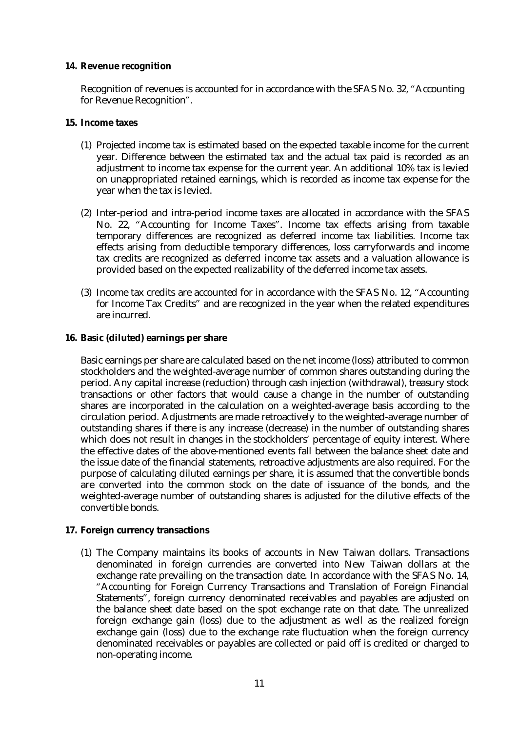#### **14. Revenue recognition**

Recognition of revenues is accounted for in accordance with the SFAS No. 32, "Accounting for Revenue Recognition".

- **15. Income taxes** 
	- (1) Projected income tax is estimated based on the expected taxable income for the current year. Difference between the estimated tax and the actual tax paid is recorded as an adjustment to income tax expense for the current year. An additional 10% tax is levied on unappropriated retained earnings, which is recorded as income tax expense for the year when the tax is levied.
	- (2) Inter-period and intra-period income taxes are allocated in accordance with the SFAS No. 22, "Accounting for Income Taxes". Income tax effects arising from taxable temporary differences are recognized as deferred income tax liabilities. Income tax effects arising from deductible temporary differences, loss carryforwards and income tax credits are recognized as deferred income tax assets and a valuation allowance is provided based on the expected realizability of the deferred income tax assets.
	- (3) Income tax credits are accounted for in accordance with the SFAS No. 12, "Accounting for Income Tax Credits" and are recognized in the year when the related expenditures are incurred.
- **16. Basic (diluted) earnings per share**

Basic earnings per share are calculated based on the net income (loss) attributed to common stockholders and the weighted-average number of common shares outstanding during the period. Any capital increase (reduction) through cash injection (withdrawal), treasury stock transactions or other factors that would cause a change in the number of outstanding shares are incorporated in the calculation on a weighted-average basis according to the circulation period. Adjustments are made retroactively to the weighted-average number of outstanding shares if there is any increase (decrease) in the number of outstanding shares which does not result in changes in the stockholders' percentage of equity interest. Where the effective dates of the above-mentioned events fall between the balance sheet date and the issue date of the financial statements, retroactive adjustments are also required. For the purpose of calculating diluted earnings per share, it is assumed that the convertible bonds are converted into the common stock on the date of issuance of the bonds, and the weighted-average number of outstanding shares is adjusted for the dilutive effects of the convertible bonds.

### **17. Foreign currency transactions**

(1) The Company maintains its books of accounts in New Taiwan dollars. Transactions denominated in foreign currencies are converted into New Taiwan dollars at the exchange rate prevailing on the transaction date. In accordance with the SFAS No. 14, "Accounting for Foreign Currency Transactions and Translation of Foreign Financial Statements", foreign currency denominated receivables and payables are adjusted on the balance sheet date based on the spot exchange rate on that date. The unrealized foreign exchange gain (loss) due to the adjustment as well as the realized foreign exchange gain (loss) due to the exchange rate fluctuation when the foreign currency denominated receivables or payables are collected or paid off is credited or charged to non-operating income.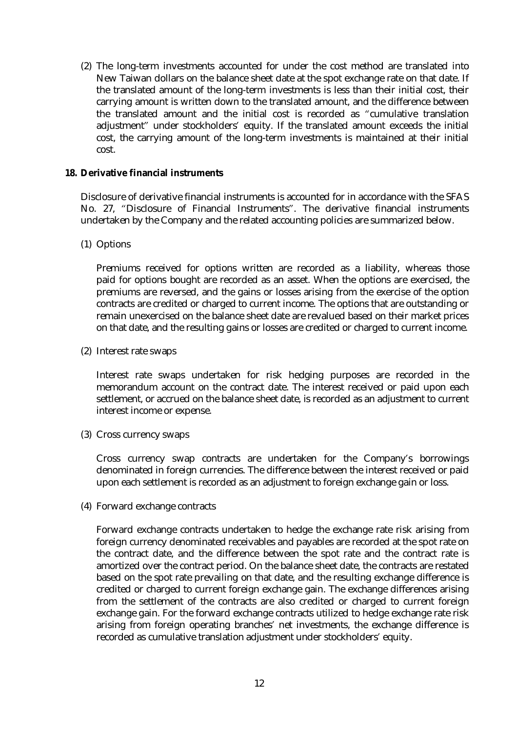(2) The long-term investments accounted for under the cost method are translated into New Taiwan dollars on the balance sheet date at the spot exchange rate on that date. If the translated amount of the long-term investments is less than their initial cost, their carrying amount is written down to the translated amount, and the difference between the translated amount and the initial cost is recorded as "cumulative translation adjustment" under stockholders' equity. If the translated amount exceeds the initial cost, the carrying amount of the long-term investments is maintained at their initial cost.

### **18. Derivative financial instruments**

Disclosure of derivative financial instruments is accounted for in accordance with the SFAS No. 27, "Disclosure of Financial Instruments". The derivative financial instruments undertaken by the Company and the related accounting policies are summarized below.

(1) Options

Premiums received for options written are recorded as a liability, whereas those paid for options bought are recorded as an asset. When the options are exercised, the premiums are reversed, and the gains or losses arising from the exercise of the option contracts are credited or charged to current income. The options that are outstanding or remain unexercised on the balance sheet date are revalued based on their market prices on that date, and the resulting gains or losses are credited or charged to current income.

(2) Interest rate swaps

Interest rate swaps undertaken for risk hedging purposes are recorded in the memorandum account on the contract date. The interest received or paid upon each settlement, or accrued on the balance sheet date, is recorded as an adjustment to current interest income or expense.

(3) Cross currency swaps

Cross currency swap contracts are undertaken for the Company's borrowings denominated in foreign currencies. The difference between the interest received or paid upon each settlement is recorded as an adjustment to foreign exchange gain or loss.

(4) Forward exchange contracts

Forward exchange contracts undertaken to hedge the exchange rate risk arising from foreign currency denominated receivables and payables are recorded at the spot rate on the contract date, and the difference between the spot rate and the contract rate is amortized over the contract period. On the balance sheet date, the contracts are restated based on the spot rate prevailing on that date, and the resulting exchange difference is credited or charged to current foreign exchange gain. The exchange differences arising from the settlement of the contracts are also credited or charged to current foreign exchange gain. For the forward exchange contracts utilized to hedge exchange rate risk arising from foreign operating branches' net investments, the exchange difference is recorded as cumulative translation adjustment under stockholders' equity.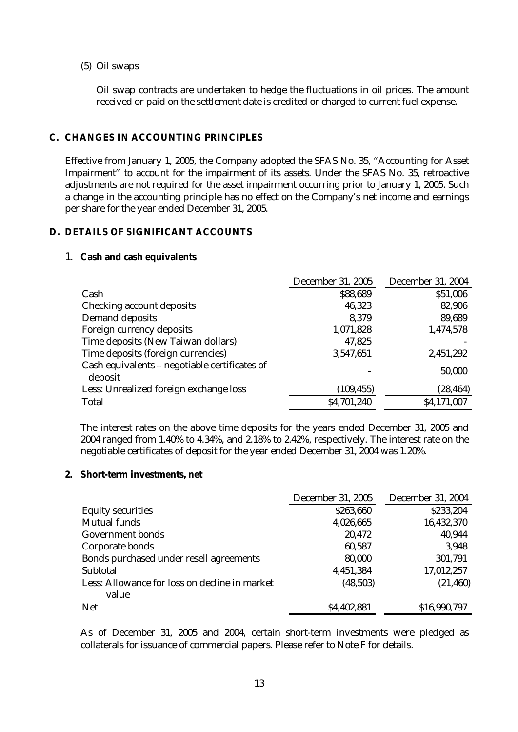### (5) Oil swaps

Oil swap contracts are undertaken to hedge the fluctuations in oil prices. The amount received or paid on the settlement date is credited or charged to current fuel expense.

### **C. CHANGES IN ACCOUNTING PRINCIPLES**

Effective from January 1, 2005, the Company adopted the SFAS No. 35, "Accounting for Asset Impairment" to account for the impairment of its assets. Under the SFAS No. 35, retroactive adjustments are not required for the asset impairment occurring prior to January 1, 2005. Such a change in the accounting principle has no effect on the Company's net income and earnings per share for the year ended December 31, 2005.

### **D. DETAILS OF SIGNIFICANT ACCOUNTS**

#### 1. **Cash and cash equivalents**

|                                                          | <b>December 31, 2005</b> | <b>December 31, 2004</b> |
|----------------------------------------------------------|--------------------------|--------------------------|
| Cash                                                     | \$88,689                 | \$51,006                 |
| <b>Checking account deposits</b>                         | 46,323                   | 82,906                   |
| <b>Demand deposits</b>                                   | 8,379                    | 89,689                   |
| Foreign currency deposits                                | 1,071,828                | 1,474,578                |
| Time deposits (New Taiwan dollars)                       | 47,825                   |                          |
| Time deposits (foreign currencies)                       | 3,547,651                | 2,451,292                |
| Cash equivalents - negotiable certificates of<br>deposit |                          | 50,000                   |
| Less: Unrealized foreign exchange loss                   | (109, 455)               | (28, 464)                |
| <b>Total</b>                                             | \$4,701,240              | \$4,171,007              |

The interest rates on the above time deposits for the years ended December 31, 2005 and 2004 ranged from 1.40% to 4.34%, and 2.18% to 2.42%, respectively. The interest rate on the negotiable certificates of deposit for the year ended December 31, 2004 was 1.20%.

### **2. Short-term investments, net**

|                                                        | <b>December 31, 2005</b> | <b>December 31, 2004</b> |
|--------------------------------------------------------|--------------------------|--------------------------|
| <b>Equity securities</b>                               | \$263,660                | \$233,204                |
| <b>Mutual funds</b>                                    | 4,026,665                | 16,432,370               |
| <b>Government bonds</b>                                | 20,472                   | 40,944                   |
| Corporate bonds                                        | 60,587                   | 3,948                    |
| Bonds purchased under resell agreements                | 80,000                   | 301,791                  |
| <b>Subtotal</b>                                        | 4,451,384                | 17,012,257               |
| Less: Allowance for loss on decline in market<br>value | (48, 503)                | (21, 460)                |
| <b>Net</b>                                             | \$4,402,881              | \$16,990,797             |

As of December 31, 2005 and 2004, certain short-term investments were pledged as collaterals for issuance of commercial papers. Please refer to Note F for details.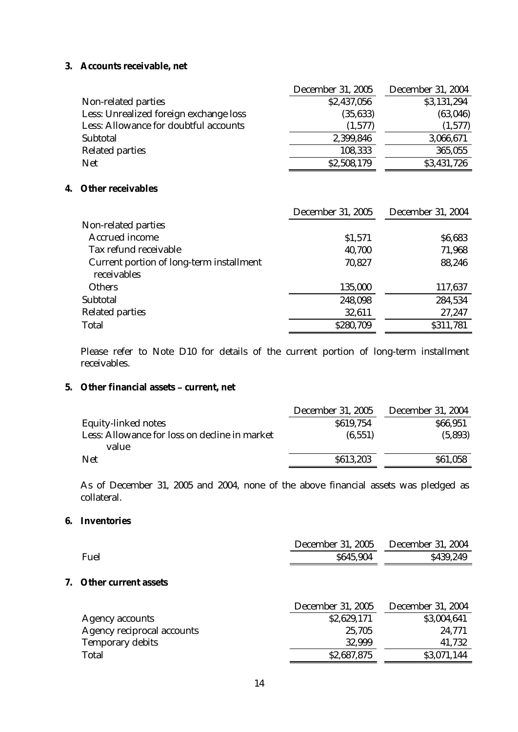### **3. Accounts receivable, net**

|                                        | <b>December 31, 2005</b> | <b>December 31, 2004</b> |
|----------------------------------------|--------------------------|--------------------------|
| Non-related parties                    | \$2,437,056              | \$3,131,294              |
| Less: Unrealized foreign exchange loss | (35, 633)                | (63,046)                 |
| Less: Allowance for doubtful accounts  | (1,577)                  | (1,577)                  |
| <b>Subtotal</b>                        | 2,399,846                | 3,066,671                |
| <b>Related parties</b>                 | 108,333                  | 365,055                  |
| <b>Net</b>                             | \$2,508,179              | \$3,431,726              |

### **4. Other receivables**

|                                                                | <b>December 31, 2005</b> | <b>December 31, 2004</b> |
|----------------------------------------------------------------|--------------------------|--------------------------|
| Non-related parties                                            |                          |                          |
| <b>Accrued income</b>                                          | \$1,571                  | \$6,683                  |
| Tax refund receivable                                          | 40,700                   | 71,968                   |
| <b>Current portion of long-term installment</b><br>receivables | 70,827                   | 88,246                   |
| <b>Others</b>                                                  | 135,000                  | 117,637                  |
| <b>Subtotal</b>                                                | 248,098                  | 284,534                  |
| <b>Related parties</b>                                         | 32,611                   | 27,247                   |
| <b>Total</b>                                                   | \$280,709                | \$311,781                |

Please refer to Note D10 for details of the current portion of long-term installment receivables.

## **5. Other financial assets – current, net**

|                                                        | <b>December 31, 2005</b> | <b>December 31, 2004</b> |
|--------------------------------------------------------|--------------------------|--------------------------|
| <b>Equity-linked notes</b>                             | \$619,754                | \$66,951                 |
| Less: Allowance for loss on decline in market<br>value | (6, 551)                 | (5,893)                  |
| <b>Net</b>                                             | \$613,203                | \$61,058                 |
|                                                        |                          |                          |

As of December 31, 2005 and 2004, none of the above financial assets was pledged as collateral.

### **6. Inventories**

|    |                                   | <b>December 31, 2005</b> | <b>December 31, 2004</b> |
|----|-----------------------------------|--------------------------|--------------------------|
|    | <b>Fuel</b>                       | \$645,904                | \$439,249                |
| 7. | Other current assets              |                          |                          |
|    |                                   | <b>December 31, 2005</b> | <b>December 31, 2004</b> |
|    | <b>Agency accounts</b>            | \$2,629,171              | \$3,004,641              |
|    | <b>Agency reciprocal accounts</b> | 25,705                   | 24,771                   |
|    | <b>Temporary debits</b>           | 32,999                   | 41,732                   |
|    | <b>Total</b>                      | \$2,687,875              | \$3,071,144              |
|    |                                   |                          |                          |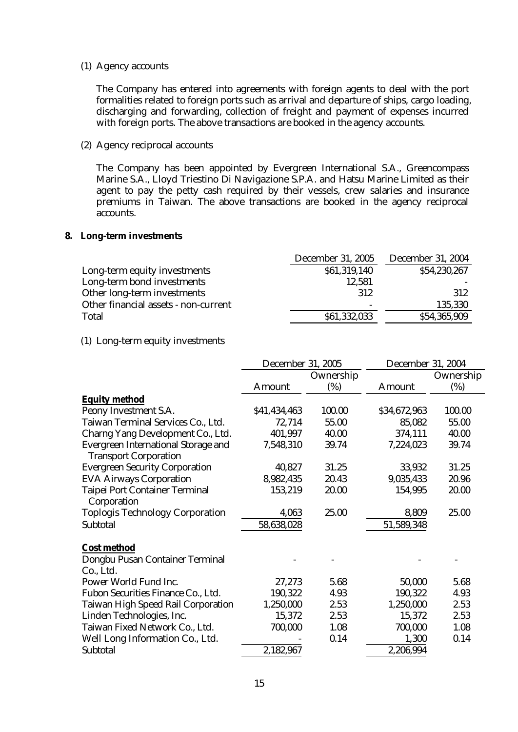#### (1) Agency accounts

The Company has entered into agreements with foreign agents to deal with the port formalities related to foreign ports such as arrival and departure of ships, cargo loading, discharging and forwarding, collection of freight and payment of expenses incurred with foreign ports. The above transactions are booked in the agency accounts.

## (2) Agency reciprocal accounts

The Company has been appointed by Evergreen International S.A., Greencompass Marine S.A., Lloyd Triestino Di Navigazione S.P.A. and Hatsu Marine Limited as their agent to pay the petty cash required by their vessels, crew salaries and insurance premiums in Taiwan. The above transactions are booked in the agency reciprocal accounts.

#### **8. Long-term investments**

|                                      | <b>December 31, 2005</b> | <b>December 31, 2004</b> |
|--------------------------------------|--------------------------|--------------------------|
| Long-term equity investments         | \$61,319,140             | \$54,230,267             |
| Long-term bond investments           | 12,581                   |                          |
| Other long-term investments          | 312                      | 312                      |
| Other financial assets - non-current |                          | 135,330                  |
| <b>Total</b>                         | \$61,332,033             | \$54,365,909             |

#### (1) Long-term equity investments

|                                                                            | <b>December 31, 2005</b> |           | <b>December 31, 2004</b> |           |
|----------------------------------------------------------------------------|--------------------------|-----------|--------------------------|-----------|
|                                                                            |                          | Ownership |                          | Ownership |
|                                                                            | <b>Amount</b>            | (%)       | <b>Amount</b>            | (%)       |
| <b>Equity method</b>                                                       |                          |           |                          |           |
| Peony Investment S.A.                                                      | \$41,434,463             | 100.00    | \$34,672,963             | 100.00    |
| Taiwan Terminal Services Co., Ltd.                                         | 72,714                   | 55.00     | 85,082                   | 55.00     |
| <b>Charng Yang Development Co., Ltd.</b>                                   | 401,997                  | 40.00     | 374,111                  | 40.00     |
| <b>Evergreen International Storage and</b><br><b>Transport Corporation</b> | 7,548,310                | 39.74     | 7,224,023                | 39.74     |
| <b>Evergreen Security Corporation</b>                                      | 40,827                   | 31.25     | 33,932                   | 31.25     |
| <b>EVA Airways Corporation</b>                                             | 8,982,435                | 20.43     | 9,035,433                | 20.96     |
| <b>Taipei Port Container Terminal</b><br>Corporation                       | 153,219                  | 20.00     | 154,995                  | 20.00     |
| <b>Toplogis Technology Corporation</b>                                     | 4,063                    | 25.00     | 8,809                    | 25.00     |
| <b>Subtotal</b>                                                            | 58,638,028               |           | 51,589,348               |           |
| <b>Cost method</b>                                                         |                          |           |                          |           |
| Dongbu Pusan Container Terminal<br>Co., Ltd.                               |                          |           |                          |           |
| Power World Fund Inc.                                                      | 27,273                   | 5.68      | 50,000                   | 5.68      |
| Fubon Securities Finance Co., Ltd.                                         | 190,322                  | 4.93      | 190,322                  | 4.93      |
| <b>Taiwan High Speed Rail Corporation</b>                                  | 1,250,000                | 2.53      | 1,250,000                | 2.53      |
| Linden Technologies, Inc.                                                  | 15,372                   | 2.53      | 15,372                   | 2.53      |
| Taiwan Fixed Network Co., Ltd.                                             | 700,000                  | 1.08      | 700,000                  | 1.08      |
| Well Long Information Co., Ltd.                                            |                          | 0.14      | 1,300                    | 0.14      |
| <b>Subtotal</b>                                                            | 2,182,967                |           | 2,206,994                |           |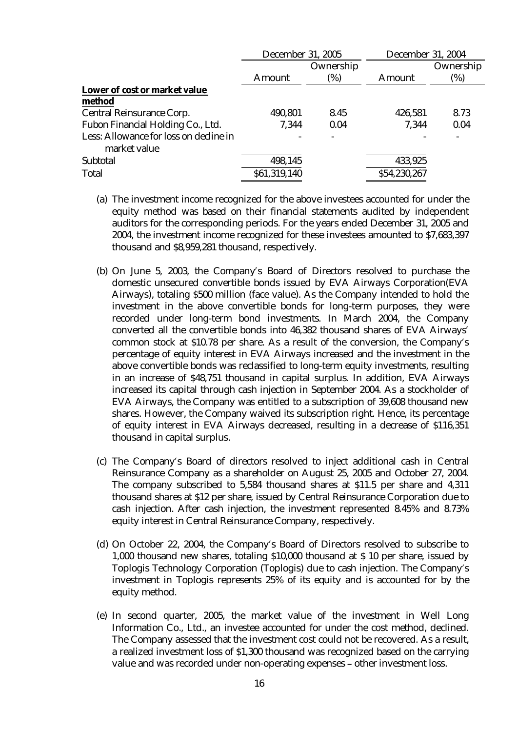|                                                        | <b>December 31, 2005</b> |           | <b>December 31, 2004</b> |           |
|--------------------------------------------------------|--------------------------|-----------|--------------------------|-----------|
|                                                        |                          | Ownership |                          | Ownership |
|                                                        | <b>Amount</b>            | (%)       | <b>Amount</b>            | (%)       |
| Lower of cost or market value                          |                          |           |                          |           |
| method                                                 |                          |           |                          |           |
| <b>Central Reinsurance Corp.</b>                       | 490,801                  | 8.45      | 426,581                  | 8.73      |
| Fubon Financial Holding Co., Ltd.                      | 7,344                    | 0.04      | 7,344                    | 0.04      |
| Less: Allowance for loss on decline in<br>market value |                          |           |                          |           |
| <b>Subtotal</b>                                        | 498,145                  |           | 433,925                  |           |
| <b>Total</b>                                           | \$61,319,140             |           | \$54,230,267             |           |

- (a) The investment income recognized for the above investees accounted for under the equity method was based on their financial statements audited by independent auditors for the corresponding periods. For the years ended December 31, 2005 and 2004, the investment income recognized for these investees amounted to \$7,683,397 thousand and \$8,959,281 thousand, respectively.
- (b) On June 5, 2003, the Company's Board of Directors resolved to purchase the domestic unsecured convertible bonds issued by EVA Airways Corporation(EVA Airways), totaling \$500 million (face value). As the Company intended to hold the investment in the above convertible bonds for long-term purposes, they were recorded under long-term bond investments. In March 2004, the Company converted all the convertible bonds into 46,382 thousand shares of EVA Airways' common stock at \$10.78 per share. As a result of the conversion, the Company's percentage of equity interest in EVA Airways increased and the investment in the above convertible bonds was reclassified to long-term equity investments, resulting in an increase of \$48,751 thousand in capital surplus. In addition, EVA Airways increased its capital through cash injection in September 2004. As a stockholder of EVA Airways, the Company was entitled to a subscription of 39,608 thousand new shares. However, the Company waived its subscription right. Hence, its percentage of equity interest in EVA Airways decreased, resulting in a decrease of \$116,351 thousand in capital surplus.
- (c) The Company's Board of directors resolved to inject additional cash in Central Reinsurance Company as a shareholder on August 25, 2005 and October 27, 2004. The company subscribed to 5,584 thousand shares at \$11.5 per share and 4,311 thousand shares at \$12 per share, issued by Central Reinsurance Corporation due to cash injection. After cash injection, the investment represented 8.45% and 8.73% equity interest in Central Reinsurance Company, respectively.
- (d) On October 22, 2004, the Company's Board of Directors resolved to subscribe to 1,000 thousand new shares, totaling \$10,000 thousand at \$ 10 per share, issued by Toplogis Technology Corporation (Toplogis) due to cash injection. The Company's investment in Toplogis represents 25% of its equity and is accounted for by the equity method.
- (e) In second quarter, 2005, the market value of the investment in Well Long Information Co., Ltd., an investee accounted for under the cost method, declined. The Company assessed that the investment cost could not be recovered. As a result, a realized investment loss of \$1,300 thousand was recognized based on the carrying value and was recorded under non-operating expenses – other investment loss.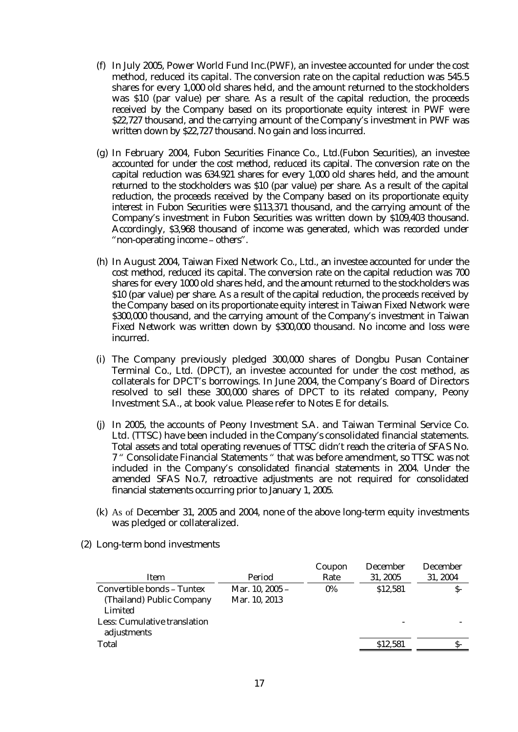- (f) In July 2005, Power World Fund Inc.(PWF), an investee accounted for under the cost method, reduced its capital. The conversion rate on the capital reduction was 545.5 shares for every 1,000 old shares held, and the amount returned to the stockholders was \$10 (par value) per share. As a result of the capital reduction, the proceeds received by the Company based on its proportionate equity interest in PWF were \$22,727 thousand, and the carrying amount of the Company's investment in PWF was written down by \$22,727 thousand. No gain and loss incurred.
- (g) In February 2004, Fubon Securities Finance Co., Ltd.(Fubon Securities), an investee accounted for under the cost method, reduced its capital. The conversion rate on the capital reduction was 634.921 shares for every 1,000 old shares held, and the amount returned to the stockholders was \$10 (par value) per share. As a result of the capital reduction, the proceeds received by the Company based on its proportionate equity interest in Fubon Securities were \$113,371 thousand, and the carrying amount of the Company's investment in Fubon Securities was written down by \$109,403 thousand. Accordingly, \$3,968 thousand of income was generated, which was recorded under "non-operating income – others".
- (h) In August 2004, Taiwan Fixed Network Co., Ltd., an investee accounted for under the cost method, reduced its capital. The conversion rate on the capital reduction was 700 shares for every 1000 old shares held, and the amount returned to the stockholders was \$10 (par value) per share. As a result of the capital reduction, the proceeds received by the Company based on its proportionate equity interest in Taiwan Fixed Network were \$300,000 thousand, and the carrying amount of the Company's investment in Taiwan Fixed Network was written down by \$300,000 thousand. No income and loss were incurred.
- (i) The Company previously pledged 300,000 shares of Dongbu Pusan Container Terminal Co., Ltd. (DPCT), an investee accounted for under the cost method, as collaterals for DPCT's borrowings. In June 2004, the Company's Board of Directors resolved to sell these 300,000 shares of DPCT to its related company, Peony Investment S.A., at book value. Please refer to Notes E for details.
- (j) In 2005, the accounts of Peony Investment S.A. and Taiwan Terminal Service Co. Ltd. (TTSC) have been included in the Company's consolidated financial statements. Total assets and total operating revenues of TTSC didn't reach the criteria of SFAS No. 7 " Consolidate Financial Statements " that was before amendment, so TTSC was not included in the Company's consolidated financial statements in 2004. Under the amended SFAS No.7, retroactive adjustments are not required for consolidated financial statements occurring prior to January 1, 2005.
- (k) As of December 31, 2005 and 2004, none of the above long-term equity investments was pledged or collateralized.

|                                     |                 | Coupon | <b>December</b> | <b>December</b> |
|-------------------------------------|-----------------|--------|-----------------|-----------------|
| Item                                | Period          | Rate   | 31, 2005        | 31, 2004        |
| Convertible bonds - Tuntex          | Mar. 10, 2005 - | $0\%$  | \$12,581        | S-              |
| (Thailand) Public Company           | Mar. 10, 2013   |        |                 |                 |
| Limited                             |                 |        |                 |                 |
| <b>Less: Cumulative translation</b> |                 |        |                 |                 |
| adjustments                         |                 |        |                 |                 |
| <b>Total</b>                        |                 |        | \$12,581        |                 |
|                                     |                 |        |                 |                 |

(2) Long-term bond investments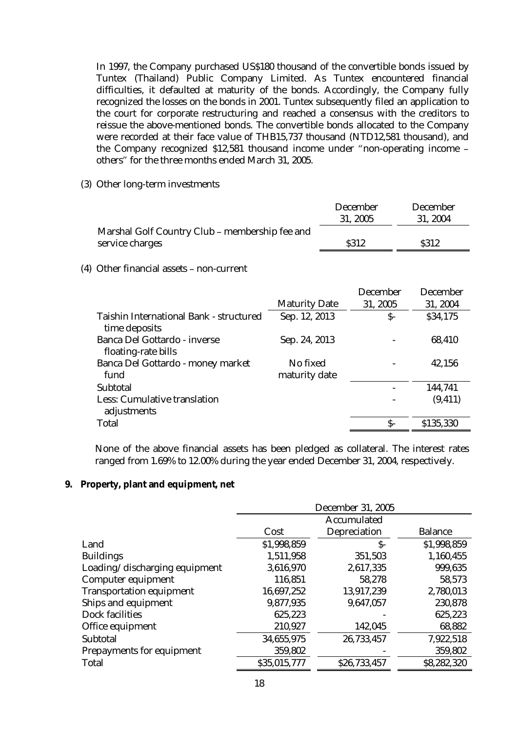In 1997, the Company purchased US\$180 thousand of the convertible bonds issued by Tuntex (Thailand) Public Company Limited. As Tuntex encountered financial difficulties, it defaulted at maturity of the bonds. Accordingly, the Company fully recognized the losses on the bonds in 2001. Tuntex subsequently filed an application to the court for corporate restructuring and reached a consensus with the creditors to reissue the above-mentioned bonds. The convertible bonds allocated to the Company were recorded at their face value of THB15,737 thousand (NTD12,581 thousand), and the Company recognized \$12,581 thousand income under "non-operating income – others" for the three months ended March 31, 2005.

(3) Other long-term investments

|                                                | <b>December</b> | <b>December</b> |
|------------------------------------------------|-----------------|-----------------|
|                                                | 31, 2005        | 31, 2004        |
| Marshal Golf Country Club – membership fee and |                 |                 |
| service charges                                | <b>S312</b>     | <b>S312</b>     |

(4) Other financial assets – non-current

|                                                                 |                           | <b>December</b> | <b>December</b> |
|-----------------------------------------------------------------|---------------------------|-----------------|-----------------|
|                                                                 | <b>Maturity Date</b>      | 31, 2005        | 31, 2004        |
| <b>Taishin International Bank - structured</b><br>time deposits | Sep. 12, 2013             | $S-$            | \$34,175        |
| <b>Banca Del Gottardo - inverse</b><br>floating-rate bills      | Sep. 24, 2013             |                 | 68,410          |
| <b>Banca Del Gottardo - money market</b><br>fund                | No fixed<br>maturity date |                 | 42,156          |
| <b>Subtotal</b>                                                 |                           |                 | 144,741         |
| <b>Less: Cumulative translation</b><br>adjustments              |                           |                 | (9, 411)        |
| <b>Total</b>                                                    |                           | S-              | \$135,330       |

None of the above financial assets has been pledged as collateral. The interest rates ranged from 1.69% to 12.00% during the year ended December 31, 2004, respectively.

**9. Property, plant and equipment, net** 

|                                  | <b>December 31, 2005</b> |                     |                |  |
|----------------------------------|--------------------------|---------------------|----------------|--|
|                                  | <b>Accumulated</b>       |                     |                |  |
|                                  | Cost                     | <b>Depreciation</b> | <b>Balance</b> |  |
| Land                             | \$1,998,859              | S-                  | \$1,998,859    |  |
| <b>Buildings</b>                 | 1,511,958                | 351,503             | 1,160,455      |  |
| Loading/discharging equipment    | 3,616,970                | 2,617,335           | 999,635        |  |
| Computer equipment               | 116,851                  | 58,278              | 58,573         |  |
| <b>Transportation equipment</b>  | 16,697,252               | 13,917,239          | 2,780,013      |  |
| Ships and equipment              | 9,877,935                | 9,647,057           | 230,878        |  |
| <b>Dock facilities</b>           | 625,223                  |                     | 625,223        |  |
| Office equipment                 | 210,927                  | 142,045             | 68,882         |  |
| <b>Subtotal</b>                  | 34,655,975               | 26,733,457          | 7,922,518      |  |
| <b>Prepayments for equipment</b> | 359,802                  |                     | 359,802        |  |
| <b>Total</b>                     | \$35,015,777             | \$26,733,457        | \$8,282,320    |  |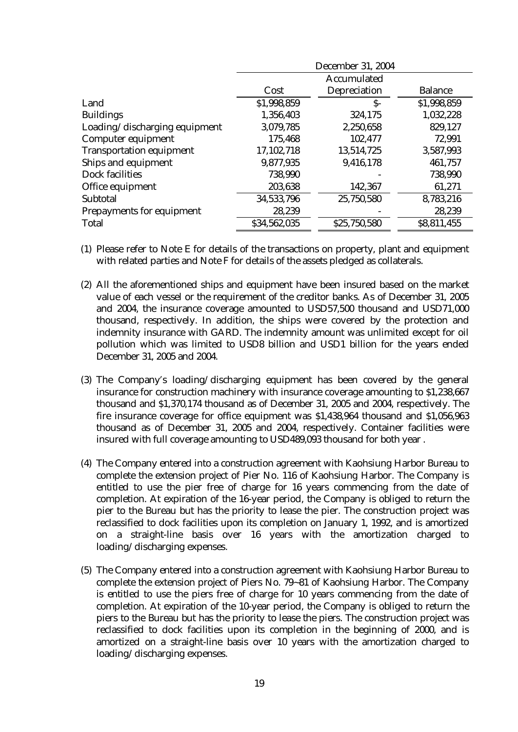|                                  | <b>December 31, 2004</b> |                     |                |  |
|----------------------------------|--------------------------|---------------------|----------------|--|
|                                  | <b>Accumulated</b>       |                     |                |  |
|                                  | Cost                     | <b>Depreciation</b> | <b>Balance</b> |  |
| Land                             | \$1,998,859              | $S-$                | \$1,998,859    |  |
| <b>Buildings</b>                 | 1,356,403                | 324,175             | 1,032,228      |  |
| Loading/discharging equipment    | 3,079,785                | 2,250,658           | 829,127        |  |
| Computer equipment               | 175,468                  | 102,477             | 72,991         |  |
| <b>Transportation equipment</b>  | 17,102,718               | 13,514,725          | 3,587,993      |  |
| Ships and equipment              | 9,877,935                | 9,416,178           | 461,757        |  |
| <b>Dock facilities</b>           | 738,990                  |                     | 738,990        |  |
| Office equipment                 | 203,638                  | 142,367             | 61,271         |  |
| <b>Subtotal</b>                  | 34,533,796               | 25,750,580          | 8,783,216      |  |
| <b>Prepayments for equipment</b> | 28,239                   |                     | 28,239         |  |
| <b>Total</b>                     | \$34,562,035             | \$25,750,580        | \$8,811,455    |  |

- (1) Please refer to Note E for details of the transactions on property, plant and equipment with related parties and Note F for details of the assets pledged as collaterals.
- (2) All the aforementioned ships and equipment have been insured based on the market value of each vessel or the requirement of the creditor banks. As of December 31, 2005 and 2004, the insurance coverage amounted to USD57,500 thousand and USD71,000 thousand, respectively. In addition, the ships were covered by the protection and indemnity insurance with GARD. The indemnity amount was unlimited except for oil pollution which was limited to USD8 billion and USD1 billion for the years ended December 31, 2005 and 2004.
- (3) The Company's loading/discharging equipment has been covered by the general insurance for construction machinery with insurance coverage amounting to \$1,238,667 thousand and \$1,370,174 thousand as of December 31, 2005 and 2004, respectively. The fire insurance coverage for office equipment was \$1,438,964 thousand and \$1,056,963 thousand as of December 31, 2005 and 2004, respectively. Container facilities were insured with full coverage amounting to USD489,093 thousand for both year .
- (4) The Company entered into a construction agreement with Kaohsiung Harbor Bureau to complete the extension project of Pier No. 116 of Kaohsiung Harbor. The Company is entitled to use the pier free of charge for 16 years commencing from the date of completion. At expiration of the 16-year period, the Company is obliged to return the pier to the Bureau but has the priority to lease the pier. The construction project was reclassified to dock facilities upon its completion on January 1, 1992, and is amortized on a straight-line basis over 16 years with the amortization charged to loading/discharging expenses.
- (5) The Company entered into a construction agreement with Kaohsiung Harbor Bureau to complete the extension project of Piers No. 79~81 of Kaohsiung Harbor. The Company is entitled to use the piers free of charge for 10 years commencing from the date of completion. At expiration of the 10-year period, the Company is obliged to return the piers to the Bureau but has the priority to lease the piers. The construction project was reclassified to dock facilities upon its completion in the beginning of 2000, and is amortized on a straight-line basis over 10 years with the amortization charged to loading/discharging expenses.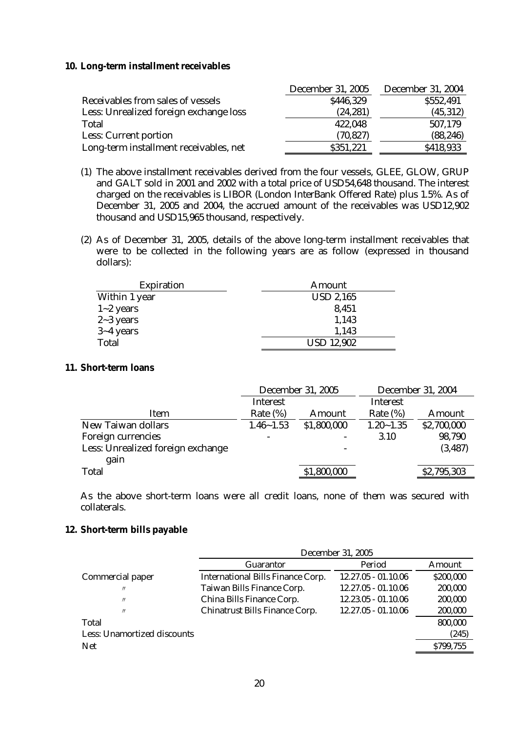### **10. Long-term installment receivables**

|                                        | <b>December 31, 2005</b> | <b>December 31, 2004</b> |
|----------------------------------------|--------------------------|--------------------------|
| Receivables from sales of vessels      | \$446,329                | \$552,491                |
| Less: Unrealized foreign exchange loss | (24, 281)                | (45, 312)                |
| <b>Total</b>                           | 422,048                  | 507,179                  |
| <b>Less: Current portion</b>           | (70, 827)                | (88, 246)                |
| Long-term installment receivables, net | \$351,221                | \$418,933                |

- (1) The above installment receivables derived from the four vessels, GLEE, GLOW, GRUP and GALT sold in 2001 and 2002 with a total price of USD54,648 thousand. The interest charged on the receivables is LIBOR (London InterBank Offered Rate) plus 1.5%. As of December 31, 2005 and 2004, the accrued amount of the receivables was USD12,902 thousand and USD15,965 thousand, respectively.
- (2) As of December 31, 2005, details of the above long-term installment receivables that were to be collected in the following years are as follow (expressed in thousand dollars):

| <b>Expiration</b> | Amount            |  |  |
|-------------------|-------------------|--|--|
| Within 1 year     | <b>USD 2,165</b>  |  |  |
| $1 - 2$ years     | 8,451             |  |  |
| $2 - 3$ years     | 1,143             |  |  |
| $3 - 4$ years     | 1,143             |  |  |
| <b>Total</b>      | <b>USD 12,902</b> |  |  |

### **11. Short-term loans**

|                                   | <b>December 31, 2005</b> |                          | <b>December 31, 2004</b> |               |
|-----------------------------------|--------------------------|--------------------------|--------------------------|---------------|
|                                   | <b>Interest</b>          |                          | <b>Interest</b>          |               |
| <b>Item</b>                       | Rate $(\%)$              | Amount                   | Rate $(\%)$              | <b>Amount</b> |
| <b>New Taiwan dollars</b>         | $1.46 - 1.53$            | \$1,800,000              | $1.20 - 1.35$            | \$2,700,000   |
| <b>Foreign currencies</b>         |                          | $\overline{\phantom{a}}$ | <b>3.10</b>              | 98,790        |
| Less: Unrealized foreign exchange |                          |                          |                          | (3, 487)      |
| gain                              |                          |                          |                          |               |
| <b>Total</b>                      |                          | \$1,800,000              |                          | \$2,795,303   |
|                                   |                          |                          |                          |               |

As the above short-term loans were all credit loans, none of them was secured with collaterals.

#### **12. Short-term bills payable**

|                                    | <b>December 31, 2005</b>                 |                       |               |
|------------------------------------|------------------------------------------|-----------------------|---------------|
|                                    | <b>Guarantor</b>                         | Period                | <b>Amount</b> |
| <b>Commercial paper</b>            | <b>International Bills Finance Corp.</b> | $12.27.05 - 01.10.06$ | \$200,000     |
| $^{\prime\prime}$                  | <b>Taiwan Bills Finance Corp.</b>        | $12.27.05 - 01.10.06$ | 200,000       |
| $^{\prime\prime}$                  | China Bills Finance Corp.                | $12.23.05 - 01.10.06$ | 200,000       |
| $^{\prime\prime}$                  | <b>Chinatrust Bills Finance Corp.</b>    | $12.27.05 - 01.10.06$ | 200,000       |
| <b>Total</b>                       |                                          |                       | 800,000       |
| <b>Less: Unamortized discounts</b> |                                          |                       | (245)         |
| <b>Net</b>                         |                                          |                       | \$799,755     |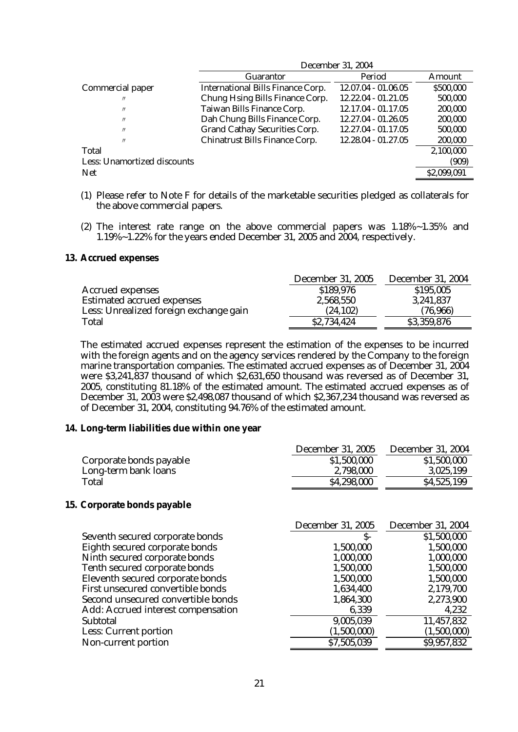|                                    | <b>December 31, 2004</b>                 |                       |               |  |
|------------------------------------|------------------------------------------|-----------------------|---------------|--|
|                                    | <b>Guarantor</b>                         | Period                | <b>Amount</b> |  |
| <b>Commercial paper</b>            | <b>International Bills Finance Corp.</b> | 12.07.04 - 01.06.05   | \$500,000     |  |
| $^{\prime\prime}$                  | <b>Chung Hsing Bills Finance Corp.</b>   | $12.22.04 - 01.21.05$ | 500,000       |  |
| $^{\prime\prime}$                  | <b>Taiwan Bills Finance Corp.</b>        | 12.17.04 - 01.17.05   | 200,000       |  |
| $^{\prime\prime}$                  | Dah Chung Bills Finance Corp.            | 12.27.04 - 01.26.05   | 200,000       |  |
| $^{\prime\prime}$                  | <b>Grand Cathay Securities Corp.</b>     | 12.27.04 - 01.17.05   | 500,000       |  |
| $^{\prime\prime}$                  | <b>Chinatrust Bills Finance Corp.</b>    | 12.28.04 - 01.27.05   | 200,000       |  |
| Total                              |                                          |                       | 2,100,000     |  |
| <b>Less: Unamortized discounts</b> |                                          |                       | (909)         |  |
| <b>Net</b>                         |                                          |                       | \$2,099,091   |  |
|                                    |                                          |                       |               |  |

- (1) Please refer to Note F for details of the marketable securities pledged as collaterals for the above commercial papers.
- (2) The interest rate range on the above commercial papers was 1.18%~1.35% and 1.19%~1.22% for the years ended December 31, 2005 and 2004, respectively.

#### **13. Accrued expenses**

|                                        | <b>December 31, 2005</b> | <b>December 31, 2004</b> |
|----------------------------------------|--------------------------|--------------------------|
| <b>Accrued expenses</b>                | \$189,976                | \$195,005                |
| <b>Estimated accrued expenses</b>      | 2,568,550                | 3,241,837                |
| Less: Unrealized foreign exchange gain | (24, 102)                | (76,966)                 |
| <b>Total</b>                           | \$2,734,424              | \$3,359,876              |

The estimated accrued expenses represent the estimation of the expenses to be incurred with the foreign agents and on the agency services rendered by the Company to the foreign marine transportation companies. The estimated accrued expenses as of December 31, 2004 were \$3,241,837 thousand of which \$2,631,650 thousand was reversed as of December 31, 2005, constituting 81.18% of the estimated amount. The estimated accrued expenses as of December 31, 2003 were \$2,498,087 thousand of which \$2,367,234 thousand was reversed as of December 31, 2004, constituting 94.76% of the estimated amount.

#### **14. Long-term liabilities due within one year**

|                         | <b>December 31, 2005</b> | <b>December 31, 2004</b> |
|-------------------------|--------------------------|--------------------------|
| Corporate bonds payable | \$1,500,000              | \$1,500,000              |
| Long-term bank loans    | 2,798,000                | 3,025,199                |
| Total                   | \$4,298,000              | \$4,525,199              |

#### **15. Corporate bonds payable**

|                                    | <b>December 31, 2005</b> | <b>December 31, 2004</b> |
|------------------------------------|--------------------------|--------------------------|
| Seventh secured corporate bonds    | S-                       | \$1,500,000              |
| Eighth secured corporate bonds     | 1,500,000                | 1,500,000                |
| Ninth secured corporate bonds      | 1,000,000                | 1,000,000                |
| Tenth secured corporate bonds      | 1,500,000                | 1,500,000                |
| Eleventh secured corporate bonds   | 1,500,000                | 1,500,000                |
| First unsecured convertible bonds  | 1,634,400                | 2,179,700                |
| Second unsecured convertible bonds | 1,864,300                | 2,273,900                |
| Add: Accrued interest compensation | 6,339                    | 4,232                    |
| <b>Subtotal</b>                    | 9,005,039                | 11,457,832               |
| <b>Less: Current portion</b>       | (1,500,000)              | (1,500,000)              |
| Non-current portion                | \$7,505,039              | \$9,957,832              |
|                                    |                          |                          |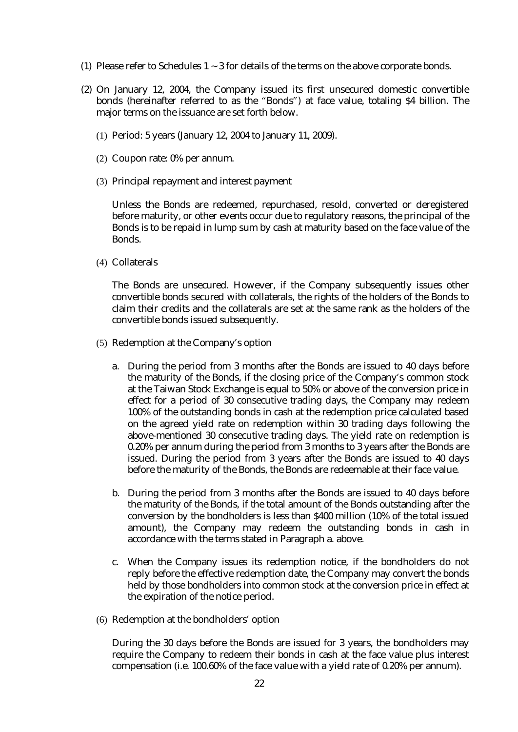- (1) Please refer to Schedules  $1 \sim 3$  for details of the terms on the above corporate bonds.
- (2) On January 12, 2004, the Company issued its first unsecured domestic convertible bonds (hereinafter referred to as the "Bonds") at face value, totaling \$4 billion. The major terms on the issuance are set forth below.
	- (1) Period: 5 years (January 12, 2004 to January 11, 2009).
	- (2) Coupon rate: 0% per annum.
	- (3) Principal repayment and interest payment

Unless the Bonds are redeemed, repurchased, resold, converted or deregistered before maturity, or other events occur due to regulatory reasons, the principal of the Bonds is to be repaid in lump sum by cash at maturity based on the face value of the Bonds.

(4) Collaterals

The Bonds are unsecured. However, if the Company subsequently issues other convertible bonds secured with collaterals, the rights of the holders of the Bonds to claim their credits and the collaterals are set at the same rank as the holders of the convertible bonds issued subsequently.

- (5) Redemption at the Company's option
	- a. During the period from 3 months after the Bonds are issued to 40 days before the maturity of the Bonds, if the closing price of the Company's common stock at the Taiwan Stock Exchange is equal to 50% or above of the conversion price in effect for a period of 30 consecutive trading days, the Company may redeem 100% of the outstanding bonds in cash at the redemption price calculated based on the agreed yield rate on redemption within 30 trading days following the above-mentioned 30 consecutive trading days. The yield rate on redemption is 0.20% per annum during the period from 3 months to 3 years after the Bonds are issued. During the period from 3 years after the Bonds are issued to 40 days before the maturity of the Bonds, the Bonds are redeemable at their face value.
	- b. During the period from 3 months after the Bonds are issued to 40 days before the maturity of the Bonds, if the total amount of the Bonds outstanding after the conversion by the bondholders is less than \$400 million (10% of the total issued amount), the Company may redeem the outstanding bonds in cash in accordance with the terms stated in Paragraph a. above.
	- c. When the Company issues its redemption notice, if the bondholders do not reply before the effective redemption date, the Company may convert the bonds held by those bondholders into common stock at the conversion price in effect at the expiration of the notice period.
- (6) Redemption at the bondholders' option

During the 30 days before the Bonds are issued for 3 years, the bondholders may require the Company to redeem their bonds in cash at the face value plus interest compensation (i.e. 100.60% of the face value with a yield rate of 0.20% per annum).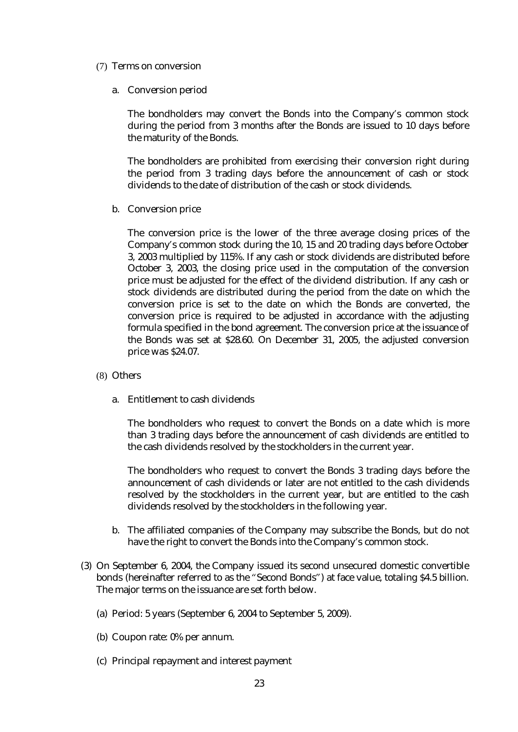- (7) Terms on conversion
	- a. Conversion period

The bondholders may convert the Bonds into the Company's common stock during the period from 3 months after the Bonds are issued to 10 days before the maturity of the Bonds.

The bondholders are prohibited from exercising their conversion right during the period from 3 trading days before the announcement of cash or stock dividends to the date of distribution of the cash or stock dividends.

b. Conversion price

The conversion price is the lower of the three average closing prices of the Company's common stock during the 10, 15 and 20 trading days before October 3, 2003 multiplied by 115%. If any cash or stock dividends are distributed before October 3, 2003, the closing price used in the computation of the conversion price must be adjusted for the effect of the dividend distribution. If any cash or stock dividends are distributed during the period from the date on which the conversion price is set to the date on which the Bonds are converted, the conversion price is required to be adjusted in accordance with the adjusting formula specified in the bond agreement. The conversion price at the issuance of the Bonds was set at \$28.60. On December 31, 2005, the adjusted conversion price was \$24.07.

- (8) Others
	- a. Entitlement to cash dividends

The bondholders who request to convert the Bonds on a date which is more than 3 trading days before the announcement of cash dividends are entitled to the cash dividends resolved by the stockholders in the current year.

The bondholders who request to convert the Bonds 3 trading days before the announcement of cash dividends or later are not entitled to the cash dividends resolved by the stockholders in the current year, but are entitled to the cash dividends resolved by the stockholders in the following year.

- b. The affiliated companies of the Company may subscribe the Bonds, but do not have the right to convert the Bonds into the Company's common stock.
- (3) On September 6, 2004, the Company issued its second unsecured domestic convertible bonds (hereinafter referred to as the "Second Bonds") at face value, totaling \$4.5 billion. The major terms on the issuance are set forth below.
	- (a) Period: 5 years (September 6, 2004 to September 5, 2009).
	- (b) Coupon rate: 0% per annum.
	- (c) Principal repayment and interest payment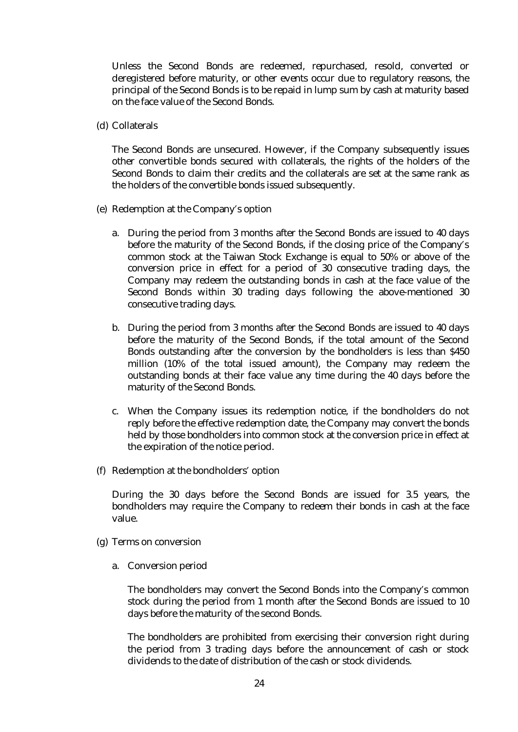Unless the Second Bonds are redeemed, repurchased, resold, converted or deregistered before maturity, or other events occur due to regulatory reasons, the principal of the Second Bonds is to be repaid in lump sum by cash at maturity based on the face value of the Second Bonds.

(d) Collaterals

The Second Bonds are unsecured. However, if the Company subsequently issues other convertible bonds secured with collaterals, the rights of the holders of the Second Bonds to claim their credits and the collaterals are set at the same rank as the holders of the convertible bonds issued subsequently.

- (e) Redemption at the Company's option
	- a. During the period from 3 months after the Second Bonds are issued to 40 days before the maturity of the Second Bonds, if the closing price of the Company's common stock at the Taiwan Stock Exchange is equal to 50% or above of the conversion price in effect for a period of 30 consecutive trading days, the Company may redeem the outstanding bonds in cash at the face value of the Second Bonds within 30 trading days following the above-mentioned 30 consecutive trading days.
	- b. During the period from 3 months after the Second Bonds are issued to 40 days before the maturity of the Second Bonds, if the total amount of the Second Bonds outstanding after the conversion by the bondholders is less than \$450 million (10% of the total issued amount), the Company may redeem the outstanding bonds at their face value any time during the 40 days before the maturity of the Second Bonds.
	- c. When the Company issues its redemption notice, if the bondholders do not reply before the effective redemption date, the Company may convert the bonds held by those bondholders into common stock at the conversion price in effect at the expiration of the notice period.
- (f) Redemption at the bondholders' option

During the 30 days before the Second Bonds are issued for 3.5 years, the bondholders may require the Company to redeem their bonds in cash at the face value.

- (g) Terms on conversion
	- a. Conversion period

The bondholders may convert the Second Bonds into the Company's common stock during the period from 1 month after the Second Bonds are issued to 10 days before the maturity of the second Bonds.

The bondholders are prohibited from exercising their conversion right during the period from 3 trading days before the announcement of cash or stock dividends to the date of distribution of the cash or stock dividends.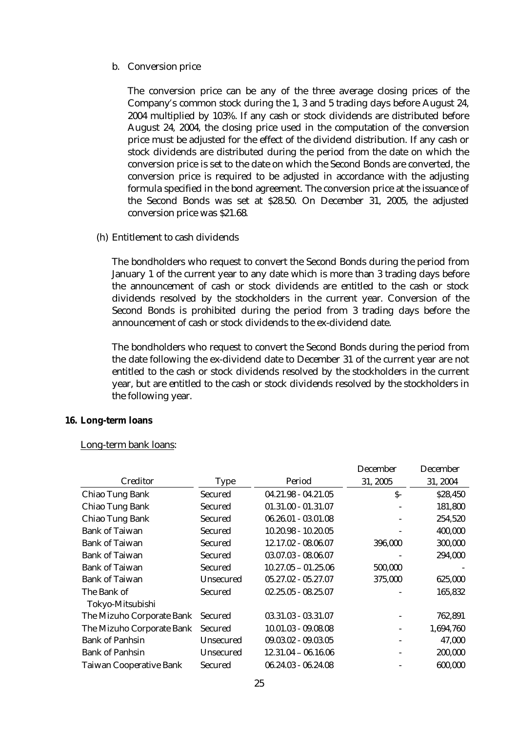#### b. Conversion price

The conversion price can be any of the three average closing prices of the Company's common stock during the 1, 3 and 5 trading days before August 24, 2004 multiplied by 103%. If any cash or stock dividends are distributed before August 24, 2004, the closing price used in the computation of the conversion price must be adjusted for the effect of the dividend distribution. If any cash or stock dividends are distributed during the period from the date on which the conversion price is set to the date on which the Second Bonds are converted, the conversion price is required to be adjusted in accordance with the adjusting formula specified in the bond agreement. The conversion price at the issuance of the Second Bonds was set at \$28.50. On December 31, 2005, the adjusted conversion price was \$21.68.

#### (h) Entitlement to cash dividends

The bondholders who request to convert the Second Bonds during the period from January 1 of the current year to any date which is more than 3 trading days before the announcement of cash or stock dividends are entitled to the cash or stock dividends resolved by the stockholders in the current year. Conversion of the Second Bonds is prohibited during the period from 3 trading days before the announcement of cash or stock dividends to the ex-dividend date.

The bondholders who request to convert the Second Bonds during the period from the date following the ex-dividend date to December 31 of the current year are not entitled to the cash or stock dividends resolved by the stockholders in the current year, but are entitled to the cash or stock dividends resolved by the stockholders in the following year.

#### **16. Long-term loans**

#### Long-term bank loans:

|                                |                  |                       | <b>December</b> | <b>December</b> |
|--------------------------------|------------------|-----------------------|-----------------|-----------------|
| Creditor                       | <b>Type</b>      | Period                | 31, 2005        | 31, 2004        |
| <b>Chiao Tung Bank</b>         | <b>Secured</b>   | $04.21.98 - 04.21.05$ | $S-$            | \$28,450        |
| <b>Chiao Tung Bank</b>         | <b>Secured</b>   | $01.31.00 - 01.31.07$ |                 | 181,800         |
| <b>Chiao Tung Bank</b>         | <b>Secured</b>   | $06.26.01 - 03.01.08$ |                 | 254,520         |
| <b>Bank of Taiwan</b>          | <b>Secured</b>   | $10.20.98 - 10.20.05$ |                 | 400,000         |
| <b>Bank of Taiwan</b>          | <b>Secured</b>   | 12.17.02 - 08.06.07   | 396,000         | 300,000         |
| <b>Bank of Taiwan</b>          | <b>Secured</b>   | $03.07.03 - 08.06.07$ |                 | 294,000         |
| <b>Bank of Taiwan</b>          | <b>Secured</b>   | $10.27.05 - 01.25.06$ | 500,000         |                 |
| <b>Bank of Taiwan</b>          | <b>Unsecured</b> | $05.27.02 - 05.27.07$ | 375,000         | 625,000         |
| The Bank of                    | <b>Secured</b>   | $02.25.05 - 08.25.07$ |                 | 165,832         |
| Tokyo-Mitsubishi               |                  |                       |                 |                 |
| The Mizuho Corporate Bank      | <b>Secured</b>   | $03.31.03 - 03.31.07$ |                 | 762,891         |
| The Mizuho Corporate Bank      | <b>Secured</b>   | $10.01.03 - 09.08.08$ |                 | 1,694,760       |
| <b>Bank of Panhsin</b>         | <b>Unsecured</b> | $09.03.02 - 09.03.05$ |                 | 47,000          |
| <b>Bank of Panhsin</b>         | <b>Unsecured</b> | $12.31.04 - 06.16.06$ |                 | 200,000         |
| <b>Taiwan Cooperative Bank</b> | <b>Secured</b>   | $06.24.03 - 06.24.08$ |                 | 600,000         |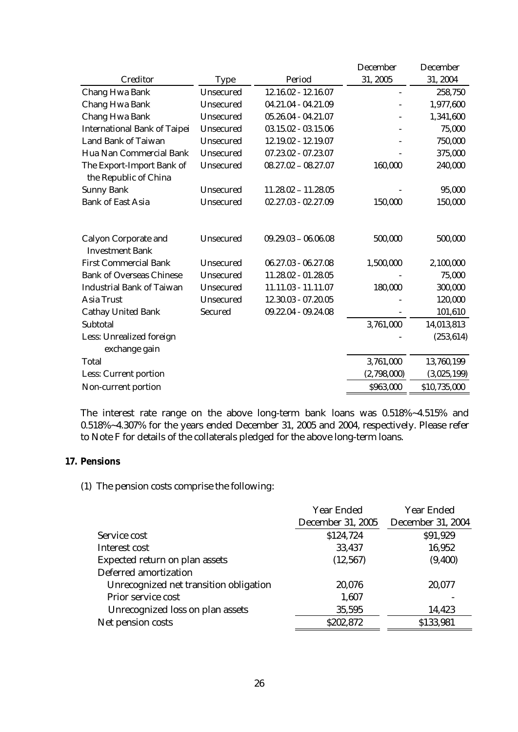|                                                       |                  |                       | <b>December</b> | <b>December</b> |
|-------------------------------------------------------|------------------|-----------------------|-----------------|-----------------|
| <b>Creditor</b>                                       | <b>Type</b>      | Period                | 31, 2005        | 31, 2004        |
| <b>Chang Hwa Bank</b>                                 | <b>Unsecured</b> | 12.16.02 - 12.16.07   |                 | 258,750         |
| <b>Chang Hwa Bank</b>                                 | <b>Unsecured</b> | 04.21.04 - 04.21.09   |                 | 1,977,600       |
| <b>Chang Hwa Bank</b>                                 | <b>Unsecured</b> | $05.26.04 - 04.21.07$ |                 | 1,341,600       |
| <b>International Bank of Taipei</b>                   | <b>Unsecured</b> | $03.15.02 - 03.15.06$ |                 | 75,000          |
| <b>Land Bank of Taiwan</b>                            | <b>Unsecured</b> | 12.19.02 - 12.19.07   |                 | 750,000         |
| Hua Nan Commercial Bank                               | <b>Unsecured</b> | $07.23.02 - 07.23.07$ |                 | 375,000         |
| The Export-Import Bank of<br>the Republic of China    | <b>Unsecured</b> | $08.27.02 - 08.27.07$ | 160,000         | 240,000         |
| <b>Sunny Bank</b>                                     | <b>Unsecured</b> | $11.28.02 - 11.28.05$ |                 | 95,000          |
| <b>Bank of East Asia</b>                              | <b>Unsecured</b> | $02.27.03 - 02.27.09$ | 150,000         | 150,000         |
| <b>Calyon Corporate and</b><br><b>Investment Bank</b> | <b>Unsecured</b> | $09.29.03 - 06.06.08$ | 500,000         | 500,000         |
| <b>First Commercial Bank</b>                          | <b>Unsecured</b> | $06.27.03 - 06.27.08$ | 1,500,000       | 2,100,000       |
| <b>Bank of Overseas Chinese</b>                       | <b>Unsecured</b> | 11.28.02 - 01.28.05   |                 | 75,000          |
| <b>Industrial Bank of Taiwan</b>                      | <b>Unsecured</b> | 11.11.03 - 11.11.07   | 180,000         | 300,000         |
| <b>Asia Trust</b>                                     | <b>Unsecured</b> | 12.30.03 - 07.20.05   |                 | 120,000         |
| <b>Cathay United Bank</b>                             | <b>Secured</b>   | 09.22.04 - 09.24.08   |                 | 101,610         |
| <b>Subtotal</b>                                       |                  |                       | 3,761,000       | 14,013,813      |
| <b>Less: Unrealized foreign</b><br>exchange gain      |                  |                       |                 | (253, 614)      |
| <b>Total</b>                                          |                  |                       | 3,761,000       | 13,760,199      |
| <b>Less: Current portion</b>                          |                  |                       | (2,798,000)     | (3,025,199)     |
| Non-current portion                                   |                  |                       | \$963,000       | \$10,735,000    |
|                                                       |                  |                       |                 |                 |

The interest rate range on the above long-term bank loans was 0.518%~4.515% and 0.518%~4.307% for the years ended December 31, 2005 and 2004, respectively. Please refer to Note F for details of the collaterals pledged for the above long-term loans.

### **17. Pensions**

## (1) The pension costs comprise the following:

|                                        | <b>Year Ended</b>        | <b>Year Ended</b>        |
|----------------------------------------|--------------------------|--------------------------|
|                                        | <b>December 31, 2005</b> | <b>December 31, 2004</b> |
| Service cost                           | \$124,724                | \$91,929                 |
| Interest cost                          | 33,437                   | 16,952                   |
| <b>Expected return on plan assets</b>  | (12, 567)                | (9,400)                  |
| <b>Deferred amortization</b>           |                          |                          |
| Unrecognized net transition obligation | 20,076                   | 20,077                   |
| <b>Prior service cost</b>              | 1,607                    |                          |
| Unrecognized loss on plan assets       | 35,595                   | 14,423                   |
| Net pension costs                      | \$202,872                | \$133,981                |
|                                        |                          |                          |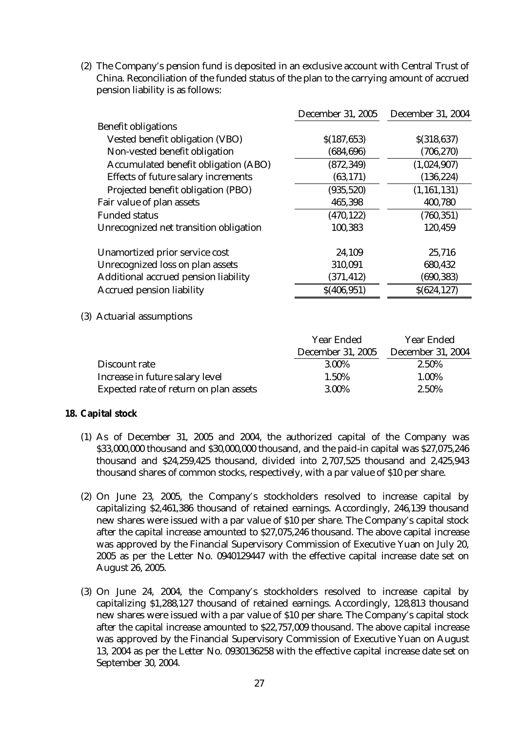(2) The Company's pension fund is deposited in an exclusive account with Central Trust of China. Reconciliation of the funded status of the plan to the carrying amount of accrued pension liability is as follows:

|                                             | <b>December 31, 2005</b> | <b>December 31, 2004</b> |
|---------------------------------------------|--------------------------|--------------------------|
| <b>Benefit obligations</b>                  |                          |                          |
| <b>Vested benefit obligation (VBO)</b>      | \$(187, 653)             | \$(318, 637)             |
| Non-vested benefit obligation               | (684, 696)               | (706, 270)               |
| <b>Accumulated benefit obligation (ABO)</b> | (872, 349)               | (1,024,907)              |
| <b>Effects of future salary increments</b>  | (63, 171)                | (136, 224)               |
| Projected benefit obligation (PBO)          | (935, 520)               | (1, 161, 131)            |
| Fair value of plan assets                   | 465,398                  | 400,780                  |
| <b>Funded status</b>                        | (470, 122)               | (760, 351)               |
| Unrecognized net transition obligation      | 100,383                  | 120,459                  |
| Unamortized prior service cost              | 24,109                   | 25,716                   |
| <b>Unrecognized loss on plan assets</b>     | 310,091                  | 680,432                  |
| <b>Additional accrued pension liability</b> | (371, 412)               | (690, 383)               |
| <b>Accrued pension liability</b>            | \$(406, 951)             | \$(624, 127)             |

(3) Actuarial assumptions

|                                        | <b>Year Ended</b>        | <b>Year Ended</b>        |
|----------------------------------------|--------------------------|--------------------------|
|                                        | <b>December 31, 2005</b> | <b>December 31, 2004</b> |
| Discount rate                          | 3.00%                    | 2.50%                    |
| Increase in future salary level        | 1.50%                    | 1.00%                    |
| Expected rate of return on plan assets | 3.00%                    | 2.50%                    |

## **18. Capital stock**

- (1) As of December 31, 2005 and 2004, the authorized capital of the Company was \$33,000,000 thousand and \$30,000,000 thousand, and the paid-in capital was \$27,075,246 thousand and \$24,259,425 thousand, divided into 2,707,525 thousand and 2,425,943 thousand shares of common stocks, respectively, with a par value of \$10 per share.
- (2) On June 23, 2005, the Company's stockholders resolved to increase capital by capitalizing \$2,461,386 thousand of retained earnings. Accordingly, 246,139 thousand new shares were issued with a par value of \$10 per share. The Company's capital stock after the capital increase amounted to \$27,075,246 thousand. The above capital increase was approved by the Financial Supervisory Commission of Executive Yuan on July 20, 2005 as per the Letter No. 0940129447 with the effective capital increase date set on August 26, 2005.
- (3) On June 24, 2004, the Company's stockholders resolved to increase capital by capitalizing \$1,288,127 thousand of retained earnings. Accordingly, 128,813 thousand new shares were issued with a par value of \$10 per share. The Company's capital stock after the capital increase amounted to \$22,757,009 thousand. The above capital increase was approved by the Financial Supervisory Commission of Executive Yuan on August 13, 2004 as per the Letter No. 0930136258 with the effective capital increase date set on September 30, 2004.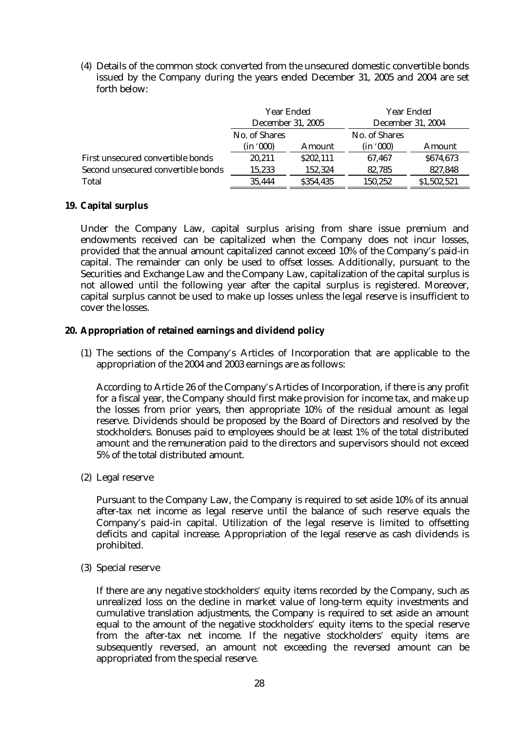(4) Details of the common stock converted from the unsecured domestic convertible bonds issued by the Company during the years ended December 31, 2005 and 2004 are set forth below:

|                                    | <b>Year Ended</b><br><b>December 31, 2005</b> |           | <b>Year Ended</b><br><b>December 31, 2004</b> |               |  |
|------------------------------------|-----------------------------------------------|-----------|-----------------------------------------------|---------------|--|
|                                    |                                               |           |                                               |               |  |
|                                    | <b>No. of Shares</b>                          |           | <b>No. of Shares</b>                          |               |  |
|                                    | (in '000)                                     | Amount    | (in '000)                                     | <b>Amount</b> |  |
| First unsecured convertible bonds  | 20.211                                        | \$202,111 | 67.467                                        | \$674,673     |  |
| Second unsecured convertible bonds | 15,233                                        | 152.324   | 82.785                                        | 827,848       |  |
| <b>Total</b>                       | 35.444                                        | \$354,435 | 150,252                                       | \$1,502,521   |  |

### **19. Capital surplus**

Under the Company Law, capital surplus arising from share issue premium and endowments received can be capitalized when the Company does not incur losses, provided that the annual amount capitalized cannot exceed 10% of the Company's paid-in capital. The remainder can only be used to offset losses. Additionally, pursuant to the Securities and Exchange Law and the Company Law, capitalization of the capital surplus is not allowed until the following year after the capital surplus is registered. Moreover, capital surplus cannot be used to make up losses unless the legal reserve is insufficient to cover the losses.

- **20. Appropriation of retained earnings and dividend policy** 
	- (1) The sections of the Company's Articles of Incorporation that are applicable to the appropriation of the 2004 and 2003 earnings are as follows:

According to Article 26 of the Company's Articles of Incorporation, if there is any profit for a fiscal year, the Company should first make provision for income tax, and make up the losses from prior years, then appropriate 10% of the residual amount as legal reserve. Dividends should be proposed by the Board of Directors and resolved by the stockholders. Bonuses paid to employees should be at least 1% of the total distributed amount and the remuneration paid to the directors and supervisors should not exceed 5% of the total distributed amount.

(2) Legal reserve

Pursuant to the Company Law, the Company is required to set aside 10% of its annual after-tax net income as legal reserve until the balance of such reserve equals the Company's paid-in capital. Utilization of the legal reserve is limited to offsetting deficits and capital increase. Appropriation of the legal reserve as cash dividends is prohibited.

(3) Special reserve

If there are any negative stockholders' equity items recorded by the Company, such as unrealized loss on the decline in market value of long-term equity investments and cumulative translation adjustments, the Company is required to set aside an amount equal to the amount of the negative stockholders' equity items to the special reserve from the after-tax net income. If the negative stockholders' equity items are subsequently reversed, an amount not exceeding the reversed amount can be appropriated from the special reserve.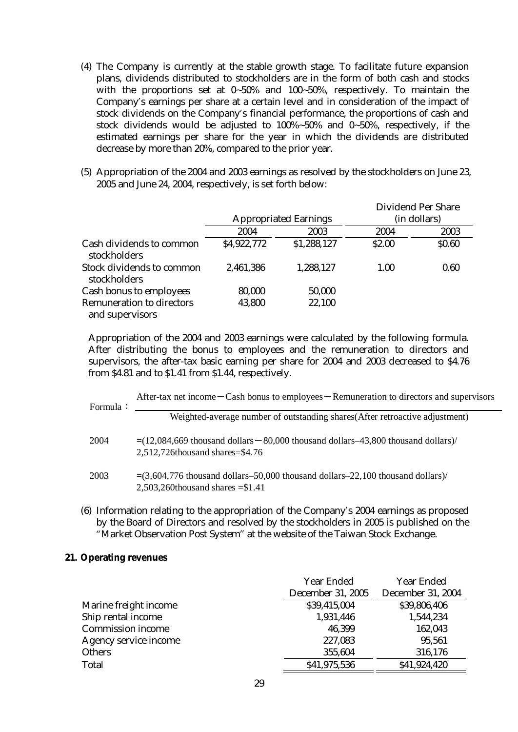- (4) The Company is currently at the stable growth stage. To facilitate future expansion plans, dividends distributed to stockholders are in the form of both cash and stocks with the proportions set at 0~50% and 100~50%, respectively. To maintain the Company's earnings per share at a certain level and in consideration of the impact of stock dividends on the Company's financial performance, the proportions of cash and stock dividends would be adjusted to 100%~50% and 0~50%, respectively, if the estimated earnings per share for the year in which the dividends are distributed decrease by more than 20%, compared to the prior year.
- (5) Appropriation of the 2004 and 2003 earnings as resolved by the stockholders on June 23, 2005 and June 24, 2004, respectively, is set forth below:

|                                                     | <b>Appropriated Earnings</b> |             | <b>Dividend Per Share</b><br>(in dollars) |              |
|-----------------------------------------------------|------------------------------|-------------|-------------------------------------------|--------------|
|                                                     | 2004                         | 2003        | 2004                                      | 2003         |
| Cash dividends to common<br>stockholders            | \$4,922,772                  | \$1,288,127 | \$2.00                                    | <b>SO.60</b> |
| <b>Stock dividends to common</b><br>stockholders    | 2,461,386                    | 1,288,127   | 1.00                                      | 0.60         |
| <b>Cash bonus to employees</b>                      | 80,000                       | 50,000      |                                           |              |
| <b>Remuneration to directors</b><br>and supervisors | 43,800                       | 22,100      |                                           |              |

Appropriation of the 2004 and 2003 earnings were calculated by the following formula. After distributing the bonus to employees and the remuneration to directors and supervisors, the after-tax basic earning per share for 2004 and 2003 decreased to \$4.76 from \$4.81 and to \$1.41 from \$1.44, respectively.

| Formula: | After-tax net income $-\text{Cash bonus to employees}$ - Remuneration to directors and supervisors                           |
|----------|------------------------------------------------------------------------------------------------------------------------------|
|          | Weighted-average number of outstanding shares (After retroactive adjustment)                                                 |
| 2004     | $=(12,084,669$ thousand dollars $-80,000$ thousand dollars $-43,800$ thousand dollars)<br>$2,512,726$ thousand shares=\$4.76 |
| 2003     | $=(3,604,776)$ thousand dollars–50,000 thousand dollars–22,100 thousand dollars)<br>2,503,260thousand shares $= $1.41$       |

(6) Information relating to the appropriation of the Company's 2004 earnings as proposed by the Board of Directors and resolved by the stockholders in 2005 is published on the "Market Observation Post System" at the website of the Taiwan Stock Exchange.

### **21. Operating revenues**

|                              | <b>Year Ended</b>        | <b>Year Ended</b>        |
|------------------------------|--------------------------|--------------------------|
|                              | <b>December 31, 2005</b> | <b>December 31, 2004</b> |
| Marine freight income        | \$39,415,004             | \$39,806,406             |
| Ship rental income           | 1,931,446                | 1,544,234                |
| <b>Commission income</b>     | 46,399                   | 162,043                  |
| <b>Agency service income</b> | 227,083                  | 95,561                   |
| <b>Others</b>                | 355,604                  | 316,176                  |
| <b>Total</b>                 | \$41,975,536             | \$41,924,420             |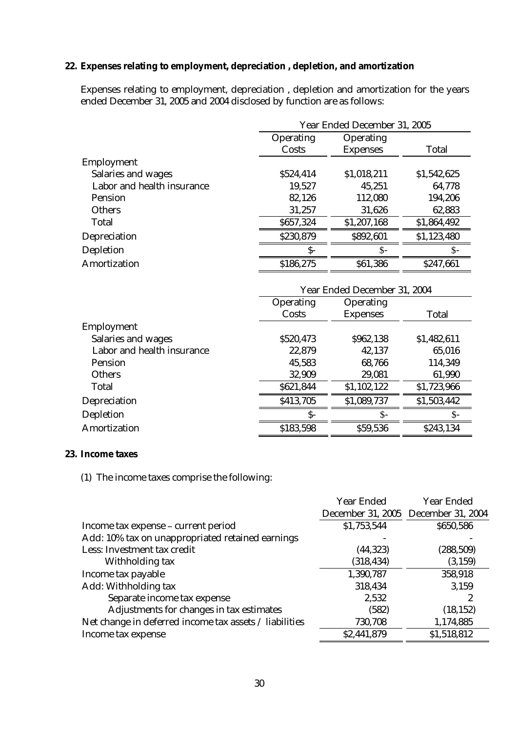## **22. Expenses relating to employment, depreciation , depletion, and amortization**

Expenses relating to employment, depreciation , depletion and amortization for the years ended December 31, 2005 and 2004 disclosed by function are as follows:

|                            |                  | Year Ended December 31, 2005 |              |  |  |
|----------------------------|------------------|------------------------------|--------------|--|--|
|                            | <b>Operating</b> | <b>Operating</b>             |              |  |  |
|                            | Costs            | <b>Expenses</b>              | <b>Total</b> |  |  |
| <b>Employment</b>          |                  |                              |              |  |  |
| <b>Salaries and wages</b>  | \$524,414        | \$1,018,211                  | \$1,542,625  |  |  |
| Labor and health insurance | 19,527           | 45,251                       | 64,778       |  |  |
| <b>Pension</b>             | 82,126           | 112,080                      | 194,206      |  |  |
| <b>Others</b>              | 31,257           | 31,626                       | 62,883       |  |  |
| <b>Total</b>               | \$657,324        | \$1,207,168                  | \$1,864,492  |  |  |
| <b>Depreciation</b>        | \$230,879        | \$892,601                    | \$1,123,480  |  |  |
| <b>Depletion</b>           | S-               | $S-$                         | \$-          |  |  |
| <b>Amortization</b>        | \$186,275        | \$61,386                     | \$247,661    |  |  |

|                            | Year Ended December 31, 2004 |                  |              |  |
|----------------------------|------------------------------|------------------|--------------|--|
|                            | <b>Operating</b>             | <b>Operating</b> |              |  |
|                            | Costs                        | <b>Expenses</b>  | <b>Total</b> |  |
| Employment                 |                              |                  |              |  |
| <b>Salaries and wages</b>  | \$520,473                    | \$962,138        | \$1,482,611  |  |
| Labor and health insurance | 22,879                       | 42,137           | 65,016       |  |
| <b>Pension</b>             | 45,583                       | 68,766           | 114,349      |  |
| <b>Others</b>              | 32,909                       | 29,081           | 61,990       |  |
| <b>Total</b>               | \$621,844                    | \$1,102,122      | \$1,723,966  |  |
| <b>Depreciation</b>        | \$413,705                    | \$1,089,737      | \$1,503,442  |  |
| <b>Depletion</b>           | S-                           | $S-$             |              |  |
| <b>Amortization</b>        | \$183,598                    | \$59,536         | \$243,134    |  |

#### **23. Income taxes**

(1) The income taxes comprise the following:

|                                                        | <b>Year Ended</b> | <b>Year Ended</b>                   |
|--------------------------------------------------------|-------------------|-------------------------------------|
|                                                        |                   | December 31, 2005 December 31, 2004 |
| Income tax expense - current period                    | \$1,753,544       | \$650,586                           |
| Add: 10% tax on unappropriated retained earnings       |                   |                                     |
| Less: Investment tax credit                            | (44, 323)         | (288, 509)                          |
| Withholding tax                                        | (318, 434)        | (3, 159)                            |
| Income tax payable                                     | 1,390,787         | 358,918                             |
| Add: Withholding tax                                   | 318,434           | 3,159                               |
| Separate income tax expense                            | 2,532             |                                     |
| Adjustments for changes in tax estimates               | (582)             | (18, 152)                           |
| Net change in deferred income tax assets / liabilities | 730,708           | 1,174,885                           |
| Income tax expense                                     | \$2,441,879       | \$1,518,812                         |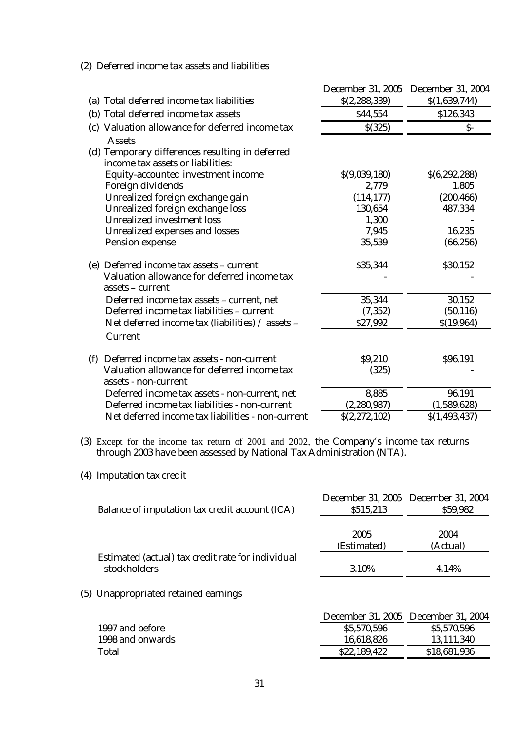|                                                                                                             |                 | December 31, 2005 December 31, 2004 |
|-------------------------------------------------------------------------------------------------------------|-----------------|-------------------------------------|
| (a) Total deferred income tax liabilities                                                                   | \$(2, 288, 339) | \$(1,639,744)                       |
| (b) Total deferred income tax assets                                                                        | \$44,554        | \$126,343                           |
| (c) Valuation allowance for deferred income tax<br><b>Assets</b>                                            | \$(325)         | $S-$                                |
| (d) Temporary differences resulting in deferred<br>income tax assets or liabilities:                        |                 |                                     |
| <b>Equity-accounted investment income</b>                                                                   | \$(9,039,180)   | \$(6,292,288)                       |
| <b>Foreign dividends</b>                                                                                    | 2,779           | 1,805                               |
| Unrealized foreign exchange gain                                                                            | (114, 177)      | (200, 466)                          |
| Unrealized foreign exchange loss                                                                            | 130,654         | 487,334                             |
| <b>Unrealized investment loss</b>                                                                           | 1,300           |                                     |
| <b>Unrealized expenses and losses</b>                                                                       | 7,945           | 16,235                              |
| <b>Pension expense</b>                                                                                      | 35,539          | (66, 256)                           |
| (e) Deferred income tax assets - current<br>Valuation allowance for deferred income tax<br>assets - current | \$35,344        | \$30,152                            |
| Deferred income tax assets - current, net                                                                   | 35,344          | 30,152                              |
| Deferred income tax liabilities - current                                                                   | (7, 352)        | (50, 116)                           |
| Net deferred income tax (liabilities) / assets -                                                            | \$27,992        | \$(19,964)                          |
| <b>Current</b>                                                                                              |                 |                                     |
| Deferred income tax assets - non-current<br>(f)                                                             | \$9,210         | \$96,191                            |
| Valuation allowance for deferred income tax                                                                 | (325)           |                                     |
| assets - non-current                                                                                        |                 |                                     |
| Deferred income tax assets - non-current, net                                                               | 8,885           | 96,191                              |
| Deferred income tax liabilities - non-current                                                               | (2, 280, 987)   | (1,589,628)                         |
| Net deferred income tax liabilities - non-current                                                           | \$(2,272,102)   | \$(1, 493, 437)                     |

### (2) Deferred income tax assets and liabilities

- (3) Except for the income tax return of 2001 and 2002, the Company's income tax returns through 2003 have been assessed by National Tax Administration (NTA).
- (4) Imputation tax credit

|                                                                   |                     | December 31, 2005 December 31, 2004 |
|-------------------------------------------------------------------|---------------------|-------------------------------------|
| Balance of imputation tax credit account (ICA)                    | \$515,213           | \$59,982                            |
|                                                                   | 2005<br>(Estimated) | 2004<br>(Actual)                    |
| Estimated (actual) tax credit rate for individual<br>stockholders | 3.10%               | 4.14%                               |

(5) Unappropriated retained earnings

|                  |              | December 31, 2005 December 31, 2004 |
|------------------|--------------|-------------------------------------|
| 1997 and before  | \$5,570,596  | \$5,570,596                         |
| 1998 and onwards | 16,618,826   | 13,111,340                          |
| Total            | \$22,189,422 | \$18,681,936                        |
|                  |              |                                     |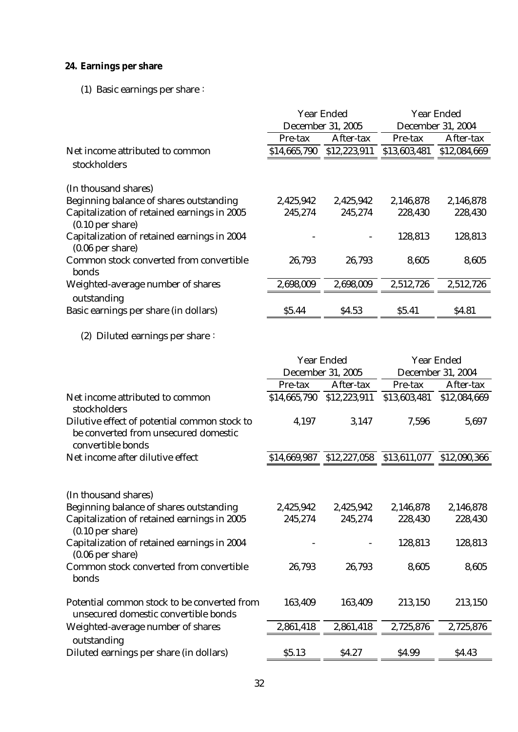# **24. Earnings per share**

# (1) Basic earnings per share:

|                                                                   | <b>Year Ended</b><br><b>December 31, 2005</b> |              | <b>Year Ended</b><br><b>December 31, 2004</b> |              |
|-------------------------------------------------------------------|-----------------------------------------------|--------------|-----------------------------------------------|--------------|
|                                                                   | Pre-tax                                       | After-tax    | Pre-tax                                       | After-tax    |
| Net income attributed to common                                   | \$14,665,790                                  | \$12,223,911 | \$13,603,481                                  | \$12,084,669 |
| stockholders                                                      |                                               |              |                                               |              |
| (In thousand shares)                                              |                                               |              |                                               |              |
| Beginning balance of shares outstanding                           | 2,425,942                                     | 2,425,942    | 2,146,878                                     | 2,146,878    |
| Capitalization of retained earnings in 2005<br>$(0.10$ per share) | 245,274                                       | 245,274      | 228,430                                       | 228,430      |
| Capitalization of retained earnings in 2004<br>$(0.06$ per share) |                                               |              | 128,813                                       | 128,813      |
| <b>Common stock converted from convertible</b><br>bonds           | 26,793                                        | 26,793       | 8,605                                         | 8,605        |
| Weighted-average number of shares<br>outstanding                  | 2,698,009                                     | 2,698,009    | 2,512,726                                     | 2,512,726    |
| Basic earnings per share (in dollars)                             | \$5.44                                        | \$4.53       | \$5.41                                        | \$4.81       |
| (2) Diluted earnings per share $\colon$                           |                                               |              |                                               |              |

|                                                                                                                                             | <b>Year Ended</b>        |                      | <b>Year Ended</b>         |                      |
|---------------------------------------------------------------------------------------------------------------------------------------------|--------------------------|----------------------|---------------------------|----------------------|
|                                                                                                                                             | <b>December 31, 2005</b> |                      | <b>December 31, 2004</b>  |                      |
|                                                                                                                                             | Pre-tax                  | After-tax            | <b>Pre-tax</b>            | After-tax            |
| Net income attributed to common<br>stockholders                                                                                             | \$14,665,790             | \$12,223,911         | \$13,603,481              | \$12,084,669         |
| Dilutive effect of potential common stock to<br>be converted from unsecured domestic<br>convertible bonds                                   | 4,197                    | 3,147                | 7,596                     | 5,697                |
| Net income after dilutive effect                                                                                                            | \$14,669,987             |                      | \$12,227,058 \$13,611,077 | \$12,090,366         |
| (In thousand shares)<br>Beginning balance of shares outstanding<br><b>Capitalization of retained earnings in 2005</b><br>$(0.10$ per share) | 2,425,942<br>245,274     | 2,425,942<br>245,274 | 2,146,878<br>228,430      | 2,146,878<br>228,430 |
| Capitalization of retained earnings in 2004<br>$(0.06$ per share)                                                                           |                          |                      | 128,813                   | 128,813              |
| Common stock converted from convertible<br>bonds                                                                                            | 26,793                   | 26,793               | 8,605                     | 8,605                |
| Potential common stock to be converted from<br>unsecured domestic convertible bonds                                                         | 163,409                  | 163,409              | 213,150                   | 213,150              |
| Weighted-average number of shares                                                                                                           | 2,861,418                | 2,861,418            | 2,725,876                 | 2,725,876            |
| outstanding                                                                                                                                 |                          |                      |                           |                      |
| Diluted earnings per share (in dollars)                                                                                                     | \$5.13                   | \$4.27               | \$4.99                    | \$4.43               |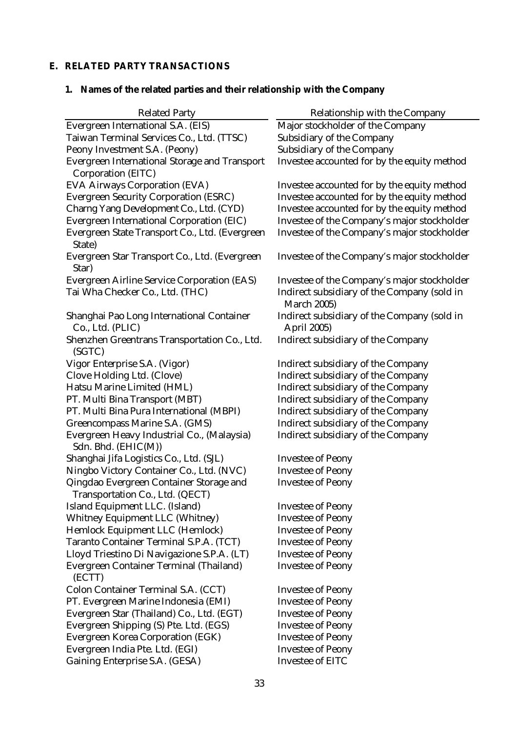# **E. RELATED PARTY TRANSACTIONS**

# **1. Names of the related parties and their relationship with the Company**

| <b>Related Party</b>                                                       | <b>Relationship with the Company</b>                                     |
|----------------------------------------------------------------------------|--------------------------------------------------------------------------|
| <b>Evergreen International S.A. (EIS)</b>                                  | Major stockholder of the Company                                         |
| Taiwan Terminal Services Co., Ltd. (TTSC)                                  | <b>Subsidiary of the Company</b>                                         |
| Peony Investment S.A. (Peony)                                              | <b>Subsidiary of the Company</b>                                         |
| <b>Evergreen International Storage and Transport</b>                       | Investee accounted for by the equity method                              |
| <b>Corporation (EITC)</b>                                                  |                                                                          |
| <b>EVA Airways Corporation (EVA)</b>                                       | Investee accounted for by the equity method                              |
| <b>Evergreen Security Corporation (ESRC)</b>                               | Investee accounted for by the equity method                              |
| Charng Yang Development Co., Ltd. (CYD)                                    | Investee accounted for by the equity method                              |
| <b>Evergreen International Corporation (EIC)</b>                           | Investee of the Company's major stockholder                              |
| Evergreen State Transport Co., Ltd. (Evergreen<br>State)                   | Investee of the Company's major stockholder                              |
| Evergreen Star Transport Co., Ltd. (Evergreen<br>Star)                     | Investee of the Company's major stockholder                              |
| <b>Evergreen Airline Service Corporation (EAS)</b>                         | Investee of the Company's major stockholder                              |
| Tai Wha Checker Co., Ltd. (THC)                                            | Indirect subsidiary of the Company (sold in<br><b>March 2005)</b>        |
| Shanghai Pao Long International Container<br>Co., Ltd. (PLIC)              | <b>Indirect subsidiary of the Company (sold in</b><br><b>April 2005)</b> |
| Shenzhen Greentrans Transportation Co., Ltd.<br>(SGTC)                     | <b>Indirect subsidiary of the Company</b>                                |
| Vigor Enterprise S.A. (Vigor)                                              | <b>Indirect subsidiary of the Company</b>                                |
| <b>Clove Holding Ltd. (Clove)</b>                                          | <b>Indirect subsidiary of the Company</b>                                |
| Hatsu Marine Limited (HML)                                                 | <b>Indirect subsidiary of the Company</b>                                |
| PT. Multi Bina Transport (MBT)                                             | <b>Indirect subsidiary of the Company</b>                                |
| PT. Multi Bina Pura International (MBPI)                                   | <b>Indirect subsidiary of the Company</b>                                |
| <b>Greencompass Marine S.A. (GMS)</b>                                      | <b>Indirect subsidiary of the Company</b>                                |
| Evergreen Heavy Industrial Co., (Malaysia)<br>Sdn. Bhd. (EHIC(M))          | <b>Indirect subsidiary of the Company</b>                                |
| Shanghai Jifa Logistics Co., Ltd. (SJL)                                    | <b>Investee of Peony</b>                                                 |
| Ningbo Victory Container Co., Ltd. (NVC)                                   | <b>Investee of Peony</b>                                                 |
| Qingdao Evergreen Container Storage and<br>Transportation Co., Ltd. (QECT) | <b>Investee of Peony</b>                                                 |
| Island Equipment LLC. (Island)                                             | <b>Investee of Peony</b>                                                 |
| <b>Whitney Equipment LLC (Whitney)</b>                                     | <b>Investee of Peony</b>                                                 |
| <b>Hemlock Equipment LLC (Hemlock)</b>                                     | <b>Investee of Peony</b>                                                 |
| <b>Taranto Container Terminal S.P.A. (TCT)</b>                             | <b>Investee of Peony</b>                                                 |
| Lloyd Triestino Di Navigazione S.P.A. (LT)                                 | <b>Investee of Peony</b>                                                 |
| <b>Evergreen Container Terminal (Thailand)</b><br>(ECTT)                   | <b>Investee of Peony</b>                                                 |
| <b>Colon Container Terminal S.A. (CCT)</b>                                 | <b>Investee of Peony</b>                                                 |
| PT. Evergreen Marine Indonesia (EMI)                                       | <b>Investee of Peony</b>                                                 |
| Evergreen Star (Thailand) Co., Ltd. (EGT)                                  | <b>Investee of Peony</b>                                                 |
| Evergreen Shipping (S) Pte. Ltd. (EGS)                                     | <b>Investee of Peony</b>                                                 |
| <b>Evergreen Korea Corporation (EGK)</b>                                   | <b>Investee of Peony</b>                                                 |
| Evergreen India Pte. Ltd. (EGI)                                            | <b>Investee of Peony</b>                                                 |
| <b>Gaining Enterprise S.A. (GESA)</b>                                      | <b>Investee of EITC</b>                                                  |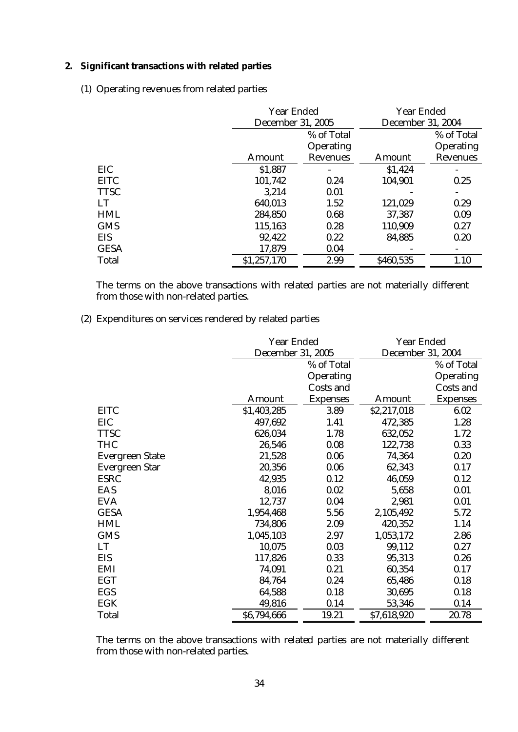### **2. Significant transactions with related parties**

(1) Operating revenues from related parties

|              | <b>Year Ended</b> |                          | <b>Year Ended</b> |                          |
|--------------|-------------------|--------------------------|-------------------|--------------------------|
|              |                   | <b>December 31, 2005</b> |                   | <b>December 31, 2004</b> |
|              |                   | % of Total               |                   | % of Total               |
|              |                   | <b>Operating</b>         |                   | <b>Operating</b>         |
|              | <b>Amount</b>     | <b>Revenues</b>          | <b>Amount</b>     | <b>Revenues</b>          |
| EIC          | \$1,887           |                          | \$1,424           |                          |
| <b>EITC</b>  | 101,742           | 0.24                     | 104,901           | 0.25                     |
| <b>TTSC</b>  | 3,214             | 0.01                     |                   |                          |
| LT           | 640,013           | 1.52                     | 121,029           | 0.29                     |
| <b>HML</b>   | 284,850           | 0.68                     | 37,387            | 0.09                     |
| <b>GMS</b>   | 115,163           | 0.28                     | 110,909           | 0.27                     |
| <b>EIS</b>   | 92,422            | 0.22                     | 84,885            | 0.20                     |
| <b>GESA</b>  | 17,879            | 0.04                     |                   |                          |
| <b>Total</b> | \$1,257,170       | 2.99                     | \$460,535         | 1.10                     |

The terms on the above transactions with related parties are not materially different from those with non-related parties.

## (2) Expenditures on services rendered by related parties

|                        | <b>Year Ended</b>        |                  | <b>Year Ended</b>        |                  |
|------------------------|--------------------------|------------------|--------------------------|------------------|
|                        | <b>December 31, 2005</b> |                  | <b>December 31, 2004</b> |                  |
|                        |                          | % of Total       |                          | % of Total       |
|                        |                          | <b>Operating</b> |                          | <b>Operating</b> |
|                        |                          | <b>Costs and</b> |                          | Costs and        |
|                        | <b>Amount</b>            | <b>Expenses</b>  | Amount                   | <b>Expenses</b>  |
| <b>EITC</b>            | \$1,403,285              | 3.89             | \$2,217,018              | 6.02             |
| EIC                    | 497,692                  | 1.41             | 472,385                  | 1.28             |
| <b>TTSC</b>            | 626,034                  | 1.78             | 632,052                  | 1.72             |
| <b>THC</b>             | 26,546                   | 0.08             | 122,738                  | 0.33             |
| <b>Evergreen State</b> | 21,528                   | 0.06             | 74,364                   | 0.20             |
| <b>Evergreen Star</b>  | 20,356                   | 0.06             | 62,343                   | 0.17             |
| <b>ESRC</b>            | 42,935                   | 0.12             | 46,059                   | 0.12             |
| <b>EAS</b>             | 8,016                    | 0.02             | 5,658                    | 0.01             |
| <b>EVA</b>             | 12,737                   | 0.04             | 2,981                    | 0.01             |
| <b>GESA</b>            | 1,954,468                | 5.56             | 2,105,492                | 5.72             |
| <b>HML</b>             | 734,806                  | 2.09             | 420,352                  | 1.14             |
| <b>GMS</b>             | 1,045,103                | 2.97             | 1,053,172                | 2.86             |
| LT                     | 10,075                   | 0.03             | 99,112                   | 0.27             |
| <b>EIS</b>             | 117,826                  | 0.33             | 95,313                   | 0.26             |
| <b>EMI</b>             | 74,091                   | 0.21             | 60,354                   | 0.17             |
| <b>EGT</b>             | 84,764                   | 0.24             | 65,486                   | 0.18             |
| <b>EGS</b>             | 64,588                   | 0.18             | 30,695                   | 0.18             |
| <b>EGK</b>             | 49,816                   | 0.14             | 53,346                   | 0.14             |
| <b>Total</b>           | \$6,794,666              | 19.21            | \$7,618,920              | 20.78            |

The terms on the above transactions with related parties are not materially different from those with non-related parties.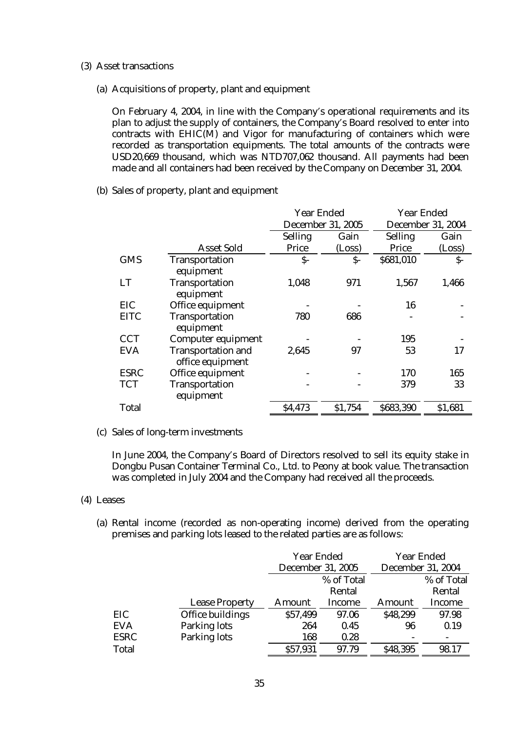- (3) Asset transactions
	- (a) Acquisitions of property, plant and equipment

On February 4, 2004, in line with the Company's operational requirements and its plan to adjust the supply of containers, the Company's Board resolved to enter into contracts with EHIC(M) and Vigor for manufacturing of containers which were recorded as transportation equipments. The total amounts of the contracts were USD20,669 thousand, which was NTD707,062 thousand. All payments had been made and all containers had been received by the Company on December 31, 2004.

(b) Sales of property, plant and equipment

|              |                                               | <b>Year Ended</b> |                          | <b>Year Ended</b>        |         |
|--------------|-----------------------------------------------|-------------------|--------------------------|--------------------------|---------|
|              |                                               |                   | <b>December 31, 2005</b> | <b>December 31, 2004</b> |         |
|              |                                               | <b>Selling</b>    | Gain                     | <b>Selling</b>           | Gain    |
|              | <b>Asset Sold</b>                             | Price             | (Loss)                   | <b>Price</b>             | (Loss)  |
| <b>GMS</b>   | <b>Transportation</b><br>equipment            | $\mathsf{S}$ -    | \$-                      | \$681,010                | $S-$    |
| <b>LT</b>    | <b>Transportation</b><br>equipment            | 1,048             | 971                      | 1,567                    | 1,466   |
| EIC          | Office equipment                              |                   |                          | 16                       |         |
| <b>EITC</b>  | <b>Transportation</b><br>equipment            | 780               | 686                      |                          |         |
| <b>CCT</b>   | <b>Computer equipment</b>                     |                   |                          | 195                      |         |
| <b>EVA</b>   | <b>Transportation and</b><br>office equipment | 2,645             | 97                       | 53                       | 17      |
| <b>ESRC</b>  | Office equipment                              |                   |                          | 170                      | 165     |
| <b>TCT</b>   | <b>Transportation</b><br>equipment            |                   |                          | 379                      | 33      |
| <b>Total</b> |                                               | \$4,473           | \$1,754                  | \$683,390                | \$1,681 |

(c) Sales of long-term investments

In June 2004, the Company's Board of Directors resolved to sell its equity stake in Dongbu Pusan Container Terminal Co., Ltd. to Peony at book value. The transaction was completed in July 2004 and the Company had received all the proceeds.

- (4) Leases
	- (a) Rental income (recorded as non-operating income) derived from the operating premises and parking lots leased to the related parties are as follows:

|            |                         | <b>Year Ended</b><br><b>December 31, 2005</b> |               |               | <b>Year Ended</b><br><b>December 31, 2004</b> |
|------------|-------------------------|-----------------------------------------------|---------------|---------------|-----------------------------------------------|
|            |                         |                                               | % of Total    |               | % of Total                                    |
|            |                         |                                               | Rental        |               | Rental                                        |
|            | <b>Lease Property</b>   | <b>Amount</b>                                 | <b>Income</b> | <b>Amount</b> | <b>Income</b>                                 |
| EIC        | <b>Office buildings</b> | \$57,499                                      | 97.06         | \$48,299      | 97.98                                         |
| <b>EVA</b> | <b>Parking lots</b>     | 264                                           | 0.45          | 96            | 0.19                                          |
| ESRC       | <b>Parking lots</b>     | 168                                           | 0.28          |               |                                               |
| Total      |                         | \$57,931                                      | 97.79         | \$48,395      | 98.17                                         |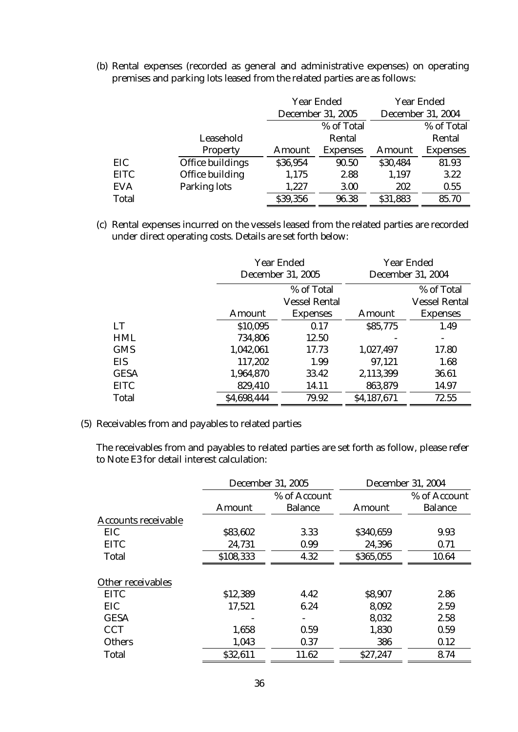(b) Rental expenses (recorded as general and administrative expenses) on operating premises and parking lots leased from the related parties are as follows:

|              |                         | <b>Year Ended</b> |                          |               | <b>Year Ended</b>        |
|--------------|-------------------------|-------------------|--------------------------|---------------|--------------------------|
|              |                         |                   | <b>December 31, 2005</b> |               | <b>December 31, 2004</b> |
|              |                         |                   | % of Total               |               | % of Total               |
|              | Leasehold               |                   | Rental                   |               | Rental                   |
|              | <b>Property</b>         | <b>Amount</b>     | <b>Expenses</b>          | <b>Amount</b> | <b>Expenses</b>          |
| EIC          | <b>Office buildings</b> | \$36,954          | 90.50                    | \$30,484      | 81.93                    |
| <b>EITC</b>  | <b>Office building</b>  | 1,175             | 2.88                     | 1,197         | 3.22                     |
| <b>EVA</b>   | <b>Parking lots</b>     | 1,227             | 3.00                     | 202           | 0.55                     |
| <b>Total</b> |                         | \$39,356          | 96.38                    | \$31,883      | 85.70                    |

(c) Rental expenses incurred on the vessels leased from the related parties are recorded under direct operating costs. Details are set forth below:

|              |                           | <b>Year Ended</b><br><b>December 31, 2005</b> |                    | <b>Year Ended</b><br><b>December 31, 2004</b> |
|--------------|---------------------------|-----------------------------------------------|--------------------|-----------------------------------------------|
|              |                           | % of Total<br><b>Vessel Rental</b>            |                    | % of Total<br><b>Vessel Rental</b>            |
| LT           | <b>Amount</b><br>\$10,095 | <b>Expenses</b><br>0.17                       | Amount<br>\$85,775 | <b>Expenses</b><br>1.49                       |
| <b>HML</b>   | 734,806                   | 12.50                                         |                    |                                               |
| <b>GMS</b>   | 1,042,061                 | 17.73                                         | 1,027,497          | 17.80                                         |
| <b>EIS</b>   | 117,202                   | 1.99                                          | 97,121             | 1.68                                          |
| <b>GESA</b>  | 1,964,870                 | 33.42                                         | 2,113,399          | 36.61                                         |
| <b>EITC</b>  | 829,410                   | 14.11                                         | 863,879            | 14.97                                         |
| <b>Total</b> | \$4,698,444               | 79.92                                         | \$4,187,671        | 72.55                                         |

### (5) Receivables from and payables to related parties

The receivables from and payables to related parties are set forth as follow, please refer to Note E3 for detail interest calculation:

|                            | <b>December 31, 2005</b> |                                | <b>December 31, 2004</b> |                                |
|----------------------------|--------------------------|--------------------------------|--------------------------|--------------------------------|
|                            | <b>Amount</b>            | % of Account<br><b>Balance</b> | <b>Amount</b>            | % of Account<br><b>Balance</b> |
| <b>Accounts receivable</b> |                          |                                |                          |                                |
| <b>EIC</b>                 | \$83,602                 | 3.33                           | \$340,659                | 9.93                           |
| <b>EITC</b>                | 24,731                   | 0.99                           | 24,396                   | 0.71                           |
| <b>Total</b>               | \$108,333                | 4.32                           | \$365,055                | 10.64                          |
| <b>Other receivables</b>   |                          |                                |                          |                                |
| <b>EITC</b>                | \$12,389                 | 4.42                           | \$8,907                  | 2.86                           |
| <b>EIC</b>                 | 17,521                   | 6.24                           | 8,092                    | 2.59                           |
| <b>GESA</b>                |                          |                                | 8,032                    | 2.58                           |
| <b>CCT</b>                 | 1,658                    | 0.59                           | 1,830                    | 0.59                           |
| <b>Others</b>              | 1,043                    | 0.37                           | 386                      | 0.12                           |
| <b>Total</b>               | \$32,611                 | 11.62                          | \$27,247                 | 8.74                           |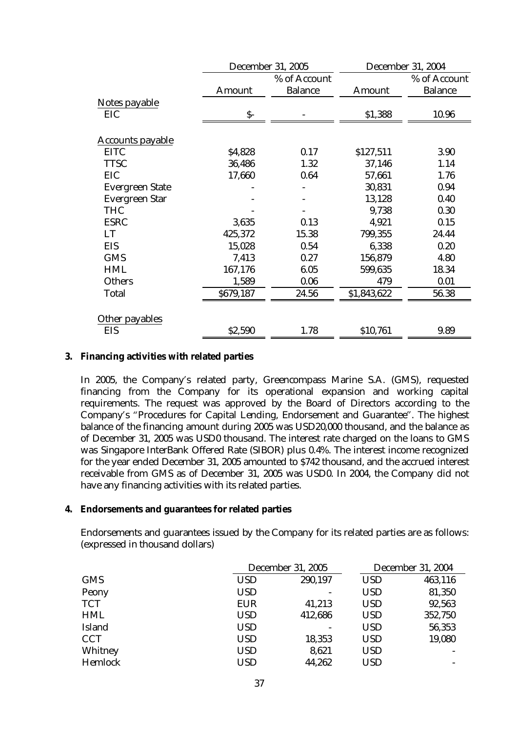|                         |               | <b>December 31, 2005</b>       |               | <b>December 31, 2004</b>       |  |
|-------------------------|---------------|--------------------------------|---------------|--------------------------------|--|
|                         | <b>Amount</b> | % of Account<br><b>Balance</b> | <b>Amount</b> | % of Account<br><b>Balance</b> |  |
| Notes payable           |               |                                |               |                                |  |
| EIC                     | \$-           |                                | \$1,388       | 10.96                          |  |
| <b>Accounts payable</b> |               |                                |               |                                |  |
| <b>EITC</b>             | \$4,828       | 0.17                           | \$127,511     | 3.90                           |  |
| <b>TTSC</b>             | 36,486        | 1.32                           | 37,146        | 1.14                           |  |
| EIC                     | 17,660        | 0.64                           | 57,661        | 1.76                           |  |
| <b>Evergreen State</b>  |               |                                | 30,831        | 0.94                           |  |
| <b>Evergreen Star</b>   |               |                                | 13,128        | 0.40                           |  |
| <b>THC</b>              |               |                                | 9,738         | 0.30                           |  |
| <b>ESRC</b>             | 3,635         | 0.13                           | 4,921         | 0.15                           |  |
| <b>LT</b>               | 425,372       | 15.38                          | 799,355       | 24.44                          |  |
| <b>EIS</b>              | 15,028        | 0.54                           | 6,338         | 0.20                           |  |
| <b>GMS</b>              | 7,413         | 0.27                           | 156,879       | 4.80                           |  |
| <b>HML</b>              | 167,176       | 6.05                           | 599,635       | 18.34                          |  |
| <b>Others</b>           | 1,589         | 0.06                           | 479           | 0.01                           |  |
| <b>Total</b>            | \$679,187     | 24.56                          | \$1,843,622   | 56.38                          |  |
| Other payables          |               |                                |               |                                |  |
| <b>EIS</b>              | \$2,590       | 1.78                           | \$10,761      | 9.89                           |  |

### **3. Financing activities with related parties**

In 2005, the Company's related party, Greencompass Marine S.A. (GMS), requested financing from the Company for its operational expansion and working capital requirements. The request was approved by the Board of Directors according to the Company's "Procedures for Capital Lending, Endorsement and Guarantee". The highest balance of the financing amount during 2005 was USD20,000 thousand, and the balance as of December 31, 2005 was USD0 thousand. The interest rate charged on the loans to GMS was Singapore InterBank Offered Rate (SIBOR) plus 0.4%. The interest income recognized for the year ended December 31, 2005 amounted to \$742 thousand, and the accrued interest receivable from GMS as of December 31, 2005 was USD0. In 2004, the Company did not have any financing activities with its related parties.

### **4. Endorsements and guarantees for related parties**

Endorsements and guarantees issued by the Company for its related parties are as follows: (expressed in thousand dollars)

|                |            | <b>December 31, 2005</b> |            | <b>December 31, 2004</b> |
|----------------|------------|--------------------------|------------|--------------------------|
| <b>GMS</b>     | <b>USD</b> | 290,197                  | <b>USD</b> | 463,116                  |
| Peony          | <b>USD</b> | $\overline{\phantom{a}}$ | <b>USD</b> | 81,350                   |
| <b>TCT</b>     | <b>EUR</b> | 41,213                   | <b>USD</b> | 92,563                   |
| <b>HML</b>     | <b>USD</b> | 412,686                  | <b>USD</b> | 352,750                  |
| <b>Island</b>  | <b>USD</b> | $\overline{\phantom{a}}$ | <b>USD</b> | 56,353                   |
| <b>CCT</b>     | <b>USD</b> | 18,353                   | <b>USD</b> | 19,080                   |
| Whitney        | <b>USD</b> | 8,621                    | <b>USD</b> |                          |
| <b>Hemlock</b> | USD        | 44,262                   | <b>USD</b> | $\overline{\phantom{a}}$ |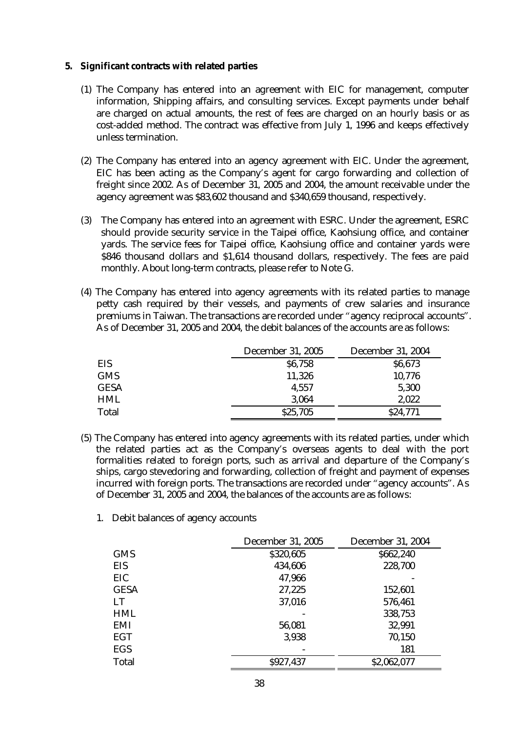- **5. Significant contracts with related parties** 
	- (1) The Company has entered into an agreement with EIC for management, computer information, Shipping affairs, and consulting services. Except payments under behalf are charged on actual amounts, the rest of fees are charged on an hourly basis or as cost-added method. The contract was effective from July 1, 1996 and keeps effectively unless termination.
	- (2) The Company has entered into an agency agreement with EIC. Under the agreement, EIC has been acting as the Company's agent for cargo forwarding and collection of freight since 2002. As of December 31, 2005 and 2004, the amount receivable under the agency agreement was \$83,602 thousand and \$340,659 thousand, respectively.
	- (3) The Company has entered into an agreement with ESRC. Under the agreement, ESRC should provide security service in the Taipei office, Kaohsiung office, and container yards. The service fees for Taipei office, Kaohsiung office and container yards were \$846 thousand dollars and \$1,614 thousand dollars, respectively. The fees are paid monthly. About long-term contracts, please refer to Note G.
	- (4) The Company has entered into agency agreements with its related parties to manage petty cash required by their vessels, and payments of crew salaries and insurance premiums in Taiwan. The transactions are recorded under "agency reciprocal accounts". As of December 31, 2005 and 2004, the debit balances of the accounts are as follows:

|              | <b>December 31, 2005</b> | <b>December 31, 2004</b> |
|--------------|--------------------------|--------------------------|
| <b>EIS</b>   | \$6,758                  | \$6,673                  |
| <b>GMS</b>   | 11,326                   | 10,776                   |
| <b>GESA</b>  | 4,557                    | 5,300                    |
| <b>HML</b>   | 3,064                    | 2,022                    |
| <b>Total</b> | \$25,705                 | \$24,771                 |

- (5) The Company has entered into agency agreements with its related parties, under which the related parties act as the Company's overseas agents to deal with the port formalities related to foreign ports, such as arrival and departure of the Company's ships, cargo stevedoring and forwarding, collection of freight and payment of expenses incurred with foreign ports. The transactions are recorded under "agency accounts". As of December 31, 2005 and 2004, the balances of the accounts are as follows:
	- 1. Debit balances of agency accounts

|              | <b>December 31, 2005</b> | <b>December 31, 2004</b> |
|--------------|--------------------------|--------------------------|
| <b>GMS</b>   | \$320,605                | \$662,240                |
| EIS          | 434,606                  | 228,700                  |
| EIC          | 47,966                   |                          |
| <b>GESA</b>  | 27,225                   | 152,601                  |
| LT           | 37,016                   | 576,461                  |
| <b>HML</b>   |                          | 338,753                  |
| EMI          | 56,081                   | 32,991                   |
| <b>EGT</b>   | 3,938                    | 70,150                   |
| <b>EGS</b>   |                          | 181                      |
| <b>Total</b> | \$927,437                | \$2,062,077              |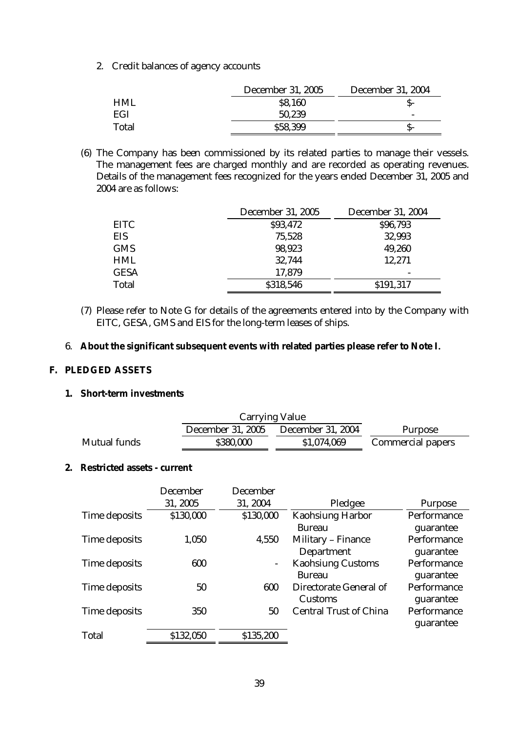2. Credit balances of agency accounts

|              | <b>December 31, 2005</b> | <b>December 31, 2004</b> |
|--------------|--------------------------|--------------------------|
| <b>HML</b>   | \$8,160                  | S-                       |
| EGI          | 50,239                   | $\overline{\phantom{0}}$ |
| <b>Total</b> | \$58,399                 | S-                       |

(6) The Company has been commissioned by its related parties to manage their vessels. The management fees are charged monthly and are recorded as operating revenues. Details of the management fees recognized for the years ended December 31, 2005 and 2004 are as follows:

|              | <b>December 31, 2005</b> | <b>December 31, 2004</b> |
|--------------|--------------------------|--------------------------|
| <b>EITC</b>  | \$93,472                 | \$96,793                 |
| EIS          | 75,528                   | 32,993                   |
| <b>GMS</b>   | 98,923                   | 49,260                   |
| <b>HML</b>   | 32,744                   | 12,271                   |
| <b>GESA</b>  | 17,879                   |                          |
| <b>Total</b> | \$318,546                | \$191,317                |

- (7) Please refer to Note G for details of the agreements entered into by the Company with EITC, GESA, GMS and EIS for the long-term leases of ships.
- 6. **About the significant subsequent events with related parties please refer to Note I.**

### **F. PLEDGED ASSETS**

**1. Short-term investments** 

|                     | <b>December 31, 2005</b> | <b>December 31, 2004</b> | <b>Purpose</b>           |
|---------------------|--------------------------|--------------------------|--------------------------|
| <b>Mutual funds</b> | \$380,000                | \$1,074,069              | <b>Commercial papers</b> |

### **2. Restricted assets - current**

|                      | <b>December</b> | <b>December</b> |                                                 |                          |
|----------------------|-----------------|-----------------|-------------------------------------------------|--------------------------|
|                      | 31, 2005        | 31, 2004        | Pledgee                                         | <b>Purpose</b>           |
| <b>Time deposits</b> | \$130,000       | \$130,000       | <b>Kaohsiung Harbor</b><br><b>Bureau</b>        | Performance<br>guarantee |
| Time deposits        | 1,050           | 4,550           | <b>Military - Finance</b><br><b>Department</b>  | Performance<br>guarantee |
| <b>Time deposits</b> | 600             |                 | <b>Kaohsiung Customs</b><br><b>Bureau</b>       | Performance<br>guarantee |
| <b>Time deposits</b> | 50              | 600             | <b>Directorate General of</b><br><b>Customs</b> | Performance<br>guarantee |
| Time deposits        | 350             | 50              | <b>Central Trust of China</b>                   | Performance<br>guarantee |
| <b>Total</b>         | \$132,050       | \$135,200       |                                                 |                          |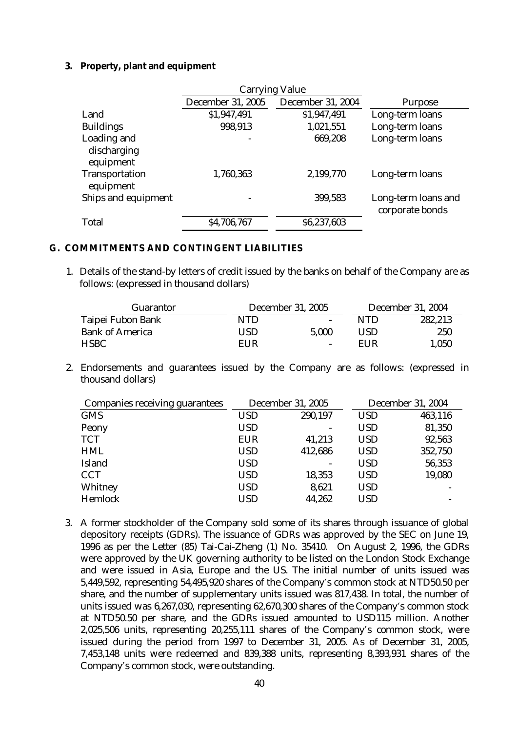### **3. Property, plant and equipment**

|                                    | <b>December 31, 2005</b> | <b>December 31, 2004</b> | <b>Purpose</b>                         |
|------------------------------------|--------------------------|--------------------------|----------------------------------------|
| Land                               | \$1,947,491              | \$1,947,491              | Long-term loans                        |
| <b>Buildings</b>                   | 998,913                  | 1,021,551                | Long-term loans                        |
| Loading and                        |                          | 669,208                  | Long-term loans                        |
| discharging<br>equipment           |                          |                          |                                        |
| <b>Transportation</b><br>equipment | 1,760,363                | 2,199,770                | Long-term loans                        |
| Ships and equipment                | -                        | 399,583                  | Long-term loans and<br>corporate bonds |
| <b>Total</b>                       | \$4,706,767              | \$6,237,603              |                                        |

### **G. COMMITMENTS AND CONTINGENT LIABILITIES**

1. Details of the stand-by letters of credit issued by the banks on behalf of the Company are as follows: (expressed in thousand dollars)

| <b>Guarantor</b>       |     | <b>December 31, 2005</b> | <b>December 31, 2004</b> |         |  |
|------------------------|-----|--------------------------|--------------------------|---------|--|
| Taipei Fubon Bank      | NTD | $\overline{\phantom{0}}$ | NTD                      | 282,213 |  |
| <b>Bank of America</b> | USD | 5.000                    | USD                      | 250     |  |
| <b>HSBC</b>            | EUR | $\overline{\phantom{0}}$ | EUR                      | 1,050   |  |

2. Endorsements and guarantees issued by the Company are as follows: (expressed in thousand dollars)

| <b>Companies receiving guarantees</b> |            | <b>December 31, 2005</b> | <b>December 31, 2004</b> |         |  |
|---------------------------------------|------------|--------------------------|--------------------------|---------|--|
| <b>GMS</b>                            | <b>USD</b> | 290,197                  | <b>USD</b>               | 463,116 |  |
| <b>Peony</b>                          | <b>USD</b> |                          | <b>USD</b>               | 81,350  |  |
| <b>TCT</b>                            | <b>EUR</b> | 41,213                   | <b>USD</b>               | 92,563  |  |
| <b>HML</b>                            | <b>USD</b> | 412,686                  | <b>USD</b>               | 352,750 |  |
| <b>Island</b>                         | <b>USD</b> |                          | <b>USD</b>               | 56,353  |  |
| <b>CCT</b>                            | <b>USD</b> | 18,353                   | <b>USD</b>               | 19,080  |  |
| Whitney                               | <b>USD</b> | 8,621                    | <b>USD</b>               |         |  |
| Hemlock                               | <b>USD</b> | 44,262                   | <b>USD</b>               |         |  |

3. A former stockholder of the Company sold some of its shares through issuance of global depository receipts (GDRs). The issuance of GDRs was approved by the SEC on June 19, 1996 as per the Letter (85) Tai-Cai-Zheng (1) No. 35410. On August 2, 1996, the GDRs were approved by the UK governing authority to be listed on the London Stock Exchange and were issued in Asia, Europe and the US. The initial number of units issued was 5,449,592, representing 54,495,920 shares of the Company's common stock at NTD50.50 per share, and the number of supplementary units issued was 817,438. In total, the number of units issued was 6,267,030, representing 62,670,300 shares of the Company's common stock at NTD50.50 per share, and the GDRs issued amounted to USD115 million. Another 2,025,506 units, representing 20,255,111 shares of the Company's common stock, were issued during the period from 1997 to December 31, 2005. As of December 31, 2005, 7,453,148 units were redeemed and 839,388 units, representing 8,393,931 shares of the Company's common stock, were outstanding.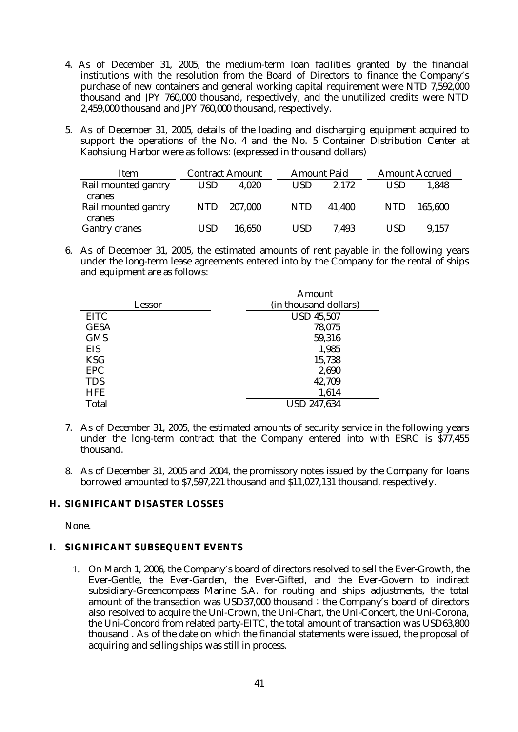- 4. As of December 31, 2005, the medium-term loan facilities granted by the financial institutions with the resolution from the Board of Directors to finance the Company's purchase of new containers and general working capital requirement were NTD 7,592,000 thousand and JPY 760,000 thousand, respectively, and the unutilized credits were NTD 2,459,000 thousand and JPY 760,000 thousand, respectively.
- 5. As of December 31, 2005, details of the loading and discharging equipment acquired to support the operations of the No. 4 and the No. 5 Container Distribution Center at Kaohsiung Harbor were as follows: (expressed in thousand dollars)

| Item                                    | <b>Contract Amount</b> |         |  |            | <b>Amount Paid</b> | <b>Amount Accrued</b> |         |  |
|-----------------------------------------|------------------------|---------|--|------------|--------------------|-----------------------|---------|--|
| Rail mounted gantry                     | USD                    | 4,020   |  | USD.       | 2.172              | <b>USD</b>            | 1.848   |  |
| cranes<br>Rail mounted gantry<br>cranes | <b>NTD</b>             | 207,000 |  | <b>NTD</b> | 41.400             | <b>NTD</b>            | 165,600 |  |
| <b>Gantry cranes</b>                    | USD                    | 16,650  |  | <b>USD</b> | 7.493              | <b>USD</b>            | 9,157   |  |

6. As of December 31, 2005, the estimated amounts of rent payable in the following years under the long-term lease agreements entered into by the Company for the rental of ships and equipment are as follows:

|              | <b>Amount</b>         |
|--------------|-----------------------|
| Lessor       | (in thousand dollars) |
| <b>EITC</b>  | <b>USD 45,507</b>     |
| <b>GESA</b>  | 78,075                |
| <b>GMS</b>   | 59,316                |
| <b>EIS</b>   | 1,985                 |
| <b>KSG</b>   | 15,738                |
| <b>EPC</b>   | 2,690                 |
| <b>TDS</b>   | 42,709                |
| <b>HFE</b>   | 1,614                 |
| <b>Total</b> | <b>USD 247,634</b>    |

- 7. As of December 31, 2005, the estimated amounts of security service in the following years under the long-term contract that the Company entered into with ESRC is \$77,455 thousand.
- 8. As of December 31, 2005 and 2004, the promissory notes issued by the Company for loans borrowed amounted to \$7,597,221 thousand and \$11,027,131 thousand, respectively.

### **H. SIGNIFICANT DISASTER LOSSES**

None.

## **I. SIGNIFICANT SUBSEQUENT EVENTS**

1. On March 1, 2006, the Company's board of directors resolved to sell the Ever-Growth, the Ever-Gentle, the Ever-Garden, the Ever-Gifted, and the Ever-Govern to indirect subsidiary-Greencompass Marine S.A. for routing and ships adjustments, the total amount of the transaction was USD37,000 thousand; the Company's board of directors also resolved to acquire the Uni-Crown, the Uni-Chart, the Uni-Concert, the Uni-Corona, the Uni-Concord from related party-EITC, the total amount of transaction was USD63,800 thousand . As of the date on which the financial statements were issued, the proposal of acquiring and selling ships was still in process.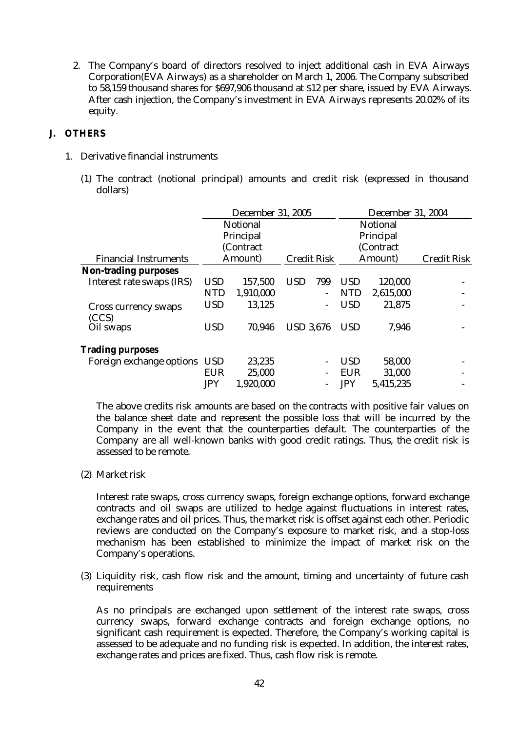2. The Company's board of directors resolved to inject additional cash in EVA Airways Corporation(EVA Airways) as a shareholder on March 1, 2006. The Company subscribed to 58,159 thousand shares for \$697,906 thousand at \$12 per share, issued by EVA Airways. After cash injection, the Company's investment in EVA Airways represents 20.02% of its equity.

## **J. OTHERS**

- 1. Derivative financial instruments
	- (1) The contract (notional principal) amounts and credit risk (expressed in thousand dollars)

|                              |            | <b>December 31, 2005</b> |                    | <b>December 31, 2004</b> |                 |           |                    |  |
|------------------------------|------------|--------------------------|--------------------|--------------------------|-----------------|-----------|--------------------|--|
|                              |            | <b>Notional</b>          |                    |                          | <b>Notional</b> |           |                    |  |
|                              |            | Principal                |                    |                          | Principal       |           |                    |  |
|                              |            | (Contract                |                    |                          |                 | (Contract |                    |  |
| <b>Financial Instruments</b> |            | Amount)                  | <b>Credit Risk</b> |                          |                 | Amount)   | <b>Credit Risk</b> |  |
| Non-trading purposes         |            |                          |                    |                          |                 |           |                    |  |
| Interest rate swaps (IRS)    | <b>USD</b> | 157,500                  | <b>USD</b>         | 799                      | <b>USD</b>      | 120,000   |                    |  |
|                              | <b>NTD</b> | 1,910,000                |                    | -                        | <b>NTD</b>      | 2,615,000 |                    |  |
| <b>Cross currency swaps</b>  | <b>USD</b> | 13,125                   |                    | -                        | <b>USD</b>      | 21,875    |                    |  |
| (CCS)                        |            |                          |                    |                          |                 |           |                    |  |
| Oil swaps                    | <b>USD</b> | 70,946                   | <b>USD 3.676</b>   |                          | <b>USD</b>      | 7,946     |                    |  |
| <b>Trading purposes</b>      |            |                          |                    |                          |                 |           |                    |  |
| Foreign exchange options USD |            | 23,235                   |                    |                          | <b>USD</b>      | 58,000    |                    |  |
|                              | <b>EUR</b> | 25,000                   |                    |                          | <b>EUR</b>      | 31,000    |                    |  |
|                              | <b>JPY</b> | 1,920,000                |                    |                          | <b>JPY</b>      | 5,415,235 |                    |  |

The above credits risk amounts are based on the contracts with positive fair values on the balance sheet date and represent the possible loss that will be incurred by the Company in the event that the counterparties default. The counterparties of the Company are all well-known banks with good credit ratings. Thus, the credit risk is assessed to be remote.

(2) Market risk

Interest rate swaps, cross currency swaps, foreign exchange options, forward exchange contracts and oil swaps are utilized to hedge against fluctuations in interest rates, exchange rates and oil prices. Thus, the market risk is offset against each other. Periodic reviews are conducted on the Company's exposure to market risk, and a stop-loss mechanism has been established to minimize the impact of market risk on the Company's operations.

(3) Liquidity risk, cash flow risk and the amount, timing and uncertainty of future cash requirements

As no principals are exchanged upon settlement of the interest rate swaps, cross currency swaps, forward exchange contracts and foreign exchange options, no significant cash requirement is expected. Therefore, the Company's working capital is assessed to be adequate and no funding risk is expected. In addition, the interest rates, exchange rates and prices are fixed. Thus, cash flow risk is remote.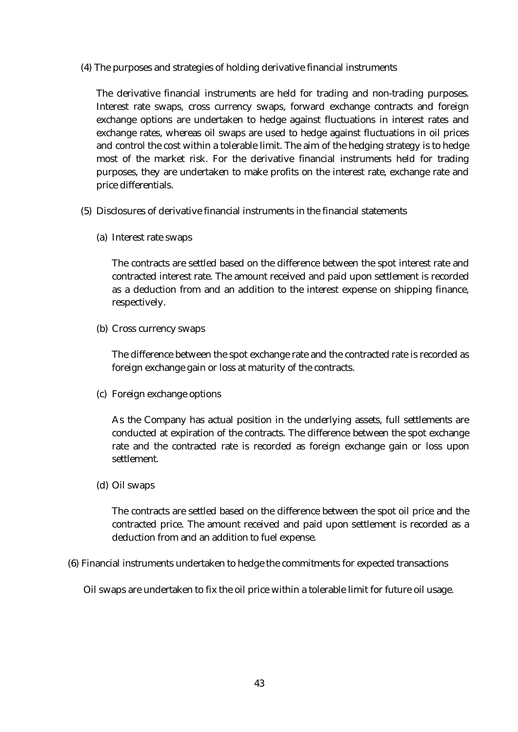(4) The purposes and strategies of holding derivative financial instruments

The derivative financial instruments are held for trading and non-trading purposes. Interest rate swaps, cross currency swaps, forward exchange contracts and foreign exchange options are undertaken to hedge against fluctuations in interest rates and exchange rates, whereas oil swaps are used to hedge against fluctuations in oil prices and control the cost within a tolerable limit. The aim of the hedging strategy is to hedge most of the market risk. For the derivative financial instruments held for trading purposes, they are undertaken to make profits on the interest rate, exchange rate and price differentials.

- (5) Disclosures of derivative financial instruments in the financial statements
	- (a) Interest rate swaps

The contracts are settled based on the difference between the spot interest rate and contracted interest rate. The amount received and paid upon settlement is recorded as a deduction from and an addition to the interest expense on shipping finance, respectively.

(b) Cross currency swaps

The difference between the spot exchange rate and the contracted rate is recorded as foreign exchange gain or loss at maturity of the contracts.

(c) Foreign exchange options

As the Company has actual position in the underlying assets, full settlements are conducted at expiration of the contracts. The difference between the spot exchange rate and the contracted rate is recorded as foreign exchange gain or loss upon settlement.

(d) Oil swaps

The contracts are settled based on the difference between the spot oil price and the contracted price. The amount received and paid upon settlement is recorded as a deduction from and an addition to fuel expense.

(6) Financial instruments undertaken to hedge the commitments for expected transactions

Oil swaps are undertaken to fix the oil price within a tolerable limit for future oil usage.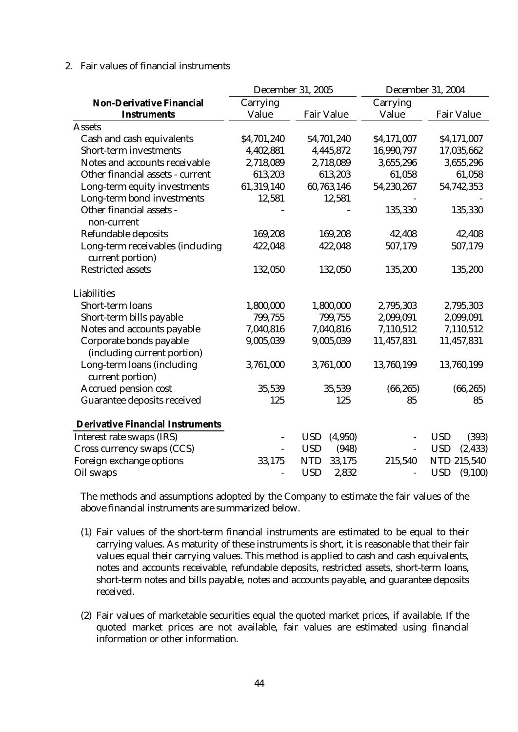### 2. Fair values of financial instruments

|                                                        |             | December 31, 2005     | <b>December 31, 2004</b> |                        |  |
|--------------------------------------------------------|-------------|-----------------------|--------------------------|------------------------|--|
| <b>Non-Derivative Financial</b>                        | Carrying    |                       | Carrying                 |                        |  |
| <b>Instruments</b>                                     | Value       | <b>Fair Value</b>     | Value                    | <b>Fair Value</b>      |  |
| <b>Assets</b>                                          |             |                       |                          |                        |  |
| Cash and cash equivalents                              | \$4,701,240 | \$4,701,240           | \$4,171,007              | \$4,171,007            |  |
| <b>Short-term investments</b>                          | 4,402,881   | 4,445,872             | 16,990,797               | 17,035,662             |  |
| Notes and accounts receivable                          | 2,718,089   | 2,718,089             | 3,655,296                | 3,655,296              |  |
| Other financial assets - current                       | 613,203     | 613,203               | 61,058                   | 61,058                 |  |
| Long-term equity investments                           | 61,319,140  | 60,763,146            | 54,230,267               | 54,742,353             |  |
| Long-term bond investments                             | 12,581      | 12,581                |                          |                        |  |
| Other financial assets -<br>non-current                |             |                       | 135,330                  | 135,330                |  |
| <b>Refundable deposits</b>                             | 169,208     | 169,208               | 42,408                   | 42,408                 |  |
| Long-term receivables (including<br>current portion)   | 422,048     | 422,048               | 507,179                  | 507,179                |  |
| <b>Restricted assets</b>                               | 132,050     | 132,050               | 135,200                  | 135,200                |  |
| <b>Liabilities</b>                                     |             |                       |                          |                        |  |
| Short-term loans                                       | 1,800,000   | 1,800,000             | 2,795,303                | 2,795,303              |  |
| Short-term bills payable                               | 799,755     | 799,755               | 2,099,091                | 2,099,091              |  |
| Notes and accounts payable                             | 7,040,816   | 7,040,816             | 7,110,512                | 7,110,512              |  |
| Corporate bonds payable<br>(including current portion) | 9,005,039   | 9,005,039             | 11,457,831               | 11,457,831             |  |
| Long-term loans (including<br>current portion)         | 3,761,000   | 3,761,000             | 13,760,199               | 13,760,199             |  |
| <b>Accrued pension cost</b>                            | 35,539      | 35,539                | (66, 265)                | (66, 265)              |  |
| <b>Guarantee deposits received</b>                     | 125         | 125                   | 85                       | 85                     |  |
| <b>Derivative Financial Instruments</b>                |             |                       |                          |                        |  |
| Interest rate swaps (IRS)                              |             | <b>USD</b><br>(4,950) |                          | <b>USD</b><br>(393)    |  |
| Cross currency swaps (CCS)                             |             | <b>USD</b><br>(948)   |                          | <b>USD</b><br>(2, 433) |  |
| Foreign exchange options                               | 33,175      | <b>NTD</b><br>33,175  | 215,540                  | <b>NTD 215,540</b>     |  |
| Oil swaps                                              |             | <b>USD</b><br>2,832   |                          | <b>USD</b><br>(9,100)  |  |

The methods and assumptions adopted by the Company to estimate the fair values of the above financial instruments are summarized below.

- (1) Fair values of the short-term financial instruments are estimated to be equal to their carrying values. As maturity of these instruments is short, it is reasonable that their fair values equal their carrying values. This method is applied to cash and cash equivalents, notes and accounts receivable, refundable deposits, restricted assets, short-term loans, short-term notes and bills payable, notes and accounts payable, and guarantee deposits received.
- (2) Fair values of marketable securities equal the quoted market prices, if available. If the quoted market prices are not available, fair values are estimated using financial information or other information.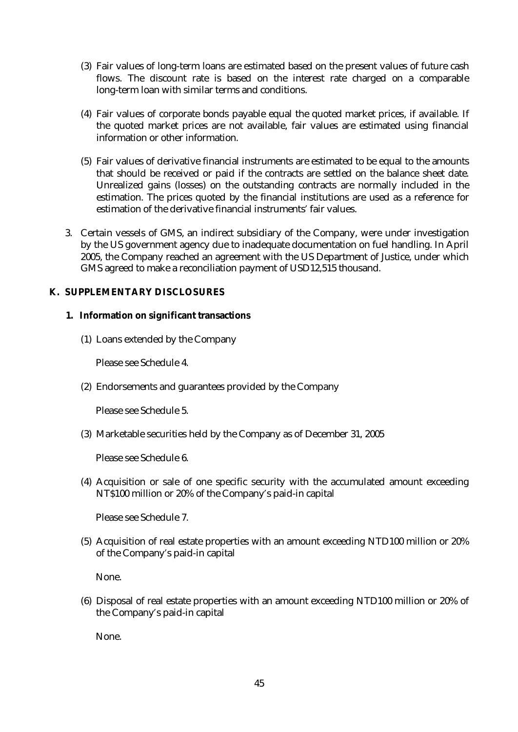- (3) Fair values of long-term loans are estimated based on the present values of future cash flows. The discount rate is based on the interest rate charged on a comparable long-term loan with similar terms and conditions.
- (4) Fair values of corporate bonds payable equal the quoted market prices, if available. If the quoted market prices are not available, fair values are estimated using financial information or other information.
- (5) Fair values of derivative financial instruments are estimated to be equal to the amounts that should be received or paid if the contracts are settled on the balance sheet date. Unrealized gains (losses) on the outstanding contracts are normally included in the estimation. The prices quoted by the financial institutions are used as a reference for estimation of the derivative financial instruments' fair values.
- 3. Certain vessels of GMS, an indirect subsidiary of the Company, were under investigation by the US government agency due to inadequate documentation on fuel handling. In April 2005, the Company reached an agreement with the US Department of Justice, under which GMS agreed to make a reconciliation payment of USD12,515 thousand.

## **K. SUPPLEMENTARY DISCLOSURES**

## **1. Information on significant transactions**

(1) Loans extended by the Company

Please see Schedule 4.

(2) Endorsements and guarantees provided by the Company

Please see Schedule 5.

(3) Marketable securities held by the Company as of December 31, 2005

Please see Schedule 6.

(4) Acquisition or sale of one specific security with the accumulated amount exceeding NT\$100 million or 20% of the Company's paid-in capital

Please see Schedule 7.

(5) Acquisition of real estate properties with an amount exceeding NTD100 million or 20% of the Company's paid-in capital

None.

(6) Disposal of real estate properties with an amount exceeding NTD100 million or 20% of the Company's paid-in capital

None.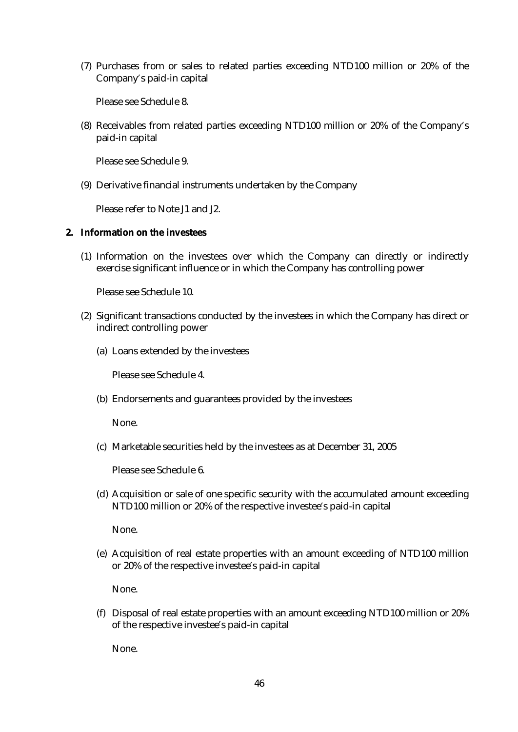(7) Purchases from or sales to related parties exceeding NTD100 million or 20% of the Company's paid-in capital

Please see Schedule 8.

(8) Receivables from related parties exceeding NTD100 million or 20% of the Company's paid-in capital

Please see Schedule 9.

(9) Derivative financial instruments undertaken by the Company

Please refer to Note J1 and J2.

### **2. Information on the investees**

(1) Information on the investees over which the Company can directly or indirectly exercise significant influence or in which the Company has controlling power

Please see Schedule 10.

- (2) Significant transactions conducted by the investees in which the Company has direct or indirect controlling power
	- (a) Loans extended by the investees

Please see Schedule 4.

(b) Endorsements and guarantees provided by the investees

None.

(c) Marketable securities held by the investees as at December 31, 2005

Please see Schedule 6.

(d) Acquisition or sale of one specific security with the accumulated amount exceeding NTD100 million or 20% of the respective investee's paid-in capital

None.

(e) Acquisition of real estate properties with an amount exceeding of NTD100 million or 20% of the respective investee's paid-in capital

None.

(f) Disposal of real estate properties with an amount exceeding NTD100 million or 20% of the respective investee's paid-in capital

None.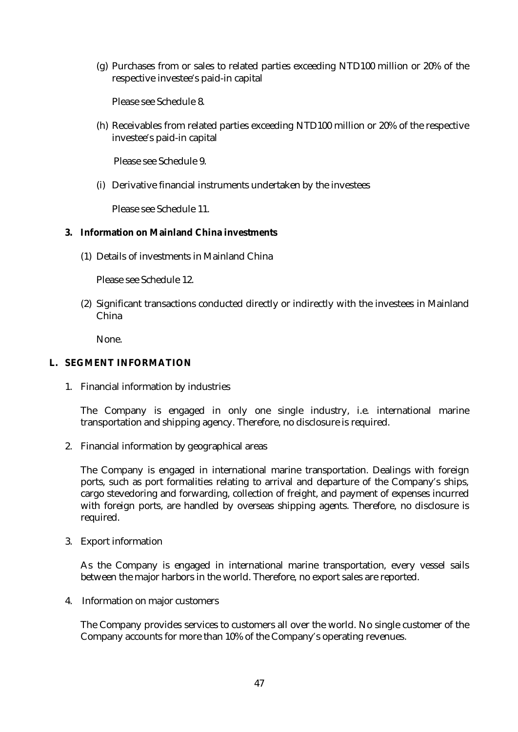(g) Purchases from or sales to related parties exceeding NTD100 million or 20% of the respective investee's paid-in capital

Please see Schedule 8.

(h) Receivables from related parties exceeding NTD100 million or 20% of the respective investee's paid-in capital

Please see Schedule 9.

(i) Derivative financial instruments undertaken by the investees

Please see Schedule 11.

### **3. Information on Mainland China investments**

(1) Details of investments in Mainland China

Please see Schedule 12.

(2) Significant transactions conducted directly or indirectly with the investees in Mainland China

None.

## **L. SEGMENT INFORMATION**

1. Financial information by industries

The Company is engaged in only one single industry, i.e. international marine transportation and shipping agency. Therefore, no disclosure is required.

2. Financial information by geographical areas

The Company is engaged in international marine transportation. Dealings with foreign ports, such as port formalities relating to arrival and departure of the Company's ships, cargo stevedoring and forwarding, collection of freight, and payment of expenses incurred with foreign ports, are handled by overseas shipping agents. Therefore, no disclosure is required.

3. Export information

As the Company is engaged in international marine transportation, every vessel sails between the major harbors in the world. Therefore, no export sales are reported.

4. Information on major customers

The Company provides services to customers all over the world. No single customer of the Company accounts for more than 10% of the Company's operating revenues.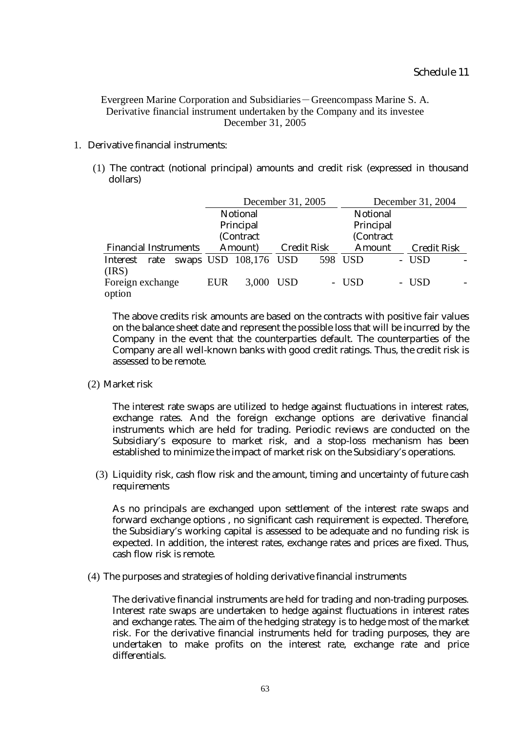Evergreen Marine Corporation and Subsidiaries-Greencompass Marine S. A. Derivative financial instrument undertaken by the Company and its investee December 31, 2005

### 1. Derivative financial instruments:

(1) The contract (notional principal) amounts and credit risk (expressed in thousand dollars)

|                              |  |                               |                       | December 31, 2005 |               | December 31, 2004 |                    |       |  |
|------------------------------|--|-------------------------------|-----------------------|-------------------|---------------|-------------------|--------------------|-------|--|
|                              |  |                               | <b>Notional</b>       |                   |               | <b>Notional</b>   |                    |       |  |
| Principal<br>Principal       |  |                               |                       |                   |               |                   |                    |       |  |
| (Contract<br>(Contract       |  |                               |                       |                   |               |                   |                    |       |  |
| <b>Financial Instruments</b> |  | <b>Credit Risk</b><br>Amount) |                       |                   | <b>Amount</b> |                   | <b>Credit Risk</b> |       |  |
| Interest<br>rate             |  |                               | swaps USD 108,176 USD |                   |               | 598 USD           |                    | - USD |  |
| (IRS)                        |  |                               |                       |                   |               |                   |                    |       |  |
| Foreign exchange             |  | <b>EUR</b>                    | 3,000 USD             |                   |               | - USD             |                    | - USD |  |
| option                       |  |                               |                       |                   |               |                   |                    |       |  |

The above credits risk amounts are based on the contracts with positive fair values on the balance sheet date and represent the possible loss that will be incurred by the Company in the event that the counterparties default. The counterparties of the Company are all well-known banks with good credit ratings. Thus, the credit risk is assessed to be remote.

(2) Market risk

The interest rate swaps are utilized to hedge against fluctuations in interest rates, exchange rates. And the foreign exchange options are derivative financial instruments which are held for trading. Periodic reviews are conducted on the Subsidiary's exposure to market risk, and a stop-loss mechanism has been established to minimize the impact of market risk on the Subsidiary's operations.

(3) Liquidity risk, cash flow risk and the amount, timing and uncertainty of future cash requirements

As no principals are exchanged upon settlement of the interest rate swaps and forward exchange options , no significant cash requirement is expected. Therefore, the Subsidiary's working capital is assessed to be adequate and no funding risk is expected. In addition, the interest rates, exchange rates and prices are fixed. Thus, cash flow risk is remote.

(4) The purposes and strategies of holding derivative financial instruments

The derivative financial instruments are held for trading and non-trading purposes. Interest rate swaps are undertaken to hedge against fluctuations in interest rates and exchange rates. The aim of the hedging strategy is to hedge most of the market risk. For the derivative financial instruments held for trading purposes, they are undertaken to make profits on the interest rate, exchange rate and price differentials.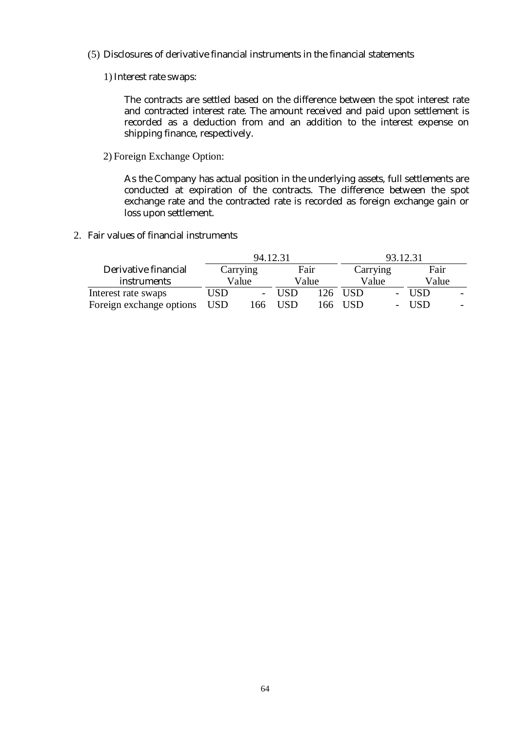- (5) Disclosures of derivative financial instruments in the financial statements
	- 1) Interest rate swaps:

The contracts are settled based on the difference between the spot interest rate and contracted interest rate. The amount received and paid upon settlement is recorded as a deduction from and an addition to the interest expense on shipping finance, respectively.

2) Foreign Exchange Option:

As the Company has actual position in the underlying assets, full settlements are conducted at expiration of the contracts. The difference between the spot exchange rate and the contracted rate is recorded as foreign exchange gain or loss upon settlement.

2. Fair values of financial instruments

|                          |            | 94.12.31 |            | 93.12.31 |          |       |      |       |
|--------------------------|------------|----------|------------|----------|----------|-------|------|-------|
| Derivative financial     |            | Carrying | Fair       |          | Carrying |       | Fair |       |
| <i>instruments</i>       |            | Value    |            | Value    |          | Value |      | Value |
| Interest rate swaps      | USD        |          | <b>USD</b> | 126.     | USD.     |       | USD. |       |
| Foreign exchange options | <b>USD</b> | .66      | USD        | 166.     | USD      |       | USD. |       |